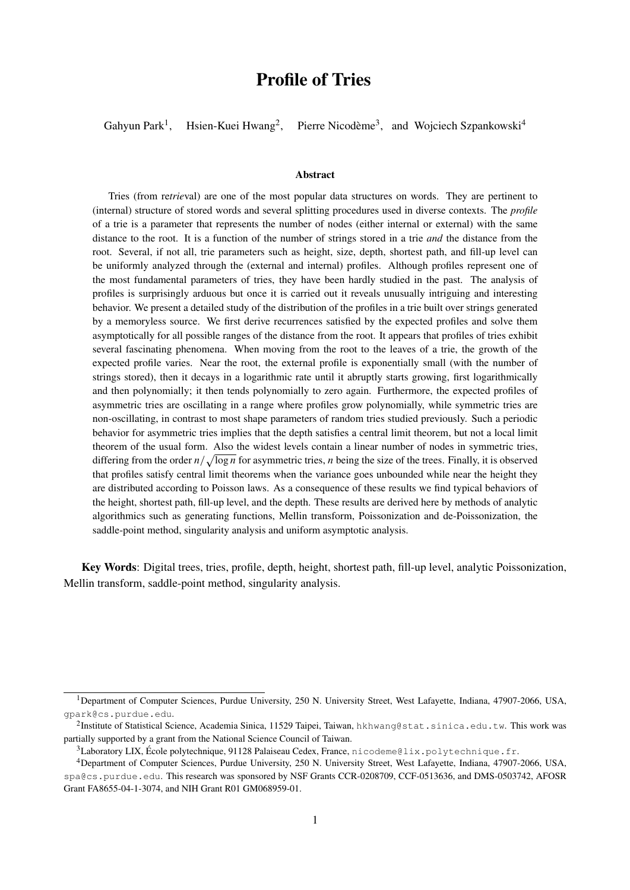# Profile of Tries

Gahyun Park<sup>1</sup>, Hsien-Kuei Hwang<sup>2</sup>, , Pierre Nicodème<sup>3</sup>, and Wojciech Szpankowski<sup>4</sup>

#### Abstract

Tries (from re*trie*val) are one of the most popular data structures on words. They are pertinent to (internal) structure of stored words and several splitting procedures used in diverse contexts. The *profile* of a trie is a parameter that represents the number of nodes (either internal or external) with the same distance to the root. It is a function of the number of strings stored in a trie *and* the distance from the root. Several, if not all, trie parameters such as height, size, depth, shortest path, and fill-up level can be uniformly analyzed through the (external and internal) profiles. Although profiles represent one of the most fundamental parameters of tries, they have been hardly studied in the past. The analysis of profiles is surprisingly arduous but once it is carried out it reveals unusually intriguing and interesting behavior. We present a detailed study of the distribution of the profiles in a trie built over strings generated by a memoryless source. We first derive recurrences satisfied by the expected profiles and solve them asymptotically for all possible ranges of the distance from the root. It appears that profiles of tries exhibit several fascinating phenomena. When moving from the root to the leaves of a trie, the growth of the expected profile varies. Near the root, the external profile is exponentially small (with the number of strings stored), then it decays in a logarithmic rate until it abruptly starts growing, first logarithmically and then polynomially; it then tends polynomially to zero again. Furthermore, the expected profiles of asymmetric tries are oscillating in a range where profiles grow polynomially, while symmetric tries are non-oscillating, in contrast to most shape parameters of random tries studied previously. Such a periodic behavior for asymmetric tries implies that the depth satisfies a central limit theorem, but not a local limit theorem of the usual form. Also the widest levels contain a linear number of nodes in symmetric tries, differing from the order  $n/\sqrt{\log n}$  for asymmetric tries, n being the size of the trees. Finally, it is observed that profiles satisfy central limit theorems when the variance goes unbounded while near the height they are distributed according to Poisson laws. As a consequence of these results we find typical behaviors of the height, shortest path, fill-up level, and the depth. These results are derived here by methods of analytic algorithmics such as generating functions, Mellin transform, Poissonization and de-Poissonization, the saddle-point method, singularity analysis and uniform asymptotic analysis.

Key Words: Digital trees, tries, profile, depth, height, shortest path, fill-up level, analytic Poissonization, Mellin transform, saddle-point method, singularity analysis.

<sup>1</sup>Department of Computer Sciences, Purdue University, 250 N. University Street, West Lafayette, Indiana, 47907-2066, USA, gpark@cs.purdue.edu.

 $^2$ Institute of Statistical Science, Academia Sinica, 11529 Taipei, Taiwan, hkhwang@stat.sinica.edu.tw. This work was partially supported by a grant from the National Science Council of Taiwan.

 $3$ Laboratory LIX, École polytechnique, 91128 Palaiseau Cedex, France, nicodeme@lix.polytechnique.fr.

<sup>4</sup>Department of Computer Sciences, Purdue University, 250 N. University Street, West Lafayette, Indiana, 47907-2066, USA, spa@cs.purdue.edu. This research was sponsored by NSF Grants CCR-0208709, CCF-0513636, and DMS-0503742, AFOSR Grant FA8655-04-1-3074, and NIH Grant R01 GM068959-01.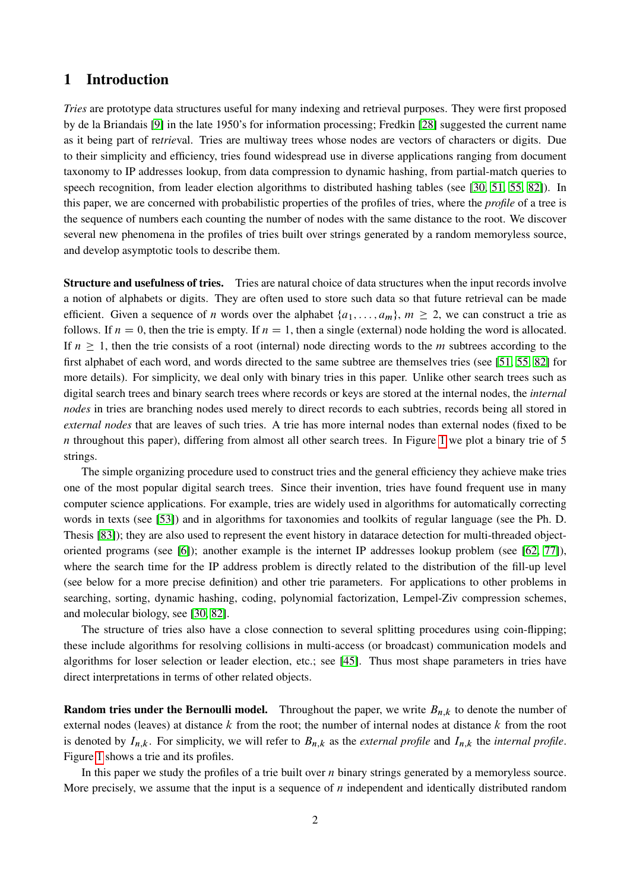# 1 Introduction

*Tries* are prototype data structures useful for many indexing and retrieval purposes. They were first proposed by de la Briandais [\[9\]](#page-55-0) in the late 1950's for information processing; Fredkin [\[28\]](#page-56-0) suggested the current name as it being part of re*trie*val. Tries are multiway trees whose nodes are vectors of characters or digits. Due to their simplicity and efficiency, tries found widespread use in diverse applications ranging from document taxonomy to IP addresses lookup, from data compression to dynamic hashing, from partial-match queries to speech recognition, from leader election algorithms to distributed hashing tables (see [\[30,](#page-56-1) [51,](#page-57-0) [55,](#page-58-0) [82\]](#page-59-0)). In this paper, we are concerned with probabilistic properties of the profiles of tries, where the *profile* of a tree is the sequence of numbers each counting the number of nodes with the same distance to the root. We discover several new phenomena in the profiles of tries built over strings generated by a random memoryless source, and develop asymptotic tools to describe them.

Structure and usefulness of tries. Tries are natural choice of data structures when the input records involve a notion of alphabets or digits. They are often used to store such data so that future retrieval can be made efficient. Given a sequence of *n* words over the alphabet  $\{a_1, \ldots, a_m\}$ ,  $m \geq 2$ , we can construct a trie as follows. If  $n = 0$ , then the trie is empty. If  $n = 1$ , then a single (external) node holding the word is allocated. If  $n \geq 1$ , then the trie consists of a root (internal) node directing words to the m subtrees according to the first alphabet of each word, and words directed to the same subtree are themselves tries (see [\[51,](#page-57-0) [55,](#page-58-0) [82\]](#page-59-0) for more details). For simplicity, we deal only with binary tries in this paper. Unlike other search trees such as digital search trees and binary search trees where records or keys are stored at the internal nodes, the *internal nodes* in tries are branching nodes used merely to direct records to each subtries, records being all stored in *external nodes* that are leaves of such tries. A trie has more internal nodes than external nodes (fixed to be n throughout this paper), differing from almost all other search trees. In Figure [1](#page-2-0) we plot a binary trie of 5 strings.

The simple organizing procedure used to construct tries and the general efficiency they achieve make tries one of the most popular digital search trees. Since their invention, tries have found frequent use in many computer science applications. For example, tries are widely used in algorithms for automatically correcting words in texts (see [\[53\]](#page-57-1)) and in algorithms for taxonomies and toolkits of regular language (see the Ph. D. Thesis [\[83\]](#page-59-1)); they are also used to represent the event history in datarace detection for multi-threaded objectoriented programs (see [\[6\]](#page-55-1)); another example is the internet IP addresses lookup problem (see [\[62,](#page-58-1) [77\]](#page-59-2)), where the search time for the IP address problem is directly related to the distribution of the fill-up level (see below for a more precise definition) and other trie parameters. For applications to other problems in searching, sorting, dynamic hashing, coding, polynomial factorization, Lempel-Ziv compression schemes, and molecular biology, see [\[30,](#page-56-1) [82\]](#page-59-0).

The structure of tries also have a close connection to several splitting procedures using coin-flipping; these include algorithms for resolving collisions in multi-access (or broadcast) communication models and algorithms for loser selection or leader election, etc.; see [\[45\]](#page-57-2). Thus most shape parameters in tries have direct interpretations in terms of other related objects.

**Random tries under the Bernoulli model.** Throughout the paper, we write  $B_{n,k}$  to denote the number of external nodes (leaves) at distance  $k$  from the root; the number of internal nodes at distance  $k$  from the root is denoted by  $I_{n,k}$ . For simplicity, we will refer to  $B_{n,k}$  as the *external profile* and  $I_{n,k}$  the *internal profile*. Figure [1](#page-2-0) shows a trie and its profiles.

In this paper we study the profiles of a trie built over  $n$  binary strings generated by a memoryless source. More precisely, we assume that the input is a sequence of  $n$  independent and identically distributed random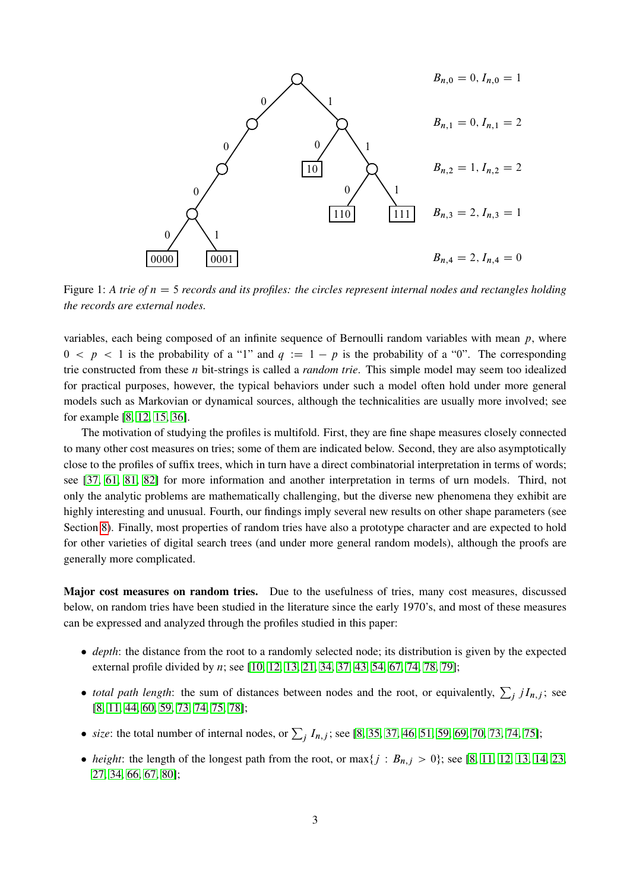

<span id="page-2-0"></span>Figure 1: A trie of  $n = 5$  *records and its profiles: the circles represent internal nodes and rectangles holding the records are external nodes.*

variables, each being composed of an infinite sequence of Bernoulli random variables with mean  $p$ , where  $0 < p < 1$  is the probability of a "1" and  $q := 1 - p$  is the probability of a "0". The corresponding trie constructed from these n bit-strings is called a *random trie*. This simple model may seem too idealized for practical purposes, however, the typical behaviors under such a model often hold under more general models such as Markovian or dynamical sources, although the technicalities are usually more involved; see for example [\[8,](#page-55-2) [12,](#page-55-3) [15,](#page-55-4) [36\]](#page-57-3).

The motivation of studying the profiles is multifold. First, they are fine shape measures closely connected to many other cost measures on tries; some of them are indicated below. Second, they are also asymptotically close to the profiles of suffix trees, which in turn have a direct combinatorial interpretation in terms of words; see [\[37,](#page-57-4) [61,](#page-58-2) [81,](#page-59-3) [82\]](#page-59-0) for more information and another interpretation in terms of urn models. Third, not only the analytic problems are mathematically challenging, but the diverse new phenomena they exhibit are highly interesting and unusual. Fourth, our findings imply several new results on other shape parameters (see Section [8\)](#page-46-0). Finally, most properties of random tries have also a prototype character and are expected to hold for other varieties of digital search trees (and under more general random models), although the proofs are generally more complicated.

Major cost measures on random tries. Due to the usefulness of tries, many cost measures, discussed below, on random tries have been studied in the literature since the early 1970's, and most of these measures can be expressed and analyzed through the profiles studied in this paper:

- *depth*: the distance from the root to a randomly selected node; its distribution is given by the expected external profile divided by *n*; see [\[10,](#page-55-5) [12,](#page-55-3) [13,](#page-55-6) [21,](#page-56-2) [34,](#page-56-3) [37,](#page-57-4) [43,](#page-57-5) [54,](#page-58-3) [67,](#page-58-4) [74,](#page-59-4) [78,](#page-59-5) [79\]](#page-59-6);
- *total path length*: the sum of distances between nodes and the root, or equivalently,  $\sum_j jI_{n,j}$ ; see [\[8,](#page-55-2) [11,](#page-55-7) [44,](#page-57-6) [60,](#page-58-5) [59,](#page-58-6) [73,](#page-58-7) [74,](#page-59-4) [75,](#page-59-7) [78\]](#page-59-5);
- *size*: the total number of internal nodes, or  $\sum_{j} I_{n,j}$ ; see [\[8,](#page-55-2) [35,](#page-56-4) [37,](#page-57-4) [46,](#page-57-7) [51,](#page-57-0) [59,](#page-58-6) [69,](#page-58-8) [70,](#page-58-9) [73,](#page-58-7) [74,](#page-59-4) [75\]](#page-59-7);
- *height*: the length of the longest path from the root, or  $\max\{j : B_{n,j} > 0\}$ ; see [\[8,](#page-55-2) [11,](#page-55-7) [12,](#page-55-3) [13,](#page-55-6) [14,](#page-55-8) [23,](#page-56-5) [27,](#page-56-6) [34,](#page-56-3) [66,](#page-58-10) [67,](#page-58-4) [80\]](#page-59-8);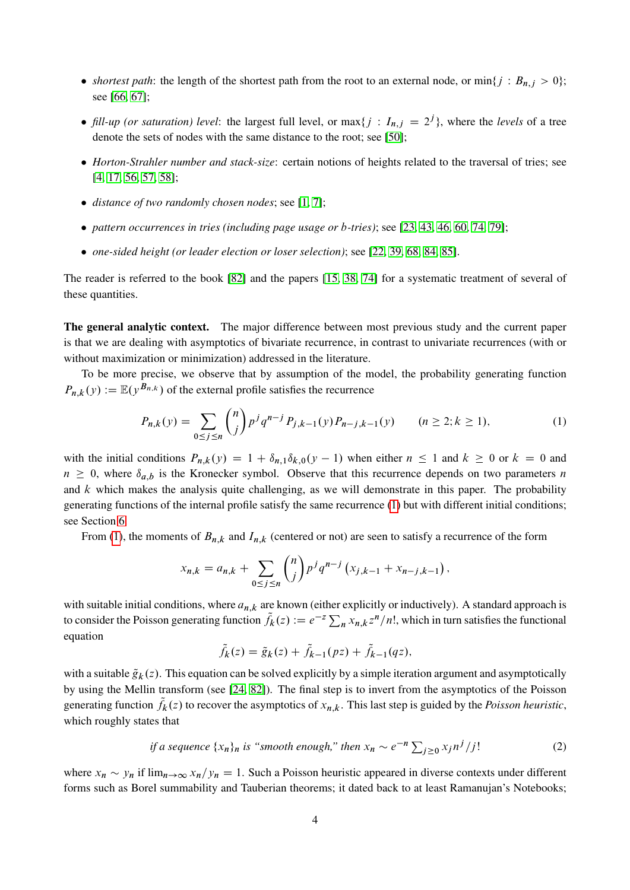- *shortest path*: the length of the shortest path from the root to an external node, or  $\min\{j : B_{n,j} > 0\}$ ; see [\[66,](#page-58-10) [67\]](#page-58-4);
- *fill-up (or saturation) level*: the largest full level, or  $max\{j : I_{n,j} = 2^j\}$ , where the *levels* of a tree denote the sets of nodes with the same distance to the root; see [\[50\]](#page-57-8);
- *Horton-Strahler number and stack-size*: certain notions of heights related to the traversal of tries; see [\[4,](#page-55-9) [17,](#page-55-10) [56,](#page-58-11) [57,](#page-58-12) [58\]](#page-58-13);
- *distance of two randomly chosen nodes*; see [\[1,](#page-55-11) [7\]](#page-55-12);
- *pattern occurrences in tries (including page usage or* b*-tries)*; see [\[23,](#page-56-5) [43,](#page-57-5) [46,](#page-57-7) [60,](#page-58-5) [74,](#page-59-4) [79\]](#page-59-6);
- *one-sided height (or leader election or loser selection)*; see [\[22,](#page-56-7) [39,](#page-57-9) [68,](#page-58-14) [84,](#page-59-9) [85\]](#page-59-10).

The reader is referred to the book [\[82\]](#page-59-0) and the papers [\[15,](#page-55-4) [38,](#page-57-10) [74\]](#page-59-4) for a systematic treatment of several of these quantities.

The general analytic context. The major difference between most previous study and the current paper is that we are dealing with asymptotics of bivariate recurrence, in contrast to univariate recurrences (with or without maximization or minimization) addressed in the literature.

To be more precise, we observe that by assumption of the model, the probability generating function  $P_{n,k}(y) := \mathbb{E}(y^{B_{n,k}})$  of the external profile satisfies the recurrence

$$
P_{n,k}(y) = \sum_{0 \le j \le n} {n \choose j} p^j q^{n-j} P_{j,k-1}(y) P_{n-j,k-1}(y) \qquad (n \ge 2; k \ge 1),
$$
 (1)

with the initial conditions  $P_{n,k}(y) = 1 + \delta_{n,1}\delta_{k,0}(y - 1)$  when either  $n \le 1$  and  $k \ge 0$  or  $k = 0$  and  $n \geq 0$ , where  $\delta_{a,b}$  is the Kronecker symbol. Observe that this recurrence depends on two parameters n and  $k$  which makes the analysis quite challenging, as we will demonstrate in this paper. The probability generating functions of the internal profile satisfy the same recurrence [\(1\)](#page-3-0) but with different initial conditions; see Section [6.](#page-40-0)

From [\(1\)](#page-3-0), the moments of  $B_{n,k}$  and  $I_{n,k}$  (centered or not) are seen to satisfy a recurrence of the form

<span id="page-3-0"></span>
$$
x_{n,k} = a_{n,k} + \sum_{0 \le j \le n} {n \choose j} p^j q^{n-j} (x_{j,k-1} + x_{n-j,k-1}),
$$

with suitable initial conditions, where  $a_{n,k}$  are known (either explicitly or inductively). A standard approach is to consider the Poisson generating function  $\tilde{f}_k(z) := e^{-z} \sum_n x_{n,k} z^n/n!$ , which in turn satisfies the functional equation

<span id="page-3-1"></span>
$$
\tilde{f}_k(z) = \tilde{g}_k(z) + \tilde{f}_{k-1}(pz) + \tilde{f}_{k-1}(qz),
$$

with a suitable  $\tilde{g}_k(z)$ . This equation can be solved explicitly by a simple iteration argument and asymptotically by using the Mellin transform (see [\[24,](#page-56-8) [82\]](#page-59-0)). The final step is to invert from the asymptotics of the Poisson generating function  $\tilde{f}_k(z)$  to recover the asymptotics of  $x_{n,k}$ . This last step is guided by the *Poisson heuristic*, which roughly states that

if a sequence 
$$
\{x_n\}_n
$$
 is "smooth enough," then  $x_n \sim e^{-n} \sum_{j\geq 0} x_j n^j / j!$  (2)

where  $x_n \sim y_n$  if  $\lim_{n\to\infty} x_n/y_n = 1$ . Such a Poisson heuristic appeared in diverse contexts under different forms such as Borel summability and Tauberian theorems; it dated back to at least Ramanujan's Notebooks;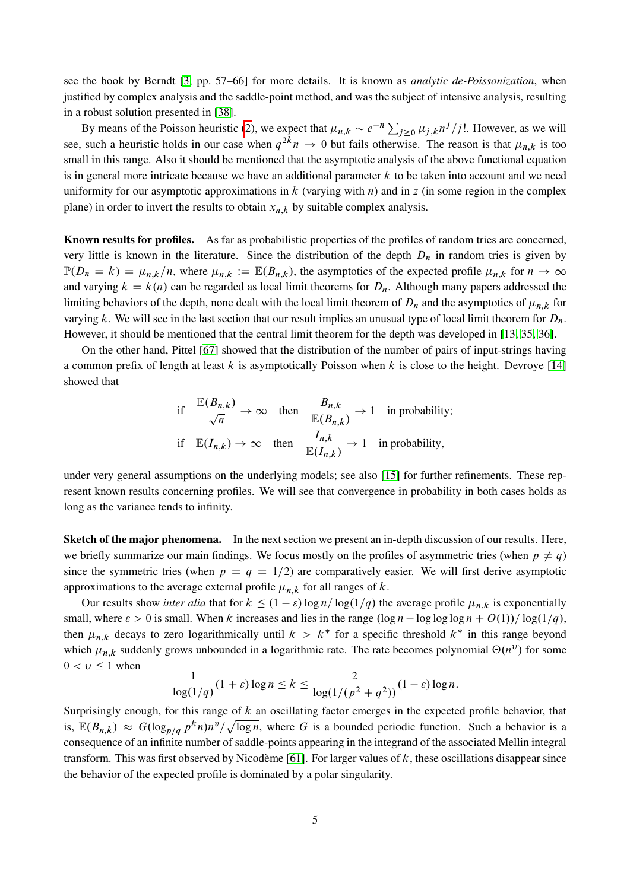see the book by Berndt [\[3,](#page-55-13) pp. 57–66] for more details. It is known as *analytic de-Poissonization*, when justified by complex analysis and the saddle-point method, and was the subject of intensive analysis, resulting in a robust solution presented in [\[38\]](#page-57-10).

By means of the Poisson heuristic [\(2\)](#page-3-1), we expect that  $\mu_{n,k} \sim e^{-n} \sum_{j \ge 0} \mu_{j,k} n^j / j!$ . However, as we will see, such a heuristic holds in our case when  $q^{2k}n \to 0$  but fails otherwise. The reason is that  $\mu_{n,k}$  is too small in this range. Also it should be mentioned that the asymptotic analysis of the above functional equation is in general more intricate because we have an additional parameter  $k$  to be taken into account and we need uniformity for our asymptotic approximations in k (varying with n) and in z (in some region in the complex plane) in order to invert the results to obtain  $x_{n,k}$  by suitable complex analysis.

Known results for profiles. As far as probabilistic properties of the profiles of random tries are concerned, very little is known in the literature. Since the distribution of the depth  $D_n$  in random tries is given by  $\mathbb{P}(D_n = k) = \mu_{n,k}/n$ , where  $\mu_{n,k} := \mathbb{E}(B_{n,k})$ , the asymptotics of the expected profile  $\mu_{n,k}$  for  $n \to \infty$ and varying  $k = k(n)$  can be regarded as local limit theorems for  $D_n$ . Although many papers addressed the limiting behaviors of the depth, none dealt with the local limit theorem of  $D_n$  and the asymptotics of  $\mu_{n,k}$  for varying k. We will see in the last section that our result implies an unusual type of local limit theorem for  $D_n$ . However, it should be mentioned that the central limit theorem for the depth was developed in [\[13,](#page-55-6) [35,](#page-56-4) [36\]](#page-57-3).

On the other hand, Pittel [\[67\]](#page-58-4) showed that the distribution of the number of pairs of input-strings having a common prefix of length at least k is asymptotically Poisson when k is close to the height. Devroye [\[14\]](#page-55-8) showed that

if 
$$
\frac{\mathbb{E}(B_{n,k})}{\sqrt{n}} \to \infty
$$
 then  $\frac{B_{n,k}}{\mathbb{E}(B_{n,k})} \to 1$  in probability;  
if  $\mathbb{E}(I_{n,k}) \to \infty$  then  $\frac{I_{n,k}}{\mathbb{E}(I_{n,k})} \to 1$  in probability,

under very general assumptions on the underlying models; see also [\[15\]](#page-55-4) for further refinements. These represent known results concerning profiles. We will see that convergence in probability in both cases holds as long as the variance tends to infinity.

Sketch of the major phenomena. In the next section we present an in-depth discussion of our results. Here, we briefly summarize our main findings. We focus mostly on the profiles of asymmetric tries (when  $p \neq q$ ) since the symmetric tries (when  $p = q = 1/2$ ) are comparatively easier. We will first derive asymptotic approximations to the average external profile  $\mu_{n,k}$  for all ranges of k.

Our results show *inter alia* that for  $k \leq (1 - \varepsilon) \log n / \log(1/q)$  the average profile  $\mu_{n,k}$  is exponentially small, where  $\varepsilon > 0$  is small. When k increases and lies in the range  $(\log n - \log \log \log n + O(1))/\log(1/q)$ , then  $\mu_{n,k}$  decays to zero logarithmically until  $k > k^*$  for a specific threshold  $k^*$  in this range beyond which  $\mu_{n,k}$  suddenly grows unbounded in a logarithmic rate. The rate becomes polynomial  $\Theta(n^{\nu})$  for some  $0 < v \leq 1$  when

$$
\frac{1}{\log(1/q)}(1+\varepsilon)\log n \le k \le \frac{2}{\log(1/(p^2+q^2))}(1-\varepsilon)\log n.
$$

Surprisingly enough, for this range of  $k$  an oscillating factor emerges in the expected profile behavior, that is,  $\mathbb{E}(B_{n,k}) \approx G(\log_{p/q} p^k n) n^v / \sqrt{\log n}$ , where G is a bounded periodic function. Such a behavior is a consequence of an infinite number of saddle-points appearing in the integrand of the associated Mellin integral transform. This was first observed by Nicodème [\[61\]](#page-58-2). For larger values of  $k$ , these oscillations disappear since the behavior of the expected profile is dominated by a polar singularity.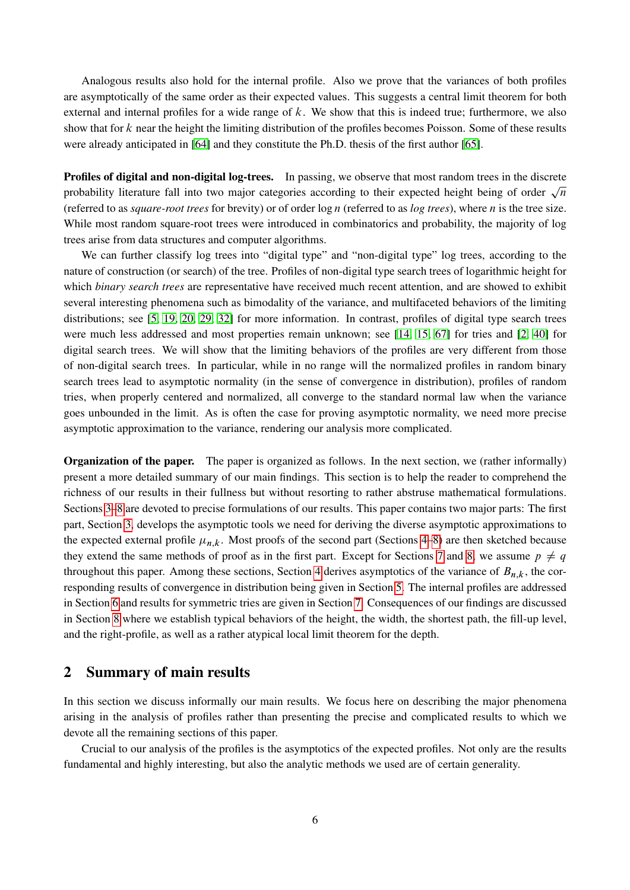Analogous results also hold for the internal profile. Also we prove that the variances of both profiles are asymptotically of the same order as their expected values. This suggests a central limit theorem for both external and internal profiles for a wide range of  $k$ . We show that this is indeed true; furthermore, we also show that for  $k$  near the height the limiting distribution of the profiles becomes Poisson. Some of these results were already anticipated in [\[64\]](#page-58-15) and they constitute the Ph.D. thesis of the first author [\[65\]](#page-58-16).

Profiles of digital and non-digital log-trees. In passing, we observe that most random trees in the discrete **Promes of digital and non-digital log-trees.** In passing, we observe that most random trees in the discrete probability literature fall into two major categories according to their expected height being of order  $\sqrt{n}$ (referred to as *square-root trees* for brevity) or of order log n (referred to as *log trees*), where n is the tree size. While most random square-root trees were introduced in combinatorics and probability, the majority of log trees arise from data structures and computer algorithms.

We can further classify log trees into "digital type" and "non-digital type" log trees, according to the nature of construction (or search) of the tree. Profiles of non-digital type search trees of logarithmic height for which *binary search trees* are representative have received much recent attention, and are showed to exhibit several interesting phenomena such as bimodality of the variance, and multifaceted behaviors of the limiting distributions; see [\[5,](#page-55-14) [19,](#page-56-9) [20,](#page-56-10) [29,](#page-56-11) [32\]](#page-56-12) for more information. In contrast, profiles of digital type search trees were much less addressed and most properties remain unknown; see [\[14,](#page-55-8) [15,](#page-55-4) [67\]](#page-58-4) for tries and [\[2,](#page-55-15) [40\]](#page-57-11) for digital search trees. We will show that the limiting behaviors of the profiles are very different from those of non-digital search trees. In particular, while in no range will the normalized profiles in random binary search trees lead to asymptotic normality (in the sense of convergence in distribution), profiles of random tries, when properly centered and normalized, all converge to the standard normal law when the variance goes unbounded in the limit. As is often the case for proving asymptotic normality, we need more precise asymptotic approximation to the variance, rendering our analysis more complicated.

Organization of the paper. The paper is organized as follows. In the next section, we (rather informally) present a more detailed summary of our main findings. This section is to help the reader to comprehend the richness of our results in their fullness but without resorting to rather abstruse mathematical formulations. Sections [3–](#page-10-0)[8](#page-46-0) are devoted to precise formulations of our results. This paper contains two major parts: The first part, Section [3,](#page-10-0) develops the asymptotic tools we need for deriving the diverse asymptotic approximations to the expected external profile  $\mu_{n,k}$ . Most proofs of the second part (Sections [4](#page-31-0)[–8\)](#page-46-0) are then sketched because they extend the same methods of proof as in the first part. Except for Sections [7](#page-44-0) and [8,](#page-46-0) we assume  $p \neq q$ throughout this paper. Among these sections, Section [4](#page-31-0) derives asymptotics of the variance of  $B_{n,k}$ , the corresponding results of convergence in distribution being given in Section [5.](#page-35-0) The internal profiles are addressed in Section [6](#page-40-0) and results for symmetric tries are given in Section [7.](#page-44-0) Consequences of our findings are discussed in Section [8](#page-46-0) where we establish typical behaviors of the height, the width, the shortest path, the fill-up level, and the right-profile, as well as a rather atypical local limit theorem for the depth.

## 2 Summary of main results

In this section we discuss informally our main results. We focus here on describing the major phenomena arising in the analysis of profiles rather than presenting the precise and complicated results to which we devote all the remaining sections of this paper.

Crucial to our analysis of the profiles is the asymptotics of the expected profiles. Not only are the results fundamental and highly interesting, but also the analytic methods we used are of certain generality.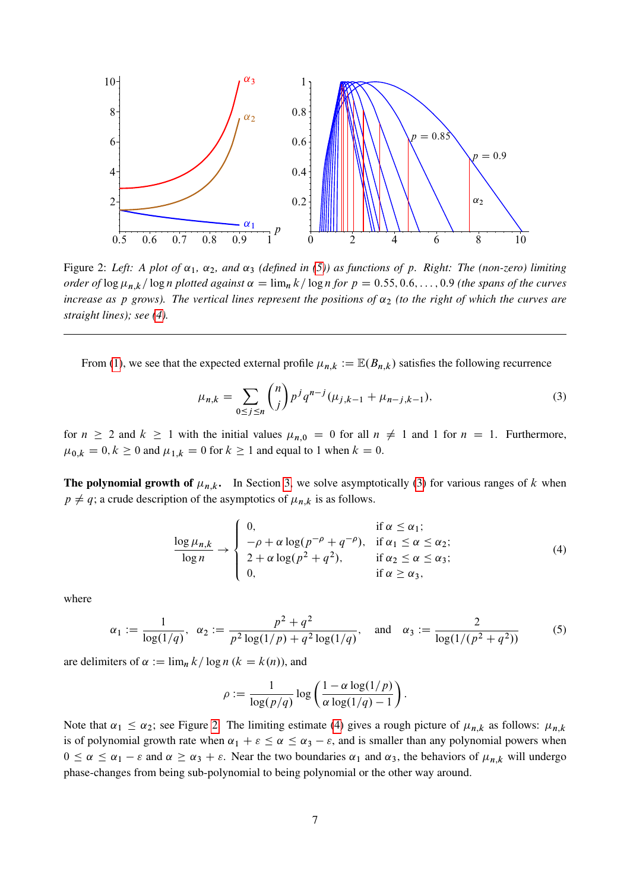

<span id="page-6-3"></span>Figure 2: Left: A plot of  $\alpha_1$ ,  $\alpha_2$ , and  $\alpha_3$  (defined in [\(5\)](#page-6-0)) as functions of p. Right: The (non-zero) limiting *order of*  $\log \mu_{n,k}/\log n$  *plotted against*  $\alpha = \lim_{n \to \infty} k/\log n$  *for*  $p = 0.55, 0.6, \ldots, 0.9$  *(the spans of the curves increase as p grows). The vertical lines represent the positions of*  $\alpha_2$  *(to the right of which the curves are straight lines); see [\(4\)](#page-6-1).*

From [\(1\)](#page-3-0), we see that the expected external profile  $\mu_{n,k} := \mathbb{E}(B_{n,k})$  satisfies the following recurrence

<span id="page-6-2"></span>
$$
\mu_{n,k} = \sum_{0 \le j \le n} \binom{n}{j} p^j q^{n-j} (\mu_{j,k-1} + \mu_{n-j,k-1}),\tag{3}
$$

for  $n \ge 2$  and  $k \ge 1$  with the initial values  $\mu_{n,0} = 0$  for all  $n \ne 1$  and 1 for  $n = 1$ . Furthermore,  $\mu_{0,k} = 0, k \ge 0$  and  $\mu_{1,k} = 0$  for  $k \ge 1$  and equal to 1 when  $k = 0$ .

**The polynomial growth of**  $\mu_{n,k}$ **.** In Section [3,](#page-10-0) we solve asymptotically [\(3\)](#page-6-2) for various ranges of k when  $p \neq q$ ; a crude description of the asymptotics of  $\mu_{n,k}$  is as follows.

$$
\frac{\log \mu_{n,k}}{\log n} \to \begin{cases} 0, & \text{if } \alpha \leq \alpha_1; \\ -\rho + \alpha \log(p^{-\rho} + q^{-\rho}), & \text{if } \alpha_1 \leq \alpha \leq \alpha_2; \\ 2 + \alpha \log(p^2 + q^2), & \text{if } \alpha_2 \leq \alpha \leq \alpha_3; \\ 0, & \text{if } \alpha \geq \alpha_3, \end{cases}
$$
(4)

where

$$
\alpha_1 := \frac{1}{\log(1/q)}, \ \ \alpha_2 := \frac{p^2 + q^2}{p^2 \log(1/p) + q^2 \log(1/q)}, \quad \text{and} \quad \alpha_3 := \frac{2}{\log(1/(p^2 + q^2))}
$$
(5)

are delimiters of  $\alpha := \lim_{n \to \infty} k / \log n$  ( $k = k(n)$ ), and

<span id="page-6-1"></span><span id="page-6-0"></span>
$$
\rho := \frac{1}{\log(p/q)} \log \left( \frac{1 - \alpha \log(1/p)}{\alpha \log(1/q) - 1} \right).
$$

Note that  $\alpha_1 \le \alpha_2$ ; see Figure [2.](#page-6-3) The limiting estimate [\(4\)](#page-6-1) gives a rough picture of  $\mu_{n,k}$  as follows:  $\mu_{n,k}$ is of polynomial growth rate when  $\alpha_1 + \varepsilon \le \alpha \le \alpha_3 - \varepsilon$ , and is smaller than any polynomial powers when  $0 \le \alpha \le \alpha_1 - \varepsilon$  and  $\alpha \ge \alpha_3 + \varepsilon$ . Near the two boundaries  $\alpha_1$  and  $\alpha_3$ , the behaviors of  $\mu_{n,k}$  will undergo phase-changes from being sub-polynomial to being polynomial or the other way around.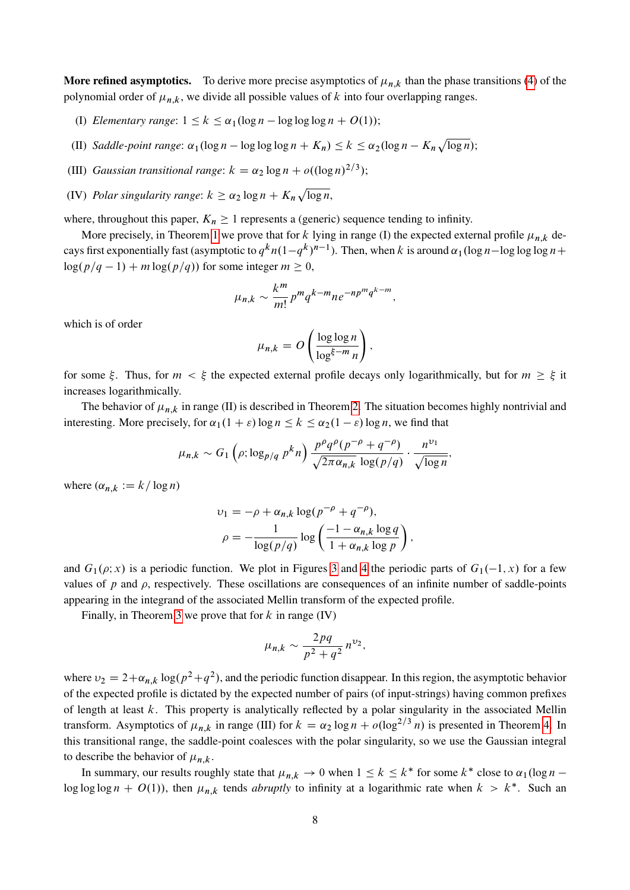More refined asymptotics. To derive more precise asymptotics of  $\mu_{n,k}$  than the phase transitions [\(4\)](#page-6-1) of the polynomial order of  $\mu_{n,k}$ , we divide all possible values of k into four overlapping ranges.

- (I) *Elementary range*:  $1 \le k \le \alpha_1(\log n \log \log \log n + O(1));$
- (II) *Saddle-point range*:  $\alpha_1(\log n \log \log \log n + K_n) \leq k \leq \alpha_2(\log n K_n \sqrt{\log n});$
- (III) *Gaussian transitional range*:  $k = \alpha_2 \log n + o((\log n)^{2/3})$ ;
- (IV) Polar singularity range:  $k \ge \alpha_2 \log n + K_n \sqrt{\log n}$ ,

where, throughout this paper,  $K_n \geq 1$  represents a (generic) sequence tending to infinity.

More precisely, in Theorem [1](#page-15-0) we prove that for k lying in range (I) the expected external profile  $\mu_{n,k}$  decays first exponentially fast (asymptotic to  $q^k n(1-q^k)^{n-1}$ ). Then, when k is around  $\alpha_1(\log n - \log \log \log n +$  $\log(p/q-1) + m \log(p/q)$  for some integer  $m \geq 0$ ,

$$
\mu_{n,k} \sim \frac{k^m}{m!} p^m q^{k-m} n e^{-np^m q^{k-m}},
$$

which is of order

$$
\mu_{n,k} = O\left(\frac{\log \log n}{\log^{\xi-m} n}\right),\,
$$

for some  $\xi$ . Thus, for  $m < \xi$  the expected external profile decays only logarithmically, but for  $m \geq \xi$  it increases logarithmically.

The behavior of  $\mu_{n,k}$  in range (II) is described in Theorem [2.](#page-18-0) The situation becomes highly nontrivial and interesting. More precisely, for  $\alpha_1(1 + \varepsilon) \log n \le k \le \alpha_2(1 - \varepsilon) \log n$ , we find that

$$
\mu_{n,k} \sim G_1\left(\rho; \log_{p/q} p^k n\right) \frac{p^{\rho} q^{\rho} (p^{-\rho} + q^{-\rho})}{\sqrt{2\pi \alpha_{n,k}} \log(p/q)} \cdot \frac{n^{\nu_1}}{\sqrt{\log n}},
$$

where  $(\alpha_{n,k} := k / \log n)$ 

$$
v_1 = -\rho + \alpha_{n,k} \log(p^{-\rho} + q^{-\rho}),
$$
  

$$
\rho = -\frac{1}{\log(p/q)} \log \left( \frac{-1 - \alpha_{n,k} \log q}{1 + \alpha_{n,k} \log p} \right),
$$

and  $G_1(\rho; x)$  is a periodic function. We plot in Figures [3](#page-8-0) and [4](#page-8-1) the periodic parts of  $G_1(-1, x)$  for a few values of  $p$  and  $\rho$ , respectively. These oscillations are consequences of an infinite number of saddle-points appearing in the integrand of the associated Mellin transform of the expected profile.

Finally, in Theorem [3](#page-24-0) we prove that for  $k$  in range (IV)

$$
\mu_{n,k} \sim \frac{2pq}{p^2+q^2} n^{\nu_2},
$$

where  $v_2 = 2 + \alpha_{n,k} \log(p^2 + q^2)$ , and the periodic function disappear. In this region, the asymptotic behavior of the expected profile is dictated by the expected number of pairs (of input-strings) having common prefixes of length at least  $k$ . This property is analytically reflected by a polar singularity in the associated Mellin transform. Asymptotics of  $\mu_{n,k}$  in range (III) for  $k = \alpha_2 \log n + o(\log^{2/3} n)$  is presented in Theorem [4.](#page-26-0) In this transitional range, the saddle-point coalesces with the polar singularity, so we use the Gaussian integral to describe the behavior of  $\mu_{n,k}$ .

In summary, our results roughly state that  $\mu_{n,k} \to 0$  when  $1 \leq k \leq k^*$  for some  $k^*$  close to  $\alpha_1(\log n$ log log log  $n + O(1)$ ), then  $\mu_{n,k}$  tends *abruptly* to infinity at a logarithmic rate when  $k > k^*$ . Such an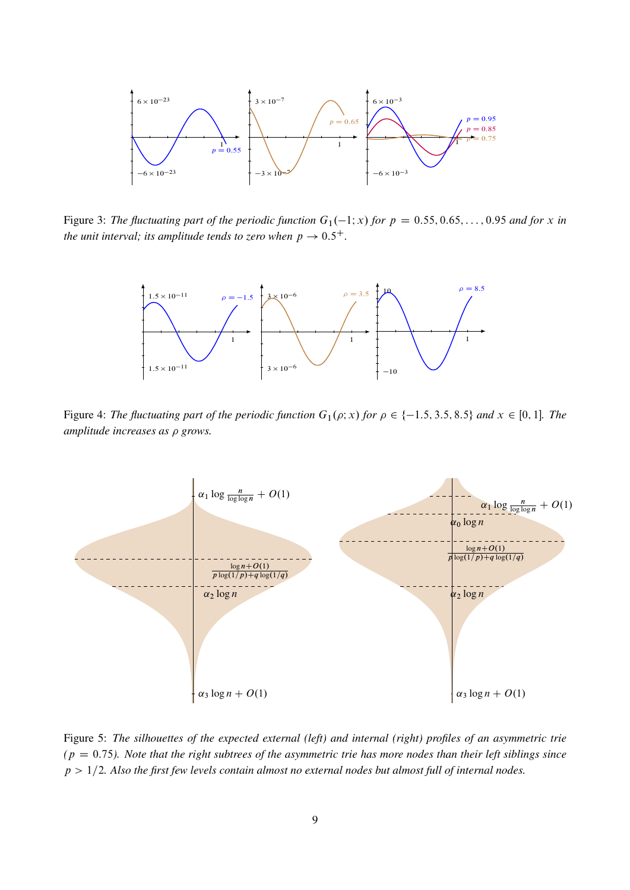

<span id="page-8-0"></span>Figure 3: *The fluctuating part of the periodic function*  $G_1(-1; x)$  *for*  $p = 0.55, 0.65, ..., 0.95$  *and for* x *in the unit interval; its amplitude tends to zero when*  $p \rightarrow 0.5^{+}$ *.* 



<span id="page-8-1"></span>Figure 4: *The fluctuating part of the periodic function*  $G_1(\rho; x)$  *for*  $\rho \in \{-1.5, 3.5, 8.5\}$  *and*  $x \in [0, 1]$ *. The amplitude increases as grows.*



<span id="page-8-2"></span>Figure 5: *The silhouettes of the expected external (left) and internal (right) profiles of an asymmetric trie*  $(p = 0.75)$ . Note that the right subtrees of the asymmetric trie has more nodes than their left siblings since  $p > 1/2$ . Also the first few levels contain almost no external nodes but almost full of internal nodes.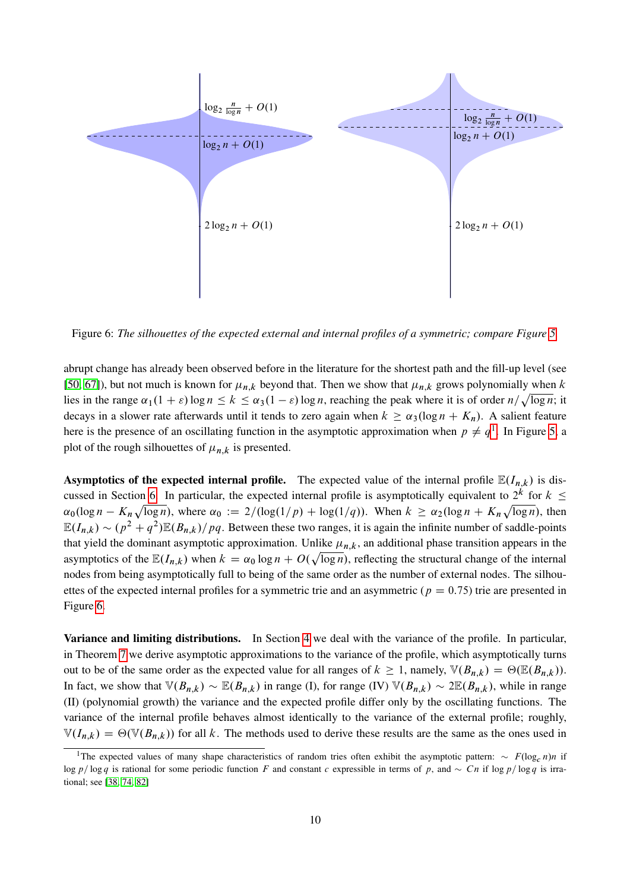

<span id="page-9-1"></span>Figure 6: *The silhouettes of the expected external and internal profiles of a symmetric; compare Figure [5.](#page-8-2)*

abrupt change has already been observed before in the literature for the shortest path and the fill-up level (see [\[50,](#page-57-8) [67\]](#page-58-4)), but not much is known for  $\mu_{n,k}$  beyond that. Then we show that  $\mu_{n,k}$  grows polynomially when k lies in the range  $\alpha_1(1+\varepsilon)\log n \le k \le \alpha_3(1-\varepsilon)\log n$ , reaching the peak where it is of order  $n/\sqrt{\log n}$ ; it decays in a slower rate afterwards until it tends to zero again when  $k \ge \alpha_3(\log n + K_n)$ . A salient feature here is the presence of an oscillating function in the asymptotic approximation when  $p \neq q^1$  $p \neq q^1$ . In Figure [5,](#page-8-2) a plot of the rough silhouettes of  $\mu_{n,k}$  is presented.

Asymptotics of the expected internal profile. The expected value of the internal profile  $\mathbb{E}(I_{n,k})$  is dis-cussed in Section [6.](#page-40-0) In particular, the expected internal profile is asymptotically equivalent to  $2^k$  for  $k \leq$  $\alpha_0(\log n - K_n\sqrt{\log n})$ , where  $\alpha_0 := 2/(\log(1/p) + \log(1/q))$ . When  $k \ge \alpha_2(\log n + K_n\sqrt{\log n})$ , then  $\mathbb{E}(I_{n,k}) \sim (p^2 + q^2)\mathbb{E}(B_{n,k})/pq$ . Between these two ranges, it is again the infinite number of saddle-points that yield the dominant asymptotic approximation. Unlike  $\mu_{n,k}$ , an additional phase transition appears in the asymptotics of the  $\mathbb{E}(I_{n,k})$  when  $k = \alpha_0 \log n + O(\sqrt{\log n})$ , reflecting the structural change of the internal nodes from being asymptotically full to being of the same order as the number of external nodes. The silhouettes of the expected internal profiles for a symmetric trie and an asymmetric ( $p = 0.75$ ) trie are presented in Figure [6.](#page-9-1)

Variance and limiting distributions. In Section [4](#page-31-0) we deal with the variance of the profile. In particular, in Theorem [7](#page-33-0) we derive asymptotic approximations to the variance of the profile, which asymptotically turns out to be of the same order as the expected value for all ranges of  $k \ge 1$ , namely,  $\mathbb{V}(B_{n,k}) = \Theta(\mathbb{E}(B_{n,k}))$ . In fact, we show that  $\mathbb{V}(B_{n,k}) \sim \mathbb{E}(B_{n,k})$  in range (I), for range (IV)  $\mathbb{V}(B_{n,k}) \sim 2\mathbb{E}(B_{n,k})$ , while in range (II) (polynomial growth) the variance and the expected profile differ only by the oscillating functions. The variance of the internal profile behaves almost identically to the variance of the external profile; roughly,  $\mathbb{V}(I_{n,k}) = \Theta(\mathbb{V}(B_{n,k}))$  for all k. The methods used to derive these results are the same as the ones used in

<span id="page-9-0"></span><sup>&</sup>lt;sup>1</sup>The expected values of many shape characteristics of random tries often exhibit the asymptotic pattern:  $\sim F(\log_c n)n$  if log p / log q is rational for some periodic function F and constant c expressible in terms of p, and  $\sim Cn$  if log p / log q is irrational; see [\[38,](#page-57-10) [74,](#page-59-4) [82\]](#page-59-0)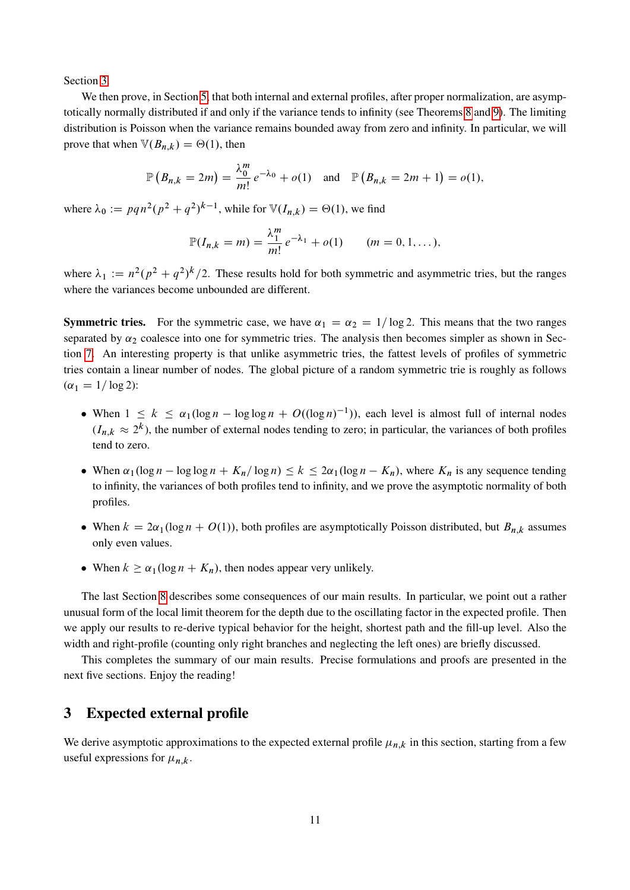Section [3.](#page-10-0)

We then prove, in Section [5,](#page-35-0) that both internal and external profiles, after proper normalization, are asymptotically normally distributed if and only if the variance tends to infinity (see Theorems [8](#page-35-1) and [9\)](#page-43-0). The limiting distribution is Poisson when the variance remains bounded away from zero and infinity. In particular, we will prove that when  $\mathbb{V}(B_{n,k}) = \Theta(1)$ , then

$$
\mathbb{P}(B_{n,k} = 2m) = \frac{\lambda_0^m}{m!} e^{-\lambda_0} + o(1) \text{ and } \mathbb{P}(B_{n,k} = 2m + 1) = o(1),
$$

where  $\lambda_0 := p q n^2 (p^2 + q^2)^{k-1}$ , while for  $\mathbb{V}(I_{n,k}) = \Theta(1)$ , we find

$$
\mathbb{P}(I_{n,k}=m)=\frac{\lambda_1^m}{m!}e^{-\lambda_1}+o(1) \qquad (m=0,1,\ldots),
$$

where  $\lambda_1 := n^2 (p^2 + q^2)^k / 2$ . These results hold for both symmetric and asymmetric tries, but the ranges where the variances become unbounded are different.

**Symmetric tries.** For the symmetric case, we have  $\alpha_1 = \alpha_2 = 1/\log 2$ . This means that the two ranges separated by  $\alpha_2$  coalesce into one for symmetric tries. The analysis then becomes simpler as shown in Section [7.](#page-44-0) An interesting property is that unlike asymmetric tries, the fattest levels of profiles of symmetric tries contain a linear number of nodes. The global picture of a random symmetric trie is roughly as follows  $(\alpha_1 = 1/\log 2)$ :

- When  $1 \le k \le \alpha_1 (\log n \log \log n + O((\log n)^{-1}))$ , each level is almost full of internal nodes  $(I_{n,k} \approx 2^k)$ , the number of external nodes tending to zero; in particular, the variances of both profiles tend to zero.
- When  $\alpha_1(\log n \log \log n + K_n/\log n) \le k \le 2\alpha_1(\log n K_n)$ , where  $K_n$  is any sequence tending to infinity, the variances of both profiles tend to infinity, and we prove the asymptotic normality of both profiles.
- When  $k = 2\alpha_1(\log n + O(1))$ , both profiles are asymptotically Poisson distributed, but  $B_{n,k}$  assumes only even values.
- When  $k \ge \alpha_1(\log n + K_n)$ , then nodes appear very unlikely.

The last Section [8](#page-46-0) describes some consequences of our main results. In particular, we point out a rather unusual form of the local limit theorem for the depth due to the oscillating factor in the expected profile. Then we apply our results to re-derive typical behavior for the height, shortest path and the fill-up level. Also the width and right-profile (counting only right branches and neglecting the left ones) are briefly discussed.

This completes the summary of our main results. Precise formulations and proofs are presented in the next five sections. Enjoy the reading!

## <span id="page-10-0"></span>3 Expected external profile

We derive asymptotic approximations to the expected external profile  $\mu_{n,k}$  in this section, starting from a few useful expressions for  $\mu_{n,k}$ .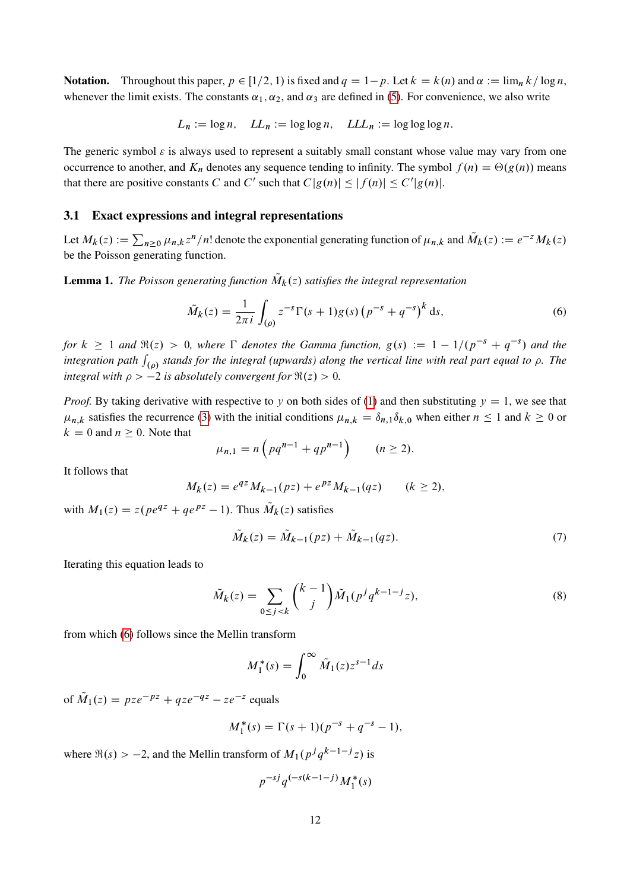**Notation.** Throughout this paper,  $p \in [1/2, 1)$  is fixed and  $q = 1-p$ . Let  $k = k(n)$  and  $\alpha := \lim_{n \to \infty} k/\log n$ , whenever the limit exists. The constants  $\alpha_1, \alpha_2$ , and  $\alpha_3$  are defined in [\(5\)](#page-6-0). For convenience, we also write

$$
L_n := \log n
$$
,  $LL_n := \log \log n$ ,  $LLL_n := \log \log \log n$ .

The generic symbol  $\varepsilon$  is always used to represent a suitably small constant whose value may vary from one occurrence to another, and  $K_n$  denotes any sequence tending to infinity. The symbol  $f(n) = \Theta(g(n))$  means that there are positive constants C and C' such that  $C|g(n)| \le |f(n)| \le C'|g(n)|$ .

## 3.1 Exact expressions and integral representations

Let  $M_k(z) := \sum_{n\geq 0} \mu_{n,k} z^n/n!$  denote the exponential generating function of  $\mu_{n,k}$  and  $\tilde{M}_k(z) := e^{-z} M_k(z)$ be the Poisson generating function.

**Lemma 1.** The Poisson generating function  $\tilde{M}_k(z)$  satisfies the integral representation

<span id="page-11-0"></span>
$$
\tilde{M}_k(z) = \frac{1}{2\pi i} \int_{(\rho)} z^{-s} \Gamma(s+1) g(s) \left( p^{-s} + q^{-s} \right)^k ds,
$$
\n(6)

for  $k \geq 1$  and  $\Re(z) > 0$ , where  $\Gamma$  denotes the Gamma function,  $g(s) := 1 - 1/(p^{-s} + q^{-s})$  and the integration path  $\int_{(\rho)}$  stands for the integral (upwards) along the vertical line with real part equal to  $\rho$ . The *integral with*  $\rho > -2$  *is absolutely convergent for*  $\Re(z) > 0$ *.* 

*Proof.* By taking derivative with respective to y on both sides of [\(1\)](#page-3-0) and then substituting  $y = 1$ , we see that  $\mu_{n,k}$  satisfies the recurrence [\(3\)](#page-6-2) with the initial conditions  $\mu_{n,k} = \delta_{n,1}\delta_{k,0}$  when either  $n \le 1$  and  $k \ge 0$  or  $k = 0$  and  $n \ge 0$ . Note that

$$
\mu_{n,1} = n \left( p q^{n-1} + q p^{n-1} \right) \qquad (n \ge 2).
$$

It follows that

$$
M_k(z) = e^{qz} M_{k-1}(pz) + e^{pz} M_{k-1}(qz) \qquad (k \ge 2),
$$

with  $M_1(z) = z(\rho e^{qz} + q e^{pz} - 1)$ . Thus  $\tilde{M}_k(z)$  satisfies

<span id="page-11-2"></span>
$$
\tilde{M}_k(z) = \tilde{M}_{k-1}(pz) + \tilde{M}_{k-1}(qz). \tag{7}
$$

Iterating this equation leads to

$$
\tilde{M}_k(z) = \sum_{0 \le j < k} \binom{k-1}{j} \tilde{M}_1(p^j q^{k-1-j} z),\tag{8}
$$

from which [\(6\)](#page-11-0) follows since the Mellin transform

<span id="page-11-1"></span>
$$
M_1^*(s) = \int_0^\infty \tilde{M}_1(z) z^{s-1} ds
$$

of  $\tilde{M}_1(z) = pze^{-pz} + qze^{-qz} - ze^{-z}$  equals

$$
M_1^*(s) = \Gamma(s+1)(p^{-s} + q^{-s} - 1),
$$

where  $\Re(s) > -2$ , and the Mellin transform of  $M_1(p^j q^{k-1-j} z)$  is

$$
p^{-sj}q^{(-s(k-1-j)}M_1^*(s)
$$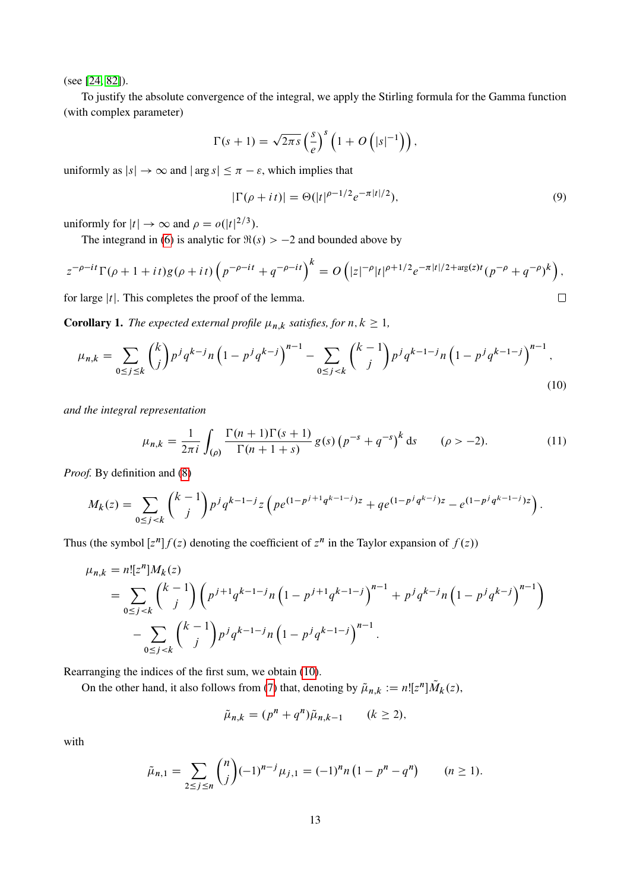(see [\[24,](#page-56-8) [82\]](#page-59-0)).

To justify the absolute convergence of the integral, we apply the Stirling formula for the Gamma function (with complex parameter)

$$
\Gamma(s+1) = \sqrt{2\pi s} \left(\frac{s}{e}\right)^s \left(1 + O\left(|s|^{-1}\right)\right),\,
$$

uniformly as  $|s| \to \infty$  and  $|\arg s| \leq \pi - \varepsilon$ , which implies that

<span id="page-12-2"></span><span id="page-12-1"></span><span id="page-12-0"></span>
$$
|\Gamma(\rho + it)| = \Theta(|t|^{\rho - 1/2} e^{-\pi |t|/2}),\tag{9}
$$

uniformly for  $|t| \to \infty$  and  $\rho = o(|t|^{2/3})$ .

The integrand in [\(6\)](#page-11-0) is analytic for  $\Re(s) > -2$  and bounded above by

$$
z^{-\rho - it} \Gamma(\rho + 1 + it) g(\rho + it) \left( p^{-\rho - it} + q^{-\rho - it} \right)^k = O\left( |z|^{-\rho} |t|^{\rho + 1/2} e^{-\pi |t|/2 + \arg(z)t} (p^{-\rho} + q^{-\rho})^k \right),
$$
  
for large |t|. This completes the proof of the lemma.

for large  $|t|$ . This completes the proof of the lemma.

**Corollary 1.** *The expected external profile*  $\mu_{n,k}$  *satisfies, for*  $n, k \geq 1$ *,* 

$$
\mu_{n,k} = \sum_{0 \le j \le k} \binom{k}{j} p^j q^{k-j} n \left( 1 - p^j q^{k-j} \right)^{n-1} - \sum_{0 \le j < k} \binom{k-1}{j} p^j q^{k-1-j} n \left( 1 - p^j q^{k-1-j} \right)^{n-1},\tag{10}
$$

*and the integral representation*

$$
\mu_{n,k} = \frac{1}{2\pi i} \int_{(\rho)} \frac{\Gamma(n+1)\Gamma(s+1)}{\Gamma(n+1+s)} g(s) \left( p^{-s} + q^{-s} \right)^k ds \qquad (\rho > -2). \tag{11}
$$

*Proof.* By definition and [\(8\)](#page-11-1)

$$
M_k(z) = \sum_{0 \le j < k} \binom{k-1}{j} p^j q^{k-1-j} z \left( p e^{(1-p^{j+1} q^{k-1-j})z} + q e^{(1-p^j q^{k-j})z} - e^{(1-p^j q^{k-1-j})z} \right).
$$

Thus (the symbol  $[z^n] f(z)$  denoting the coefficient of  $z^n$  in the Taylor expansion of  $f(z)$ )

$$
\mu_{n,k} = n! [z^n] M_k(z)
$$
  
=  $\sum_{0 \le j < k} {k-1 \choose j} \left( p^{j+1} q^{k-1-j} n \left( 1 - p^{j+1} q^{k-1-j} \right)^{n-1} + p^j q^{k-j} n \left( 1 - p^j q^{k-j} \right)^{n-1} \right)$   
-  $\sum_{0 \le j < k} {k-1 \choose j} p^j q^{k-1-j} n \left( 1 - p^j q^{k-1-j} \right)^{n-1}.$ 

Rearranging the indices of the first sum, we obtain [\(10\)](#page-12-0).

On the other hand, it also follows from [\(7\)](#page-11-2) that, denoting by  $\tilde{\mu}_{n,k} := n![z^n]\tilde{M}_k(z)$ ,

$$
\tilde{\mu}_{n,k} = (p^n + q^n)\tilde{\mu}_{n,k-1} \qquad (k \ge 2),
$$

with

$$
\tilde{\mu}_{n,1} = \sum_{2 \le j \le n} {n \choose j} (-1)^{n-j} \mu_{j,1} = (-1)^n n \left( 1 - p^n - q^n \right) \qquad (n \ge 1).
$$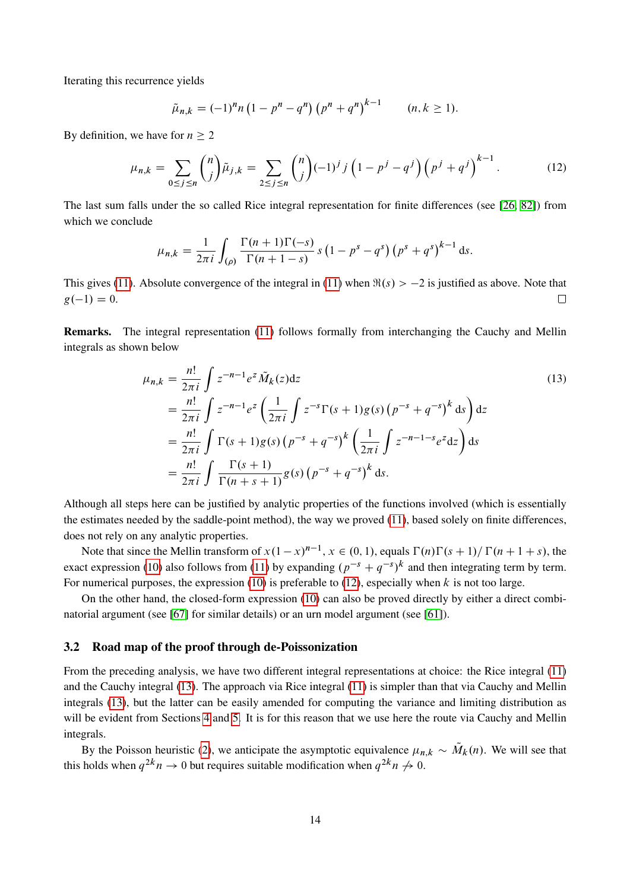Iterating this recurrence yields

<span id="page-13-0"></span>
$$
\tilde{\mu}_{n,k} = (-1)^n n \left( 1 - p^n - q^n \right) \left( p^n + q^n \right)^{k-1} \qquad (n,k \ge 1).
$$

By definition, we have for  $n \geq 2$ 

$$
\mu_{n,k} = \sum_{0 \le j \le n} \binom{n}{j} \tilde{\mu}_{j,k} = \sum_{2 \le j \le n} \binom{n}{j} (-1)^j j \left(1 - p^j - q^j\right) \left(p^j + q^j\right)^{k-1}.
$$
 (12)

The last sum falls under the so called Rice integral representation for finite differences (see [\[26,](#page-56-13) [82\]](#page-59-0)) from which we conclude

$$
\mu_{n,k} = \frac{1}{2\pi i} \int_{(\rho)} \frac{\Gamma(n+1)\Gamma(-s)}{\Gamma(n+1-s)} s (1 - p^s - q^s) (p^s + q^s)^{k-1} ds.
$$

This gives [\(11\)](#page-12-1). Absolute convergence of the integral in (11) when  $\Re(s) > -2$  is justified as above. Note that  $g(-1) = 0.$  $\Box$ 

Remarks. The integral representation [\(11\)](#page-12-1) follows formally from interchanging the Cauchy and Mellin integrals as shown below

<span id="page-13-1"></span>
$$
\mu_{n,k} = \frac{n!}{2\pi i} \int z^{-n-1} e^z \tilde{M}_k(z) dz
$$
\n
$$
= \frac{n!}{2\pi i} \int z^{-n-1} e^z \left( \frac{1}{2\pi i} \int z^{-s} \Gamma(s+1) g(s) \left( p^{-s} + q^{-s} \right)^k ds \right) dz
$$
\n
$$
= \frac{n!}{2\pi i} \int \Gamma(s+1) g(s) \left( p^{-s} + q^{-s} \right)^k \left( \frac{1}{2\pi i} \int z^{-n-1-s} e^z dz \right) ds
$$
\n
$$
= \frac{n!}{2\pi i} \int \frac{\Gamma(s+1)}{\Gamma(n+s+1)} g(s) \left( p^{-s} + q^{-s} \right)^k ds.
$$
\n(13)

Although all steps here can be justified by analytic properties of the functions involved (which is essentially the estimates needed by the saddle-point method), the way we proved [\(11\)](#page-12-1), based solely on finite differences, does not rely on any analytic properties.

Note that since the Mellin transform of  $x(1-x)^{n-1}$ ,  $x \in (0,1)$ , equals  $\Gamma(n)\Gamma(s+1)/\Gamma(n+1+s)$ , the exact expression [\(10\)](#page-12-0) also follows from [\(11\)](#page-12-1) by expanding  $(p^{-s} + q^{-s})^k$  and then integrating term by term. For numerical purposes, the expression [\(10\)](#page-12-0) is preferable to [\(12\)](#page-13-0), especially when  $k$  is not too large.

On the other hand, the closed-form expression [\(10\)](#page-12-0) can also be proved directly by either a direct combinatorial argument (see [\[67\]](#page-58-4) for similar details) or an urn model argument (see [\[61\]](#page-58-2)).

### 3.2 Road map of the proof through de-Poissonization

From the preceding analysis, we have two different integral representations at choice: the Rice integral [\(11\)](#page-12-1) and the Cauchy integral [\(13\)](#page-13-1). The approach via Rice integral [\(11\)](#page-12-1) is simpler than that via Cauchy and Mellin integrals [\(13\)](#page-13-1), but the latter can be easily amended for computing the variance and limiting distribution as will be evident from Sections [4](#page-31-0) and [5.](#page-35-0) It is for this reason that we use here the route via Cauchy and Mellin integrals.

By the Poisson heuristic [\(2\)](#page-3-1), we anticipate the asymptotic equivalence  $\mu_{n,k} \sim \tilde{M}_k(n)$ . We will see that this holds when  $q^{2k}n \to 0$  but requires suitable modification when  $q^{2k}n \to 0$ .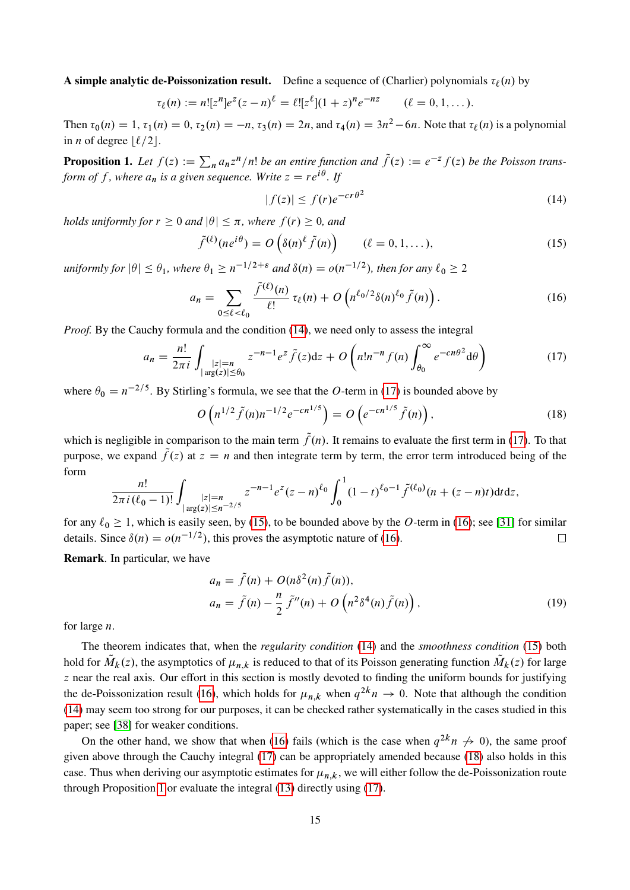A simple analytic de-Poissonization result. Define a sequence of (Charlier) polynomials  $\tau_{\ell}(n)$  by

$$
\tau_{\ell}(n) := n! [z^n] e^z (z - n)^{\ell} = {\ell}! [z^{\ell}] (1 + z)^n e^{-nz} \qquad (\ell = 0, 1, ...).
$$

Then  $\tau_0(n) = 1$ ,  $\tau_1(n) = 0$ ,  $\tau_2(n) = -n$ ,  $\tau_3(n) = 2n$ , and  $\tau_4(n) = 3n^2 - 6n$ . Note that  $\tau_\ell(n)$  is a polynomial in *n* of degree  $\lfloor \ell/2 \rfloor$ .

<span id="page-14-5"></span>**Proposition 1.** Let  $f(z) := \sum_{n} a_n z^n / n!$  be an entire function and  $\tilde{f}(z) := e^{-z} f(z)$  be the Poisson trans*form of f* , where  $a_n$  is a given sequence. Write  $z = re^{i\theta}$  . If

<span id="page-14-3"></span><span id="page-14-2"></span><span id="page-14-0"></span>
$$
|f(z)| \le f(r)e^{-cr\theta^2}
$$
 (14)

*holds uniformly for*  $r \geq 0$  *and*  $|\theta| \leq \pi$ *, where*  $f(r) \geq 0$ *, and* 

$$
\tilde{f}^{(\ell)}(ne^{i\theta}) = O\left(\delta(n)^{\ell}\tilde{f}(n)\right) \qquad (\ell = 0, 1, ...), \qquad (15)
$$

 $uniformly for$   $|\theta| \leq \theta_1$ , where  $\theta_1 \geq n^{-1/2+\varepsilon}$  and  $\delta(n) = o(n^{-1/2})$ , then for any  $\ell_0 \geq 2$ 

$$
a_n = \sum_{0 \le \ell < \ell_0} \frac{\tilde{f}^{(\ell)}(n)}{\ell!} \,\tau_\ell(n) + O\left(n^{\ell_0/2} \delta(n)^{\ell_0} \tilde{f}(n)\right). \tag{16}
$$

*Proof.* By the Cauchy formula and the condition [\(14\)](#page-14-0), we need only to assess the integral

<span id="page-14-1"></span>
$$
a_n = \frac{n!}{2\pi i} \int_{\substack{|z|=n \\ \arg(z)| \le \theta_0}} z^{-n-1} e^z \tilde{f}(z) dz + O\left(n! n^{-n} f(n) \int_{\theta_0}^{\infty} e^{-cn\theta^2} d\theta\right)
$$
(17)

where  $\theta_0 = n^{-2/5}$ . By Stirling's formula, we see that the O-term in [\(17\)](#page-14-1) is bounded above by

<span id="page-14-4"></span>
$$
O\left(n^{1/2}\tilde{f}(n)n^{-1/2}e^{-cn^{1/5}}\right) = O\left(e^{-cn^{1/5}}\tilde{f}(n)\right),\tag{18}
$$

which is negligible in comparison to the main term  $\tilde{f}(n)$ . It remains to evaluate the first term in [\(17\)](#page-14-1). To that purpose, we expand  $\tilde{f}(z)$  at  $z = n$  and then integrate term by term, the error term introduced being of the form

$$
\frac{n!}{2\pi i (\ell_0 - 1)!} \int_{|x| \leq n} z^{-n-1} e^{z} (z - n)^{\ell_0} \int_0^1 (1 - t)^{\ell_0 - 1} \tilde{f}^{(\ell_0)} (n + (z - n)t) dt dz,
$$

for any  $\ell_0 \ge 1$ , which is easily seen, by [\(15\)](#page-14-2), to be bounded above by the O-term in [\(16\)](#page-14-3); see [\[31\]](#page-56-14) for similar details. Since  $\delta(n) = o(n^{-1/2})$ , this proves the asymptotic nature of [\(16\)](#page-14-3).  $\Box$ 

Remark. In particular, we have

<span id="page-14-6"></span>
$$
a_n = \tilde{f}(n) + O(n\delta^2(n)\tilde{f}(n)),
$$
  
\n
$$
a_n = \tilde{f}(n) - \frac{n}{2}\tilde{f}''(n) + O\left(n^2\delta^4(n)\tilde{f}(n)\right),
$$
\n(19)

for large n.

The theorem indicates that, when the *regularity condition* [\(14\)](#page-14-0) and the *smoothness condition* [\(15\)](#page-14-2) both hold for  $\tilde{M}_k(z)$ , the asymptotics of  $\mu_{n,k}$  is reduced to that of its Poisson generating function  $\tilde{M}_k(z)$  for large z near the real axis. Our effort in this section is mostly devoted to finding the uniform bounds for justifying the de-Poissonization result [\(16\)](#page-14-3), which holds for  $\mu_{n,k}$  when  $q^{2k}n \to 0$ . Note that although the condition [\(14\)](#page-14-0) may seem too strong for our purposes, it can be checked rather systematically in the cases studied in this paper; see [\[38\]](#page-57-10) for weaker conditions.

On the other hand, we show that when [\(16\)](#page-14-3) fails (which is the case when  $q^{2k}n \nrightarrow 0$ ), the same proof given above through the Cauchy integral [\(17\)](#page-14-1) can be appropriately amended because [\(18\)](#page-14-4) also holds in this case. Thus when deriving our asymptotic estimates for  $\mu_{n,k}$ , we will either follow the de-Poissonization route through Proposition [1](#page-14-5) or evaluate the integral [\(13\)](#page-13-1) directly using [\(17\)](#page-14-1).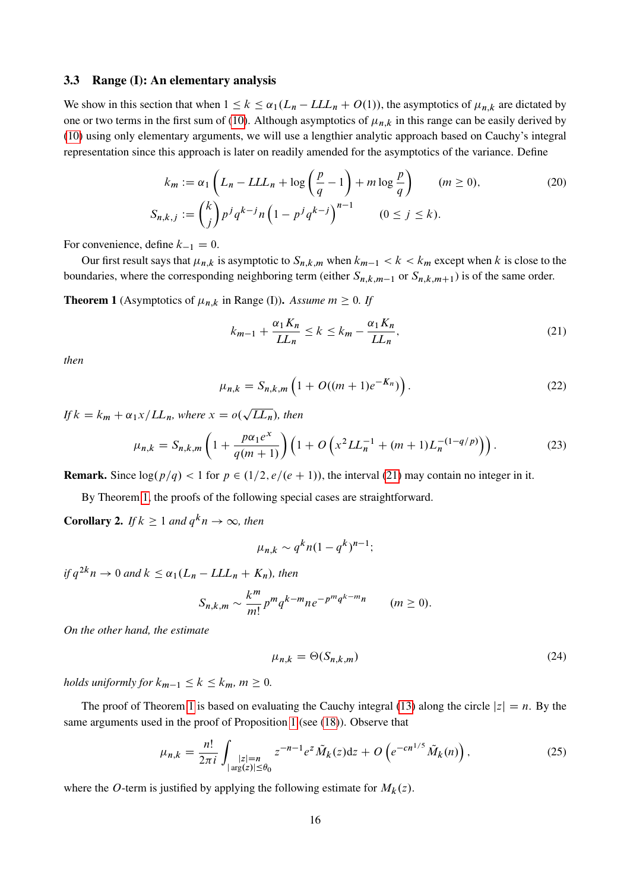## 3.3 Range (I): An elementary analysis

We show in this section that when  $1 \le k \le \alpha_1(L_n - LL_n + O(1))$ , the asymptotics of  $\mu_{n,k}$  are dictated by one or two terms in the first sum of [\(10\)](#page-12-0). Although asymptotics of  $\mu_{n,k}$  in this range can be easily derived by [\(10\)](#page-12-0) using only elementary arguments, we will use a lengthier analytic approach based on Cauchy's integral representation since this approach is later on readily amended for the asymptotics of the variance. Define

$$
k_m := \alpha_1 \left( L_n - LLL_n + \log \left( \frac{p}{q} - 1 \right) + m \log \frac{p}{q} \right) \qquad (m \ge 0),
$$
  

$$
S_{n,k,j} := \binom{k}{j} p^j q^{k-j} n \left( 1 - p^j q^{k-j} \right)^{n-1} \qquad (0 \le j \le k).
$$
 (20)

For convenience, define  $k_{-1} = 0$ .

Our first result says that  $\mu_{n,k}$  is asymptotic to  $S_{n,k,m}$  when  $k_{m-1} < k < k_m$  except when k is close to the boundaries, where the corresponding neighboring term (either  $S_{n,k,m-1}$  or  $S_{n,k,m+1}$ ) is of the same order.

<span id="page-15-0"></span>**Theorem 1** (Asymptotics of  $\mu_{n,k}$  in Range (I)). *Assume*  $m \geq 0$ . If

<span id="page-15-6"></span><span id="page-15-2"></span><span id="page-15-1"></span>
$$
k_{m-1} + \frac{\alpha_1 K_n}{L L_n} \le k \le k_m - \frac{\alpha_1 K_n}{L L_n},\tag{21}
$$

*then*

$$
\mu_{n,k} = S_{n,k,m} \left( 1 + O((m+1)e^{-K_n}) \right). \tag{22}
$$

*If*  $k = k_m + \alpha_1 x / LL_n$ , where  $x = o$ .  $LL_n$ *)*, then

$$
\mu_{n,k} = S_{n,k,m} \left( 1 + \frac{p \alpha_1 e^x}{q(m+1)} \right) \left( 1 + O\left( x^2 L L_n^{-1} + (m+1) L_n^{-(1-q/p)} \right) \right). \tag{23}
$$

**Remark.** Since  $\log(p/q) < 1$  for  $p \in (1/2, e/(e + 1))$ , the interval [\(21\)](#page-15-1) may contain no integer in it.

By Theorem [1,](#page-15-0) the proofs of the following special cases are straightforward.

**Corollary 2.** If  $k \geq 1$  and  $q^k n \to \infty$ , then

<span id="page-15-4"></span>
$$
\mu_{n,k} \sim q^k n (1-q^k)^{n-1};
$$

*if*  $q^{2k}n \rightarrow 0$  and  $k \leq \alpha_1(L_n - LLL_n + K_n)$ , then

$$
S_{n,k,m} \sim \frac{k^m}{m!} p^m q^{k-m} n e^{-p^m q^{k-m} n} \qquad (m \ge 0).
$$

*On the other hand, the estimate*

<span id="page-15-5"></span><span id="page-15-3"></span>
$$
\mu_{n,k} = \Theta(S_{n,k,m})\tag{24}
$$

*holds uniformly for*  $k_{m-1} \leq k \leq k_m$ ,  $m \geq 0$ .

The proof of Theorem [1](#page-15-0) is based on evaluating the Cauchy integral [\(13\)](#page-13-1) along the circle  $|z| = n$ . By the same arguments used in the proof of Proposition [1](#page-14-5) (see [\(18\)](#page-14-4)). Observe that

$$
\mu_{n,k} = \frac{n!}{2\pi i} \int_{\substack{|z|=n \\ |\arg(z)| \le \theta_0}} z^{-n-1} e^z \tilde{M}_k(z) dz + O\left(e^{-cn^{1/5}} \tilde{M}_k(n)\right),\tag{25}
$$

where the *O*-term is justified by applying the following estimate for  $M_k(z)$ .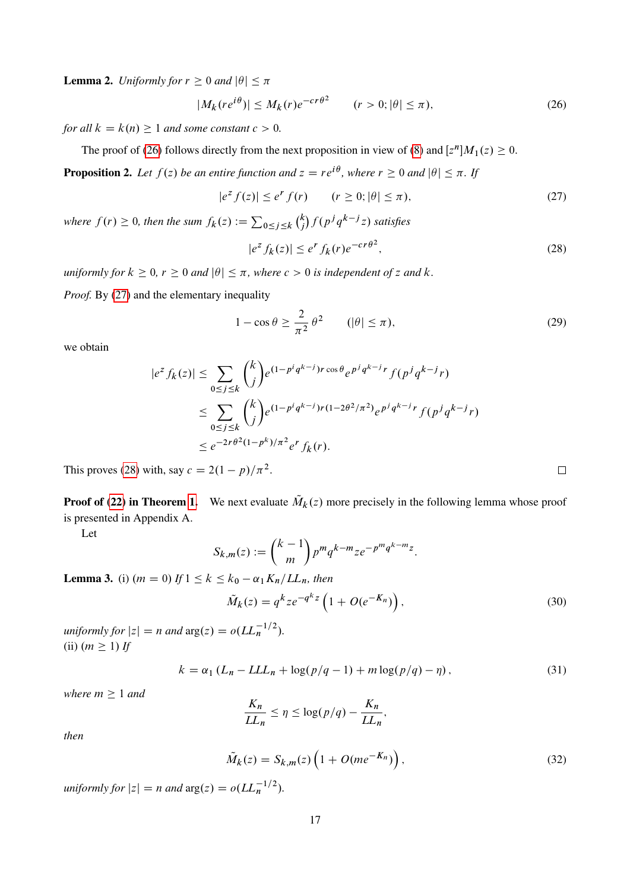**Lemma 2.** *Uniformly for*  $r \geq 0$  *and*  $|\theta| \leq \pi$ 

$$
|M_k(re^{i\theta})| \le M_k(r)e^{-cr\theta^2} \qquad (r > 0; |\theta| \le \pi),\tag{26}
$$

*for all*  $k = k(n) \geq 1$  *and some constant*  $c > 0$ *.* 

The proof of [\(26\)](#page-16-0) follows directly from the next proposition in view of [\(8\)](#page-11-1) and  $[z^n]M_1(z) \ge 0$ .

<span id="page-16-7"></span>**Proposition 2.** Let  $f(z)$  be an entire function and  $z = re^{i\theta}$ , where  $r \ge 0$  and  $|\theta| \le \pi$ . If

$$
|e^z f(z)| \le e^r f(r) \qquad (r \ge 0; |\theta| \le \pi), \tag{27}
$$

where  $f(r) \ge 0$ , then the sum  $f_k(z) := \sum_{0 \le j \le k} {k \choose j}$  $\binom{k}{j}$   $f(p^jq^{k-j}z)$  satisfies

<span id="page-16-0"></span>
$$
|e^z f_k(z)| \le e^r f_k(r) e^{-cr\theta^2},\tag{28}
$$

*uniformly for*  $k \geq 0$ ,  $r \geq 0$  *and*  $|\theta| \leq \pi$ , where  $c > 0$  *is independent of* z *and* k.

*Proof.* By [\(27\)](#page-16-1) and the elementary inequality

$$
1 - \cos \theta \ge \frac{2}{\pi^2} \theta^2 \qquad (|\theta| \le \pi), \tag{29}
$$

we obtain

$$
|e^{z} f_{k}(z)| \leq \sum_{0 \leq j \leq k} {k \choose j} e^{(1-p^{i}q^{k-j})r \cos \theta} e^{p^{j}q^{k-j}r} f(p^{j}q^{k-j}r)
$$
  

$$
\leq \sum_{0 \leq j \leq k} {k \choose j} e^{(1-p^{i}q^{k-j})r(1-2\theta^{2}/\pi^{2})} e^{p^{j}q^{k-j}r} f(p^{j}q^{k-j}r)
$$
  

$$
\leq e^{-2r\theta^{2}(1-p^{k})/\pi^{2}} e^{r} f_{k}(r).
$$

This proves [\(28\)](#page-16-2) with, say  $c = 2(1 - p)/\pi^2$ .

**Proof of [\(22\)](#page-15-2) in Theorem [1.](#page-15-0)** We next evaluate  $\tilde{M}_k(z)$  more precisely in the following lemma whose proof is presented in Appendix A.

Let

$$
S_{k,m}(z) := \binom{k-1}{m} p^m q^{k-m} z e^{-p^m q^{k-m} z}.
$$

<span id="page-16-5"></span>**Lemma 3.** (i)  $(m = 0)$  *If*  $1 \le k \le k_0 - \alpha_1 K_n / LL_n$ , then

$$
\tilde{M}_k(z) = q^k z e^{-q^k z} \left( 1 + O(e^{-K_n}) \right),\tag{30}
$$

*uniformly for*  $|z| = n$  *and*  $\arg(z) = o(LL_n^{-1/2}).$  $(ii)$   $(m \geq 1)$  *If* 

$$
k = \alpha_1 \left( L_n - LL_n + \log(p/q - 1) + m \log(p/q) - \eta \right),\tag{31}
$$

*where*  $m \geq 1$  *and* 

$$
\frac{K_n}{LL_n} \le \eta \le \log(p/q) - \frac{K_n}{LL_n},
$$

*then*

$$
\tilde{M}_k(z) = S_{k,m}(z) \left( 1 + O(m e^{-K_n}) \right),\tag{32}
$$

*uniformly for*  $|z| = n$  *and*  $\arg(z) = o(LL_n^{-1/2}).$ 

<span id="page-16-8"></span><span id="page-16-6"></span><span id="page-16-4"></span><span id="page-16-3"></span><span id="page-16-2"></span><span id="page-16-1"></span> $\Box$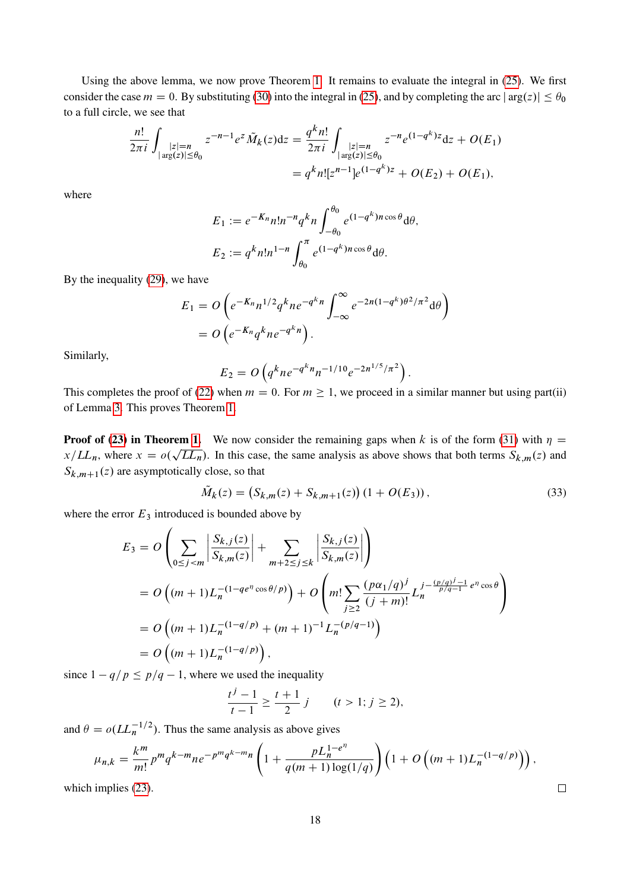Using the above lemma, we now prove Theorem [1.](#page-15-0) It remains to evaluate the integral in [\(25\)](#page-15-3). We first consider the case  $m = 0$ . By substituting [\(30\)](#page-16-3) into the integral in [\(25\)](#page-15-3), and by completing the arc  $|\arg(z)| \le \theta_0$ to a full circle, we see that

$$
\frac{n!}{2\pi i} \int_{\substack{|z|=n\\|\arg(z)|\leq \theta_0}} z^{-n-1} e^{z} \tilde{M}_k(z) dz = \frac{q^k n!}{2\pi i} \int_{\substack{|z|=n\\|\arg(z)|\leq \theta_0}} z^{-n} e^{(1-q^k)z} dz + O(E_1)
$$

$$
= q^k n! [z^{n-1}] e^{(1-q^k)z} + O(E_2) + O(E_1),
$$

where

$$
E_1 := e^{-K_n} n! n^{-n} q^k n \int_{-\theta_0}^{\theta_0} e^{(1-q^k)n \cos \theta} d\theta,
$$
  

$$
E_2 := q^k n! n^{1-n} \int_{\theta_0}^{\pi} e^{(1-q^k)n \cos \theta} d\theta.
$$

By the inequality [\(29\)](#page-16-4), we have

$$
E_1 = O\left(e^{-K_n}n^{1/2}q^k n e^{-q^k n}\int_{-\infty}^{\infty}e^{-2n(1-q^k)\theta^2/\pi^2}d\theta\right)
$$
  
= 
$$
O\left(e^{-K_n}q^k n e^{-q^k n}\right).
$$

Similarly,

$$
E_2 = O\left(q^k n e^{-q^k n} n^{-1/10} e^{-2n^{1/5}/\pi^2}\right).
$$

This completes the proof of [\(22\)](#page-15-2) when  $m = 0$ . For  $m \ge 1$ , we proceed in a similar manner but using part(ii) of Lemma [3.](#page-16-5) This proves Theorem [1.](#page-15-0)

**Proof of [\(23\)](#page-15-4) in Theorem [1.](#page-15-0)** We now consider the remaining gaps when k is of the form [\(31\)](#page-16-6) with  $\eta$  $x/LL_n$ , where  $x = o(\sqrt{LL_n})$ . In this case, the same analysis as above shows that both terms  $S_{k,m}(z)$  and  $S_{k,m+1}(z)$  are asymptotically close, so that

$$
\tilde{M}_k(z) = (S_{k,m}(z) + S_{k,m+1}(z))(1 + O(E_3)),
$$
\n(33)

<span id="page-17-0"></span> $\Box$ 

where the error  $E_3$  introduced is bounded above by

$$
E_3 = O\left(\sum_{0 \le j < m} \left| \frac{S_{k,j}(z)}{S_{k,m}(z)} \right| + \sum_{m+2 \le j \le k} \left| \frac{S_{k,j}(z)}{S_{k,m}(z)} \right| \right)
$$
\n
$$
= O\left((m+1)L_n^{-(1-qe^n\cos\theta/p)}\right) + O\left(m!\sum_{j\ge 2} \frac{(p\alpha_1/q)^j}{(j+m)!} L_n^{j - \frac{(p/q)^j - 1}{p/q - 1}e^n\cos\theta}\right)
$$
\n
$$
= O\left((m+1)L_n^{-(1-q/p)} + (m+1)^{-1}L_n^{-(p/q - 1)}\right)
$$
\n
$$
= O\left((m+1)L_n^{-(1-q/p)}\right),
$$

since  $1 - q/p \leq p/q - 1$ , where we used the inequality

$$
\frac{t^j - 1}{t - 1} \ge \frac{t + 1}{2} j \qquad (t > 1; j \ge 2),
$$

and  $\theta = o(LL_n^{-1/2})$ . Thus the same analysis as above gives

$$
\mu_{n,k} = \frac{k^m}{m!} p^m q^{k-m} n e^{-p^m q^{k-m} n} \left( 1 + \frac{p L_n^{1-e^n}}{q(m+1) \log(1/q)} \right) \left( 1 + O\left( (m+1) L_n^{-(1-q/p)} \right) \right),
$$

which implies [\(23\)](#page-15-4).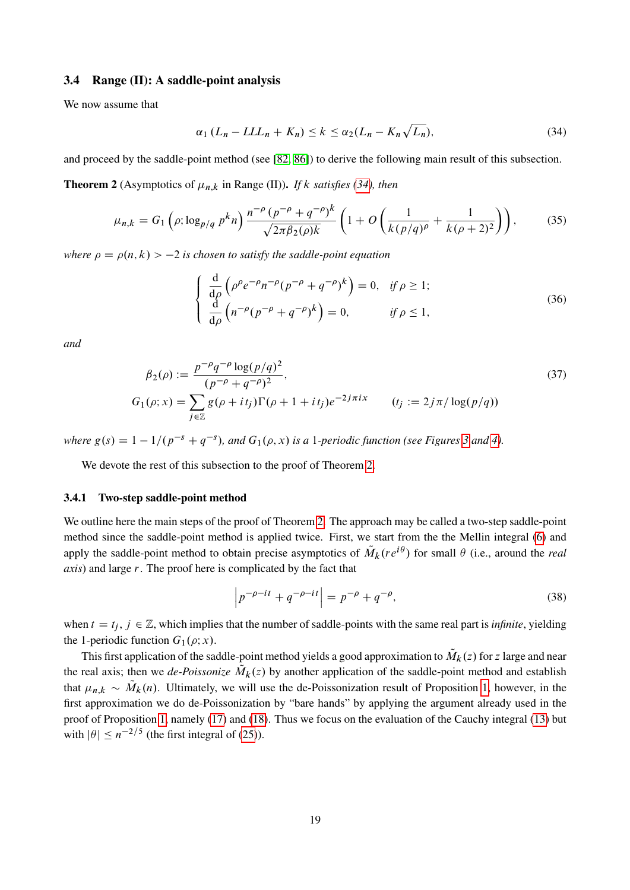## 3.4 Range (II): A saddle-point analysis

We now assume that

<span id="page-18-1"></span>
$$
\alpha_1 (L_n - L L L_n + K_n) \le k \le \alpha_2 (L_n - K_n \sqrt{L_n}), \tag{34}
$$

<span id="page-18-0"></span>and proceed by the saddle-point method (see [\[82,](#page-59-0) [86\]](#page-59-11)) to derive the following main result of this subsection.

**Theorem 2** (Asymptotics of  $\mu_{n,k}$  in Range (II)). *If* k *satisfies* [\(34\)](#page-18-1)*, then* 

$$
\mu_{n,k} = G_1 \left( \rho; \log_{p/q} p^k n \right) \frac{n^{-\rho} (p^{-\rho} + q^{-\rho})^k}{\sqrt{2\pi \beta_2(\rho) k}} \left( 1 + O \left( \frac{1}{k(p/q)^\rho} + \frac{1}{k(\rho+2)^2} \right) \right), \tag{35}
$$

*where*  $\rho = \rho(n, k) > -2$  *is chosen to satisfy the saddle-point equation* 

<span id="page-18-5"></span><span id="page-18-4"></span><span id="page-18-3"></span>
$$
\begin{cases}\n\frac{\mathrm{d}}{\mathrm{d}\rho} \left( \rho^{\rho} e^{-\rho} n^{-\rho} (p^{-\rho} + q^{-\rho})^k \right) = 0, & \text{if } \rho \ge 1; \\
\frac{\mathrm{d}}{\mathrm{d}\rho} \left( n^{-\rho} (p^{-\rho} + q^{-\rho})^k \right) = 0, & \text{if } \rho \le 1,\n\end{cases}
$$
\n(36)

*and*

$$
\beta_2(\rho) := \frac{p^{-\rho} q^{-\rho} \log(p/q)^2}{(p^{-\rho} + q^{-\rho})^2},
$$
\n
$$
G_1(\rho; x) = \sum_{j \in \mathbb{Z}} g(\rho + it_j) \Gamma(\rho + 1 + it_j) e^{-2j\pi ix} \qquad (t_j := 2j\pi/\log(p/q))
$$
\n(37)

where  $g(s) = 1 - 1/(p^{-s} + q^{-s})$ , and  $G_1(\rho, x)$  is a 1-periodic function (see Figures [3](#page-8-0) and [4\)](#page-8-1).

We devote the rest of this subsection to the proof of Theorem [2.](#page-18-0)

#### 3.4.1 Two-step saddle-point method

We outline here the main steps of the proof of Theorem [2.](#page-18-0) The approach may be called a two-step saddle-point method since the saddle-point method is applied twice. First, we start from the the Mellin integral [\(6\)](#page-11-0) and apply the saddle-point method to obtain precise asymptotics of  $\tilde{M}_k(re^{i\theta})$  for small  $\theta$  (i.e., around the *real axis*) and large r. The proof here is complicated by the fact that

<span id="page-18-2"></span>
$$
\left| p^{-\rho - it} + q^{-\rho - it} \right| = p^{-\rho} + q^{-\rho},\tag{38}
$$

when  $t = t_j$ ,  $j \in \mathbb{Z}$ , which implies that the number of saddle-points with the same real part is *infinite*, yielding the 1-periodic function  $G_1(\rho; x)$ .

This first application of the saddle-point method yields a good approximation to  $\tilde{M}_k(z)$  for z large and near the real axis; then we *de-Poissonize*  $\tilde{M}_k(z)$  by another application of the saddle-point method and establish that  $\mu_{n,k} \sim \tilde{M}_k(n)$ . Ultimately, we will use the de-Poissonization result of Proposition [1,](#page-14-5) however, in the first approximation we do de-Poissonization by "bare hands" by applying the argument already used in the proof of Proposition [1,](#page-14-5) namely [\(17\)](#page-14-1) and [\(18\)](#page-14-4). Thus we focus on the evaluation of the Cauchy integral [\(13\)](#page-13-1) but with  $|\theta| \leq n^{-2/5}$  (the first integral of [\(25\)](#page-15-3)).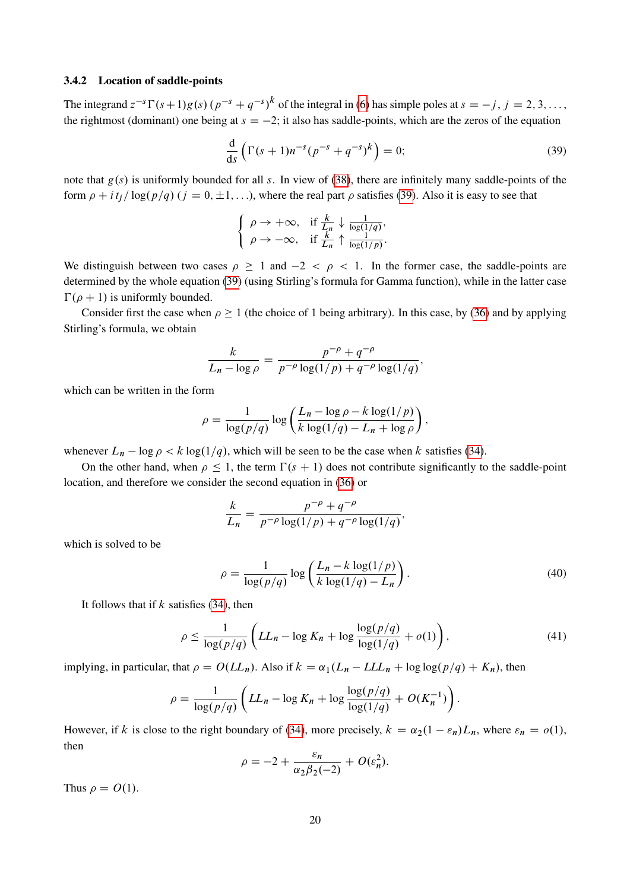#### 3.4.2 Location of saddle-points

The integrand  $z^{-s}\Gamma(s+1)g(s)(p^{-s}+q^{-s})^k$  of the integral in [\(6\)](#page-11-0) has simple poles at  $s = -j$ ,  $j = 2, 3, \ldots$ , the rightmost (dominant) one being at  $s = -2$ ; it also has saddle-points, which are the zeros of the equation

<span id="page-19-0"></span>
$$
\frac{\mathrm{d}}{\mathrm{d}s}\left(\Gamma(s+1)n^{-s}(p^{-s}+q^{-s})^k\right) = 0;\tag{39}
$$

note that  $g(s)$  is uniformly bounded for all s. In view of [\(38\)](#page-18-2), there are infinitely many saddle-points of the form  $\rho + i t_j / \log(p/q)$  ( $j = 0, \pm 1, ...$ ), where the real part  $\rho$  satisfies [\(39\)](#page-19-0). Also it is easy to see that

$$
\begin{cases} \rho \to +\infty, & \text{if } \frac{k}{L_n} \downarrow \frac{1}{\log(1/q)}, \\ \rho \to -\infty, & \text{if } \frac{k}{L_n} \uparrow \frac{1}{\log(1/p)}. \end{cases}
$$

We distinguish between two cases  $\rho \ge 1$  and  $-2 < \rho < 1$ . In the former case, the saddle-points are determined by the whole equation [\(39\)](#page-19-0) (using Stirling's formula for Gamma function), while in the latter case  $\Gamma(\rho + 1)$  is uniformly bounded.

Consider first the case when  $\rho \ge 1$  (the choice of 1 being arbitrary). In this case, by [\(36\)](#page-18-3) and by applying Stirling's formula, we obtain

$$
\frac{k}{L_n - \log \rho} = \frac{p^{-\rho} + q^{-\rho}}{p^{-\rho} \log(1/p) + q^{-\rho} \log(1/q)},
$$

which can be written in the form

$$
\rho = \frac{1}{\log(p/q)} \log \left( \frac{L_n - \log \rho - k \log(1/p)}{k \log(1/q) - L_n + \log \rho} \right),
$$

whenever  $L_n - \log \rho < k \log(1/q)$ , which will be seen to be the case when k satisfies [\(34\)](#page-18-1).

On the other hand, when  $\rho \leq 1$ , the term  $\Gamma(s + 1)$  does not contribute significantly to the saddle-point location, and therefore we consider the second equation in [\(36\)](#page-18-3) or

$$
\frac{k}{L_n} = \frac{p^{-\rho} + q^{-\rho}}{p^{-\rho} \log(1/p) + q^{-\rho} \log(1/q)}
$$

which is solved to be

$$
\rho = \frac{1}{\log(p/q)} \log \left( \frac{L_n - k \log(1/p)}{k \log(1/q) - L_n} \right). \tag{40}
$$

<span id="page-19-2"></span><span id="page-19-1"></span>;

It follows that if  $k$  satisfies [\(34\)](#page-18-1), then

$$
\rho \le \frac{1}{\log(p/q)} \left( LL_n - \log K_n + \log \frac{\log(p/q)}{\log(1/q)} + o(1) \right),\tag{41}
$$

implying, in particular, that  $\rho = O(LL_n)$ . Also if  $k = \alpha_1(L_n - LL_n + \log \log(p/q) + K_n)$ , then

$$
\rho = \frac{1}{\log(p/q)} \left( LL_n - \log K_n + \log \frac{\log(p/q)}{\log(1/q)} + O(K_n^{-1}) \right).
$$

However, if k is close to the right boundary of [\(34\)](#page-18-1), more precisely,  $k = \alpha_2(1 - \varepsilon_n)L_n$ , where  $\varepsilon_n = o(1)$ , then

$$
\rho = -2 + \frac{\varepsilon_n}{\alpha_2 \beta_2(-2)} + O(\varepsilon_n^2).
$$

Thus  $\rho = O(1)$ .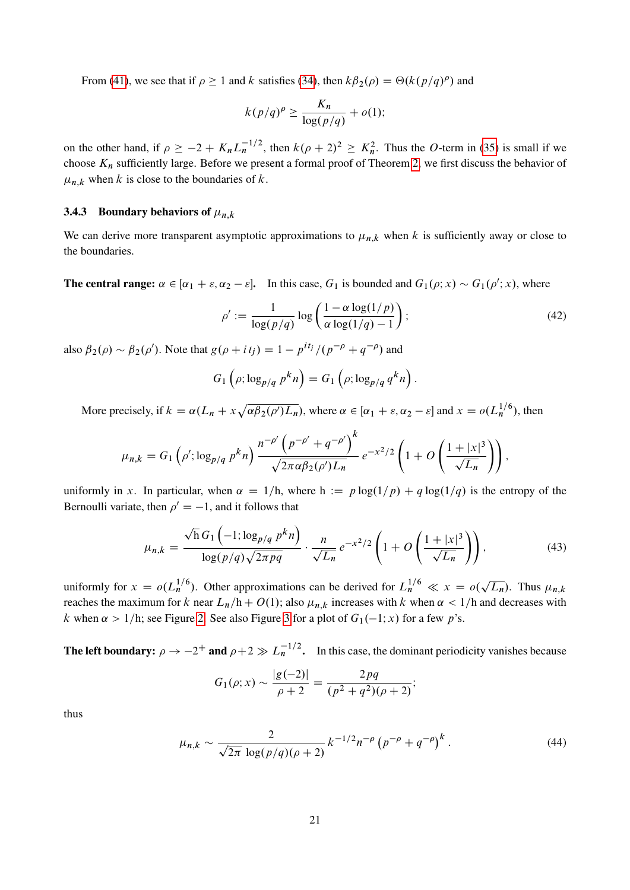From [\(41\)](#page-19-1), we see that if  $\rho \ge 1$  and k satisfies [\(34\)](#page-18-1), then  $k\beta_2(\rho) = \Theta(k(p/q)^{\rho})$  and

$$
k(p/q)^{\rho} \ge \frac{K_n}{\log(p/q)} + o(1);
$$

on the other hand, if  $\rho \ge -2 + K_n L_n^{-1/2}$ , then  $k(\rho + 2)^2 \ge K_n^2$ . Thus the O-term in [\(35\)](#page-18-4) is small if we choose  $K_n$  sufficiently large. Before we present a formal proof of Theorem [2,](#page-18-0) we first discuss the behavior of  $\mu_{n,k}$  when k is close to the boundaries of k.

## 3.4.3 Boundary behaviors of  $\mu_{n,k}$

We can derive more transparent asymptotic approximations to  $\mu_{n,k}$  when k is sufficiently away or close to the boundaries.

**The central range:**  $\alpha \in [\alpha_1 + \varepsilon, \alpha_2 - \varepsilon]$ . In this case,  $G_1$  is bounded and  $G_1(\rho; x) \sim G_1(\rho'; x)$ , where

<span id="page-20-2"></span>
$$
\rho' := \frac{1}{\log(p/q)} \log \left( \frac{1 - \alpha \log(1/p)}{\alpha \log(1/q) - 1} \right);
$$
\n(42)

also  $\beta_2(\rho) \sim \beta_2(\rho')$ . Note that  $g(\rho + it_j) = 1 - p^{it_j}/(p^{-\rho} + q^{-\rho})$  and

$$
G_1\left(\rho; \log_{p/q} p^k n\right) = G_1\left(\rho; \log_{p/q} q^k n\right).
$$

More precisely, if  $k = \alpha (L_n + x \sqrt{\alpha \beta_2(\rho') L_n})$ , where  $\alpha \in [\alpha_1 + \varepsilon, \alpha_2 - \varepsilon]$  and  $x = o(L_n^{1/6})$ , then

$$
\mu_{n,k} = G_1 \left( \rho' ; \log_{p/q} p^k n \right) \frac{n^{-\rho'} \left( p^{-\rho'} + q^{-\rho'} \right)^k}{\sqrt{2\pi \alpha \beta_2(\rho') L_n}} e^{-x^2/2} \left( 1 + O\left( \frac{1 + |x|^3}{\sqrt{L_n}} \right) \right),
$$

uniformly in x. In particular, when  $\alpha = 1/h$ , where  $h := p \log(1/p) + q \log(1/q)$  is the entropy of the Bernoulli variate, then  $\rho' = -1$ , and it follows that

$$
\mu_{n,k} = \frac{\sqrt{h} G_1 \left( -1; \log_{p/q} p^k n \right)}{\log(p/q) \sqrt{2\pi pq}} \cdot \frac{n}{\sqrt{L_n}} e^{-x^2/2} \left( 1 + O\left( \frac{1+|x|^3}{\sqrt{L_n}} \right) \right),\tag{43}
$$

uniformly for  $x = o(L_n^{1/6})$ . Other approximations can be derived for  $L_n^{1/6} \ll x = o($  $\overline{L_n}$ ). Thus  $\mu_{n,k}$ reaches the maximum for k near  $L_n/h + O(1)$ ; also  $\mu_{n,k}$  increases with k when  $\alpha < 1/h$  and decreases with k when  $\alpha > 1/h$ ; see Figure [2.](#page-6-3) See also Figure [3](#page-8-0) for a plot of  $G_1(-1, x)$  for a few p's.

The left boundary:  $\rho \to -2^+$  and  $\rho + 2 \gg L_n^{-1/2}$ . In this case, the dominant periodicity vanishes because

<span id="page-20-1"></span><span id="page-20-0"></span>
$$
G_1(\rho; x) \sim \frac{|g(-2)|}{\rho+2} = \frac{2pq}{(p^2+q^2)(\rho+2)};
$$

thus

$$
\mu_{n,k} \sim \frac{2}{\sqrt{2\pi} \log(p/q)(\rho+2)} k^{-1/2} n^{-\rho} \left(p^{-\rho} + q^{-\rho}\right)^k. \tag{44}
$$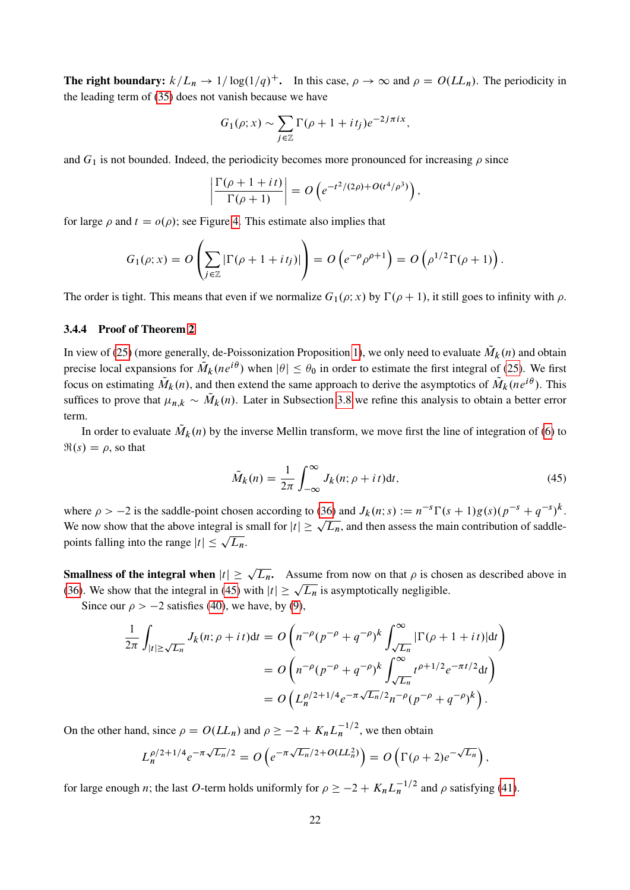The right boundary:  $k/L_n \to 1/\log(1/q)^+$ . In this case,  $\rho \to \infty$  and  $\rho = O(LL_n)$ . The periodicity in the leading term of [\(35\)](#page-18-4) does not vanish because we have

$$
G_1(\rho; x) \sim \sum_{j \in \mathbb{Z}} \Gamma(\rho + 1 + it_j) e^{-2j\pi i x},
$$

and  $G_1$  is not bounded. Indeed, the periodicity becomes more pronounced for increasing  $\rho$  since

$$
\left|\frac{\Gamma(\rho+1+it)}{\Gamma(\rho+1)}\right| = O\left(e^{-t^2/(2\rho)+O(t^4/\rho^3)}\right),\,
$$

for large  $\rho$  and  $t = o(\rho)$ ; see Figure [4.](#page-8-1) This estimate also implies that

$$
G_1(\rho; x) = O\left(\sum_{j \in \mathbb{Z}} |\Gamma(\rho + 1 + it_j)|\right) = O\left(e^{-\rho} \rho^{\rho+1}\right) = O\left(\rho^{1/2} \Gamma(\rho+1)\right).
$$

The order is tight. This means that even if we normalize  $G_1(\rho; x)$  by  $\Gamma(\rho + 1)$ , it still goes to infinity with  $\rho$ .

## 3.4.4 Proof of Theorem [2](#page-18-0)

In view of [\(25\)](#page-15-3) (more generally, de-Poissonization Proposition [1\)](#page-14-5), we only need to evaluate  $\tilde{M}_k(n)$  and obtain precise local expansions for  $\tilde{M}_k(ne^{i\theta})$  when  $|\theta| \le \theta_0$  in order to estimate the first integral of [\(25\)](#page-15-3). We first focus on estimating  $\tilde{M}_k(n)$ , and then extend the same approach to derive the asymptotics of  $\tilde{M}_k(ne^{i\theta})$ . This suffices to prove that  $\mu_{n,k} \sim \tilde{M}_k(n)$ . Later in Subsection [3.8](#page-30-0) we refine this analysis to obtain a better error term.

In order to evaluate  $\tilde{M}_k(n)$  by the inverse Mellin transform, we move first the line of integration of [\(6\)](#page-11-0) to  $\Re(s) = \rho$ , so that

<span id="page-21-0"></span>
$$
\tilde{M}_k(n) = \frac{1}{2\pi} \int_{-\infty}^{\infty} J_k(n; \rho + it) \mathrm{d}t,\tag{45}
$$

where  $\rho > -2$  is the saddle-point chosen according to [\(36\)](#page-18-3) and  $J_k(n; s) := n^{-s} \Gamma(s+1) g(s) (p^{-s} + q^{-s})^k$ . where  $p > -2$  is the saddle-point chosen according to (50) and  $J_k(n; s) := n^{-s} \Gamma(s + 1)g(s)(p^{-s} + q^{-s})^s$ .<br>We now show that the above integral is small for  $|t| \ge \sqrt{L_n}$ , and then assess the main contribution of saddlewe now show that the above integral is a<br>points falling into the range  $|t| \leq \sqrt{L_n}$ .

**Smallness of the integral when**  $|t| \ge \sqrt{L_n}$ . Assume from now on that  $\rho$  is chosen as described above in **Smallness of the integral when**  $|l| \ge \sqrt{L_n}$ . Assume from now on that  $\rho$  is chose [\(36\)](#page-18-3). We show that the integral in [\(45\)](#page-21-0) with  $|t| \ge \sqrt{L_n}$  is asymptotically negligible.

Since our  $\rho > -2$  satisfies [\(40\)](#page-19-2), we have, by [\(9\)](#page-12-2),

$$
\frac{1}{2\pi} \int_{|t| \ge \sqrt{L_n}} J_k(n; \rho + it) dt = O\left( n^{-\rho} (p^{-\rho} + q^{-\rho})^k \int_{\sqrt{L_n}}^{\infty} |\Gamma(\rho + 1 + it)| dt \right)
$$
  
= 
$$
O\left( n^{-\rho} (p^{-\rho} + q^{-\rho})^k \int_{\sqrt{L_n}}^{\infty} t^{\rho + 1/2} e^{-\pi t/2} dt \right)
$$
  
= 
$$
O\left( L_n^{\rho/2 + 1/4} e^{-\pi \sqrt{L_n}/2} n^{-\rho} (p^{-\rho} + q^{-\rho})^k \right).
$$

On the other hand, since  $\rho = O(LL_n)$  and  $\rho \ge -2 + K_n L_n^{-1/2}$ , we then obtain

$$
L_n^{\rho/2+1/4}e^{-\pi\sqrt{L_n}/2}=O\left(e^{-\pi\sqrt{L_n}/2+O(LL_n^2)}\right)=O\left(\Gamma(\rho+2)e^{-\sqrt{L_n}}\right),
$$

for large enough *n*; the last O-term holds uniformly for  $\rho \ge -2 + K_n L_n^{-1/2}$  and  $\rho$  satisfying [\(41\)](#page-19-1).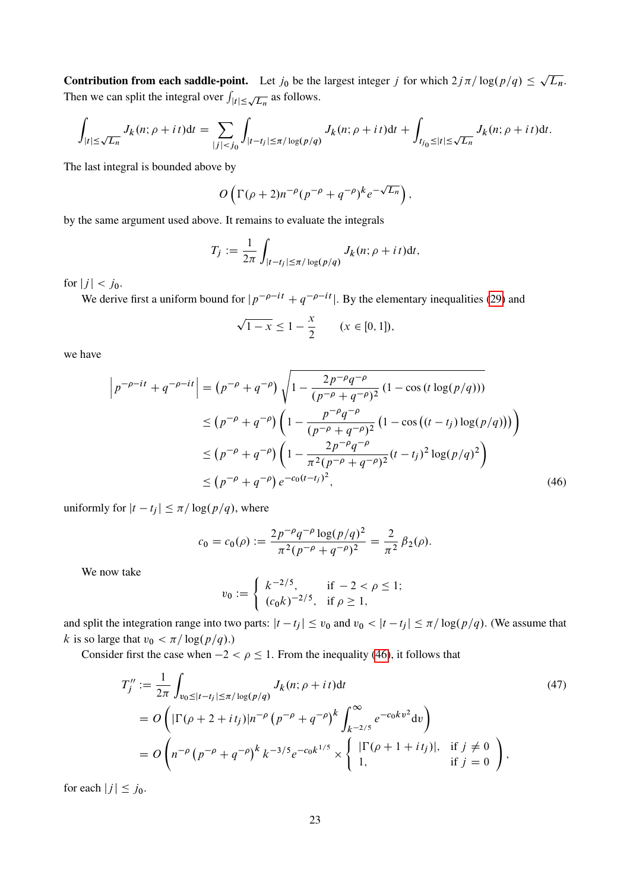**Contribution from each saddle-point.** Let  $j_0$  be the largest integer j for which  $2j\pi/\log(p/q) \leq$  $L_n$ . Then we can split the integral over  $\int_{|t| \le \sqrt{L_n}}$  as follows.

$$
\int_{|t|\leq\sqrt{L_n}}J_k(n;\rho+i\,t)\mathrm{d}t=\sum_{|j|
$$

The last integral is bounded above by

$$
O\left(\Gamma(\rho+2)n^{-\rho}(p^{-\rho}+q^{-\rho})^k e^{-\sqrt{L_n}}\right),\,
$$

by the same argument used above. It remains to evaluate the integrals

$$
T_j := \frac{1}{2\pi} \int_{|t-t_j| \leq \pi/\log(p/q)} J_k(n;\rho+i\,t) \mathrm{d}t,
$$

for  $|j| < j_0$ .

We derive first a uniform bound for  $|p^{-\rho-i} + q^{-\rho-i}$ . By the elementary inequalities [\(29\)](#page-16-4) and

$$
\sqrt{1-x} \le 1 - \frac{x}{2}
$$
  $(x \in [0, 1]),$ 

we have

$$
\left| p^{-\rho - it} + q^{-\rho - it} \right| = \left( p^{-\rho} + q^{-\rho} \right) \sqrt{1 - \frac{2p^{-\rho}q^{-\rho}}{(p^{-\rho} + q^{-\rho})^2} \left( 1 - \cos\left(t \log\left(\frac{p}{q}\right)\right) \right)}
$$
  
\n
$$
\leq \left( p^{-\rho} + q^{-\rho} \right) \left( 1 - \frac{p^{-\rho}q^{-\rho}}{(p^{-\rho} + q^{-\rho})^2} \left( 1 - \cos\left( (t - t_j) \log\left(\frac{p}{q}\right) \right) \right) \right)
$$
  
\n
$$
\leq \left( p^{-\rho} + q^{-\rho} \right) \left( 1 - \frac{2p^{-\rho}q^{-\rho}}{\pi^2 (p^{-\rho} + q^{-\rho})^2} (t - t_j)^2 \log\left(\frac{p}{q}\right)^2 \right)
$$
  
\n
$$
\leq \left( p^{-\rho} + q^{-\rho} \right) e^{-c_0 (t - t_j)^2}, \tag{46}
$$

uniformly for  $|t - t_j| \leq \pi / \log(p/q)$ , where

$$
c_0 = c_0(\rho) := \frac{2p^{-\rho}q^{-\rho}\log(p/q)^2}{\pi^2(p^{-\rho}+q^{-\rho})^2} = \frac{2}{\pi^2}\beta_2(\rho).
$$

We now take

<span id="page-22-1"></span><span id="page-22-0"></span>
$$
v_0 := \begin{cases} k^{-2/5}, & \text{if } -2 < \rho \le 1; \\ (c_0 k)^{-2/5}, & \text{if } \rho \ge 1, \end{cases}
$$

and split the integration range into two parts:  $|t - t_j| \le v_0$  and  $v_0 < |t - t_j| \le \pi / \log(p/q)$ . (We assume that k is so large that  $v_0 < \pi / \log(p/q)$ .)

Consider first the case when  $-2 < \rho \le 1$ . From the inequality [\(46\)](#page-22-0), it follows that

$$
T_{j}^{"} := \frac{1}{2\pi} \int_{v_{0} \leq |t - t_{j}| \leq \pi/\log(p/q)} J_{k}(n; \rho + it) dt
$$
\n
$$
= O\left( |\Gamma(\rho + 2 + it_{j})| n^{-\rho} \left( p^{-\rho} + q^{-\rho} \right)^{k} \int_{k^{-2/5}}^{\infty} e^{-c_{0}kv^{2}} dv \right)
$$
\n
$$
= O\left( n^{-\rho} \left( p^{-\rho} + q^{-\rho} \right)^{k} k^{-3/5} e^{-c_{0}k^{1/5}} \times \begin{cases} |\Gamma(\rho + 1 + it_{j})|, & \text{if } j \neq 0 \\ 1, & \text{if } j = 0 \end{cases} \right),
$$
\n
$$
(47)
$$

for each  $|j| \leq j_0$ .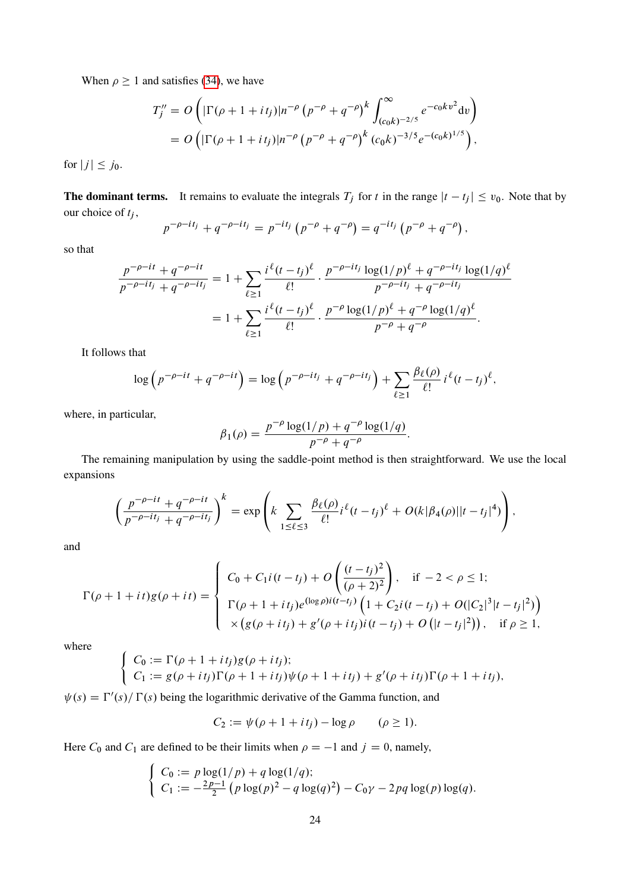When  $\rho \ge 1$  and satisfies [\(34\)](#page-18-1), we have

$$
T_j'' = O\left(|\Gamma(\rho + 1 + it_j)|n^{-\rho} (p^{-\rho} + q^{-\rho})^k \int_{(c_0 k)^{-2/5}}^{\infty} e^{-c_0 k v^2} dv\right)
$$
  
=  $O\left(|\Gamma(\rho + 1 + it_j)|n^{-\rho} (p^{-\rho} + q^{-\rho})^k (c_0 k)^{-3/5} e^{-(c_0 k)^{1/5}}\right)$ ,

for  $|j| \leq j_0$ .

**The dominant terms.** It remains to evaluate the integrals  $T_j$  for t in the range  $|t - t_j| \le v_0$ . Note that by our choice of  $t_j$ ,

$$
p^{-\rho - it_j} + q^{-\rho - it_j} = p^{-it_j} (p^{-\rho} + q^{-\rho}) = q^{-it_j} (p^{-\rho} + q^{-\rho}),
$$

so that

$$
\frac{p^{-\rho-it} + q^{-\rho-it}}{p^{-\rho-it} + q^{-\rho-it}} = 1 + \sum_{\ell \ge 1} \frac{i^{\ell} (t - t_j)^{\ell}}{\ell!} \cdot \frac{p^{-\rho-it} \log(1/p)^{\ell} + q^{-\rho-it} \log(1/q)^{\ell}}{p^{-\rho-it} + q^{-\rho-it}} \n= 1 + \sum_{\ell \ge 1} \frac{i^{\ell} (t - t_j)^{\ell}}{\ell!} \cdot \frac{p^{-\rho} \log(1/p)^{\ell} + q^{-\rho} \log(1/q)^{\ell}}{p^{-\rho} + q^{-\rho}}.
$$

It follows that

$$
\log\left(p^{-\rho-it}+q^{-\rho-it}\right)=\log\left(p^{-\rho-it_j}+q^{-\rho-it_j}\right)+\sum_{\ell\geq 1}\frac{\beta_\ell(\rho)}{\ell!}i^{\ell}(t-t_j)^{\ell},
$$

where, in particular,

$$
\beta_1(\rho) = \frac{p^{-\rho} \log(1/p) + q^{-\rho} \log(1/q)}{p^{-\rho} + q^{-\rho}}
$$

:

The remaining manipulation by using the saddle-point method is then straightforward. We use the local expansions

$$
\left(\frac{p^{-\rho-it}+q^{-\rho-it}}{p^{-\rho-it}+q^{-\rho-it}}\right)^k = \exp\left(k \sum_{1 \leq \ell \leq 3} \frac{\beta_{\ell}(\rho)}{\ell!} i^{\ell} (t-t_j)^{\ell} + O(k|\beta_4(\rho)||t-t_j|^4)\right),
$$

and

$$
\Gamma(\rho+1+it)g(\rho+it) = \begin{cases}\nC_0 + C_1 i(t-t_j) + O\left(\frac{(t-t_j)^2}{(\rho+2)^2}\right), & \text{if } -2 < \rho \le 1; \\
\Gamma(\rho+1+it_j)e^{(\log \rho)i(t-t_j)}\left(1 + C_2 i(t-t_j) + O(|C_2|^3|t-t_j|^2)\right) \\
\times \left(g(\rho+it_j) + g'(\rho+it_j)i(t-t_j) + O(|t-t_j|^2)\right), & \text{if } \rho \ge 1,\n\end{cases}
$$

where

$$
\begin{cases}\nC_0 := \Gamma(\rho + 1 + it_j)g(\rho + it_j); \\
C_1 := g(\rho + it_j)\Gamma(\rho + 1 + it_j)\psi(\rho + 1 + it_j) + g'(\rho + it_j)\Gamma(\rho + 1 + it_j),\n\end{cases}
$$

 $\psi(s) = \Gamma'(s)/\Gamma(s)$  being the logarithmic derivative of the Gamma function, and

$$
C_2 := \psi(\rho + 1 + it_j) - \log \rho \qquad (\rho \ge 1).
$$

Here  $C_0$  and  $C_1$  are defined to be their limits when  $\rho = -1$  and  $j = 0$ , namely,

$$
\begin{cases}\nC_0 := p \log(1/p) + q \log(1/q); \\
C_1 := -\frac{2p-1}{2} \left( p \log(p)^2 - q \log(q)^2 \right) - C_0 \gamma - 2pq \log(p) \log(q).\n\end{cases}
$$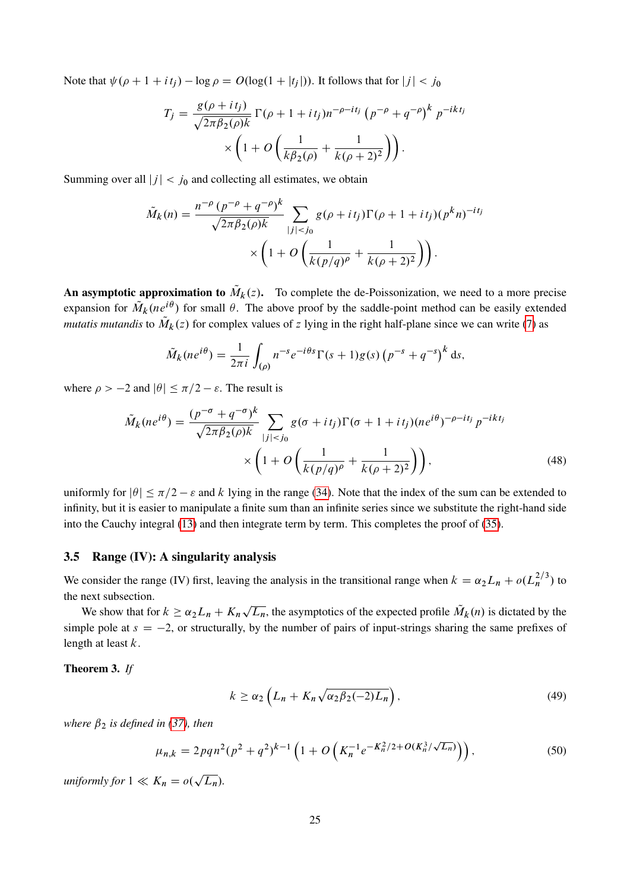Note that  $\psi(\rho + 1 + it_j) - \log \rho = O(\log(1 + |t_j|))$ . It follows that for  $|j| < j_0$ 

$$
T_j = \frac{g(\rho + it_j)}{\sqrt{2\pi\beta_2(\rho)k}} \Gamma(\rho + 1 + it_j) n^{-\rho - it_j} (p^{-\rho} + q^{-\rho})^k p^{-ikt_j}
$$

$$
\times \left(1 + O\left(\frac{1}{k\beta_2(\rho)} + \frac{1}{k(\rho + 2)^2}\right)\right).
$$

Summing over all  $|j| < j_0$  and collecting all estimates, we obtain

$$
\tilde{M}_k(n) = \frac{n^{-\rho} (p^{-\rho} + q^{-\rho})^k}{\sqrt{2\pi \beta_2(\rho) k}} \sum_{|j| < j_0} g(\rho + it_j) \Gamma(\rho + 1 + it_j) (p^k n)^{-it_j} \times \left(1 + O\left(\frac{1}{k(p/q)^\rho} + \frac{1}{k(\rho + 2)^2}\right)\right).
$$

An asymptotic approximation to  $\tilde{M}_k(z)$ . To complete the de-Poissonization, we need to a more precise expansion for  $\tilde{M}_k(ne^{i\theta})$  for small  $\theta$ . The above proof by the saddle-point method can be easily extended *mutatis mutandis* to  $\tilde{M}_k(z)$  for complex values of z lying in the right half-plane since we can write [\(7\)](#page-11-2) as

<span id="page-24-3"></span>
$$
\tilde{M}_k(ne^{i\theta}) = \frac{1}{2\pi i} \int_{(\rho)} n^{-s}e^{-i\theta s} \Gamma(s+1)g(s) \left(p^{-s} + q^{-s}\right)^k ds,
$$

where  $\rho > -2$  and  $|\theta| \le \pi/2 - \varepsilon$ . The result is

$$
\tilde{M}_k(ne^{i\theta}) = \frac{(p^{-\sigma} + q^{-\sigma})^k}{\sqrt{2\pi\beta_2(\rho)k}} \sum_{|j| < j_0} g(\sigma + it_j) \Gamma(\sigma + 1 + it_j)(ne^{i\theta})^{-\rho - it_j} p^{-ikt_j}
$$
\n
$$
\times \left(1 + O\left(\frac{1}{k(p/q)^{\rho}} + \frac{1}{k(\rho + 2)^2}\right)\right),\tag{48}
$$

uniformly for  $|\theta| \le \pi/2 - \varepsilon$  and k lying in the range [\(34\)](#page-18-1). Note that the index of the sum can be extended to infinity, but it is easier to manipulate a finite sum than an infinite series since we substitute the right-hand side into the Cauchy integral [\(13\)](#page-13-1) and then integrate term by term. This completes the proof of [\(35\)](#page-18-4).

#### 3.5 Range (IV): A singularity analysis

We consider the range (IV) first, leaving the analysis in the transitional range when  $k = \alpha_2 L_n + o(L_n^{2/3})$  to the next subsection.

We show that for  $k \ge \alpha_2 L_n + K_n$  $\sqrt{L_n}$ , the asymptotics of the expected profile  $\tilde{M}_k(n)$  is dictated by the simple pole at  $s = -2$ , or structurally, by the number of pairs of input-strings sharing the same prefixes of length at least  $k$ .

## <span id="page-24-0"></span>Theorem 3. *If*

<span id="page-24-2"></span><span id="page-24-1"></span>
$$
k \ge \alpha_2 \left( L_n + K_n \sqrt{\alpha_2 \beta_2(-2) L_n} \right),\tag{49}
$$

*where*  $\beta_2$  *is defined in [\(37\)](#page-18-5), then* 

$$
\mu_{n,k} = 2pqn^2(p^2 + q^2)^{k-1} \left( 1 + O\left( K_n^{-1} e^{-K_n^2/2 + O(K_n^3/\sqrt{L_n})} \right) \right),\tag{50}
$$

*uniformly for*  $1 \ll K_n = o($  $\overline{L_n}$ ).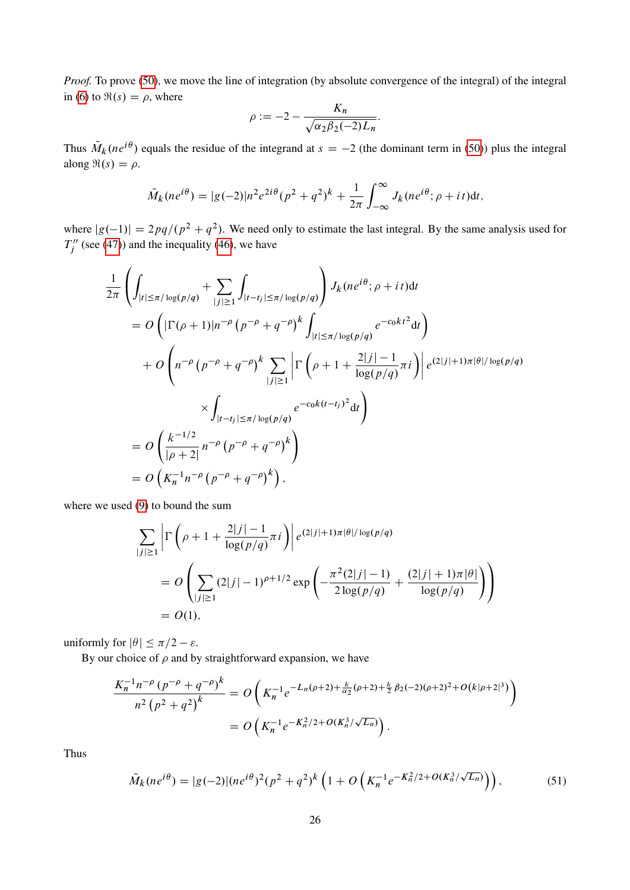*Proof.* To prove [\(50\)](#page-24-1), we move the line of integration (by absolute convergence of the integral) of the integral in [\(6\)](#page-11-0) to  $\Re(s) = \rho$ , where

$$
\rho := -2 - \frac{K_n}{\sqrt{\alpha_2 \beta_2(-2)L_n}}.
$$

Thus  $\tilde{M}_k(ne^{i\theta})$  equals the residue of the integrand at  $s = -2$  (the dominant term in [\(50\)](#page-24-1)) plus the integral along  $\Re(s) = \rho$ .

$$
\tilde{M}_k(ne^{i\theta}) = |g(-2)|n^2e^{2i\theta}(p^2+q^2)^k + \frac{1}{2\pi}\int_{-\infty}^{\infty}J_k(ne^{i\theta}; \rho+it)dt,
$$

where  $|g(-1)| = 2pq/(p^2 + q^2)$ . We need only to estimate the last integral. By the same analysis used for  $T_i''$  $j''$  (see [\(47\)](#page-22-1)) and the inequality [\(46\)](#page-22-0), we have

$$
\frac{1}{2\pi} \left( \int_{|t| \le \pi/\log(p/q)} + \sum_{|j| \ge 1} \int_{|t-t_j| \le \pi/\log(p/q)} \right) J_k(ne^{i\theta}; \rho + it) dt
$$
\n
$$
= O\left( |\Gamma(\rho+1)|n^{-\rho} (p^{-\rho} + q^{-\rho})^k \int_{|t| \le \pi/\log(p/q)} e^{-c_0kt^2} dt \right)
$$
\n
$$
+ O\left( n^{-\rho} (p^{-\rho} + q^{-\rho})^k \sum_{|j| \ge 1} \left| \Gamma\left( \rho + 1 + \frac{2|j| - 1}{\log(p/q)} \pi i \right) \right| e^{(2|j| + 1)\pi|\theta|/\log(p/q)}
$$
\n
$$
\times \int_{|t-t_j| \le \pi/\log(p/q)} e^{-c_0k(t-t_j)^2} dt
$$
\n
$$
= O\left( \frac{k^{-1/2}}{|\rho+2|} n^{-\rho} (p^{-\rho} + q^{-\rho})^k \right)
$$
\n
$$
= O\left( K_n^{-1} n^{-\rho} (p^{-\rho} + q^{-\rho})^k \right),
$$

where we used [\(9\)](#page-12-2) to bound the sum

$$
\sum_{|j|\geq 1} \left| \Gamma\left(\rho + 1 + \frac{2|j|-1}{\log(p/q)} \pi i\right) \right| e^{(2|j|+1)\pi|\theta|/\log(p/q)} \n= O\left( \sum_{|j|\geq 1} (2|j|-1)^{\rho+1/2} \exp\left( -\frac{\pi^2(2|j|-1)}{2\log(p/q)} + \frac{(2|j|+1)\pi|\theta|}{\log(p/q)} \right) \right) \n= O(1),
$$

uniformly for  $|\theta| \leq \pi/2 - \varepsilon$ .

By our choice of  $\rho$  and by straightforward expansion, we have

$$
\frac{K_n^{-1}n^{-\rho}(p^{-\rho}+q^{-\rho})^k}{n^2(p^2+q^2)^k} = O\left(K_n^{-1}e^{-L_n(\rho+2)+\frac{k}{\alpha_2}(\rho+2)+\frac{k}{2}\beta_2(-2)(\rho+2)^2+O(k|\rho+2|^3)}\right)
$$

$$
= O\left(K_n^{-1}e^{-K_n^2/2+O(K_n^3/\sqrt{L_n})}\right).
$$

Thus

<span id="page-25-0"></span>
$$
\tilde{M}_k(ne^{i\theta}) = |g(-2)|(ne^{i\theta})^2(p^2+q^2)^k\left(1+O\left(K_n^{-1}e^{-K_n^2/2+O(K_n^3/\sqrt{L_n})}\right)\right),\tag{51}
$$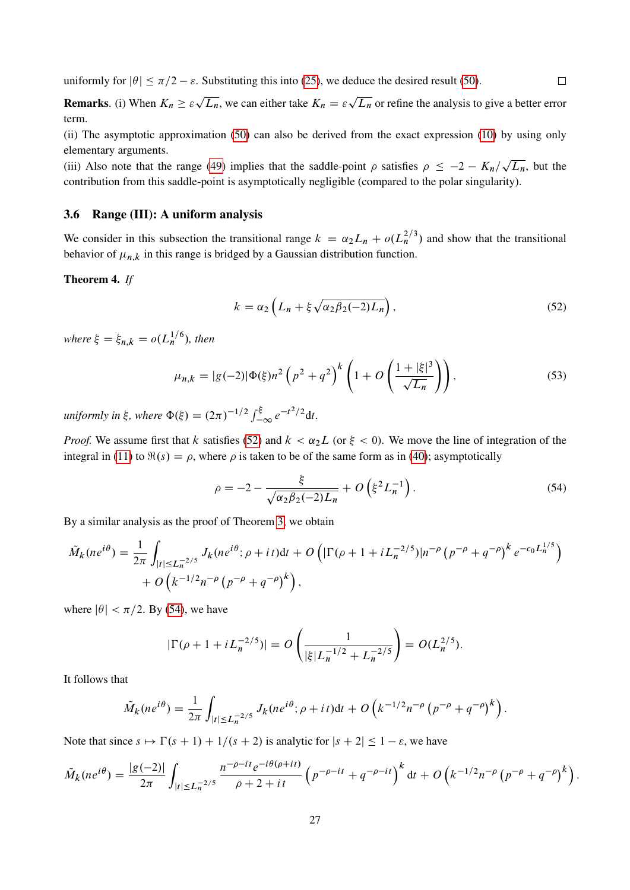uniformly for  $|\theta| \le \pi/2 - \varepsilon$ . Substituting this into [\(25\)](#page-15-3), we deduce the desired result [\(50\)](#page-24-1).

**Remarks.** (i) When  $K_n \geq \varepsilon$ p  $\overline{L_n}$ , we can either take  $K_n = \varepsilon$  $L_n$  or refine the analysis to give a better error term.

(ii) The asymptotic approximation [\(50\)](#page-24-1) can also be derived from the exact expression [\(10\)](#page-12-0) by using only elementary arguments.

(iii) Also note that the range [\(49\)](#page-24-2) implies that the saddle-point  $\rho$  satisfies  $\rho \leq -2 - K_n/\sqrt{L_n}$ , but the contribution from this saddle-point is asymptotically negligible (compared to the polar singularity).

## 3.6 Range (III): A uniform analysis

We consider in this subsection the transitional range  $k = \alpha_2 L_n + o(L_n^{2/3})$  and show that the transitional behavior of  $\mu_{n,k}$  in this range is bridged by a Gaussian distribution function.

### <span id="page-26-0"></span>Theorem 4. *If*

$$
k = \alpha_2 \left( L_n + \xi \sqrt{\alpha_2 \beta_2(-2) L_n} \right),\tag{52}
$$

<span id="page-26-3"></span><span id="page-26-1"></span> $\Box$ 

where  $\xi = \xi_{n,k} = o(L_n^{1/6})$ , then

$$
\mu_{n,k} = |g(-2)|\Phi(\xi)n^2 \left(p^2 + q^2\right)^k \left(1 + O\left(\frac{1 + |\xi|^3}{\sqrt{L_n}}\right)\right),\tag{53}
$$

*uniformly in*  $\xi$ , *where*  $\Phi(\xi) = (2\pi)^{-1/2} \int_{-\infty}^{\xi} e^{-t^2/2} dt$ .

*Proof.* We assume first that k satisfies [\(52\)](#page-26-1) and  $k < \alpha_2 L$  (or  $\xi < 0$ ). We move the line of integration of the integral in [\(11\)](#page-12-1) to  $\Re(s) = \rho$ , where  $\rho$  is taken to be of the same form as in [\(40\)](#page-19-2); asymptotically

<span id="page-26-2"></span>
$$
\rho = -2 - \frac{\xi}{\sqrt{\alpha_2 \beta_2 (-2)L_n}} + O\left(\xi^2 L_n^{-1}\right). \tag{54}
$$

By a similar analysis as the proof of Theorem [3,](#page-24-0) we obtain

$$
\tilde{M}_k(ne^{i\theta}) = \frac{1}{2\pi} \int_{|t| \le L_n^{-2/5}} J_k(ne^{i\theta}; \rho + it)dt + O\left(|\Gamma(\rho + 1 + iL_n^{-2/5})|n^{-\rho}(p^{-\rho} + q^{-\rho})^k e^{-c_0L_n^{1/5}}\right) + O\left(k^{-1/2}n^{-\rho}(p^{-\rho} + q^{-\rho})^k\right),
$$

where  $|\theta| < \pi/2$ . By [\(54\)](#page-26-2), we have

$$
|\Gamma(\rho + 1 + i L_n^{-2/5})| = O\left(\frac{1}{|\xi| L_n^{-1/2} + L_n^{-2/5}}\right) = O(L_n^{2/5}).
$$

It follows that

$$
\tilde{M}_k(ne^{i\theta}) = \frac{1}{2\pi} \int_{|t| \le L_n^{-2/5}} J_k(ne^{i\theta}; \rho + it)dt + O\left(k^{-1/2}n^{-\rho}\left(p^{-\rho} + q^{-\rho}\right)^k\right).
$$

Note that since  $s \mapsto \Gamma(s + 1) + 1/(s + 2)$  is analytic for  $|s + 2| \leq 1 - \varepsilon$ , we have

$$
\tilde{M}_k(ne^{i\theta}) = \frac{|g(-2)|}{2\pi} \int_{|t| \le L_n^{-2/5}} \frac{n^{-\rho - it}e^{-i\theta(\rho + it)}}{\rho + 2 + it} \left( p^{-\rho - it} + q^{-\rho - it} \right)^k dt + O\left( k^{-1/2}n^{-\rho} \left( p^{-\rho} + q^{-\rho} \right)^k \right).
$$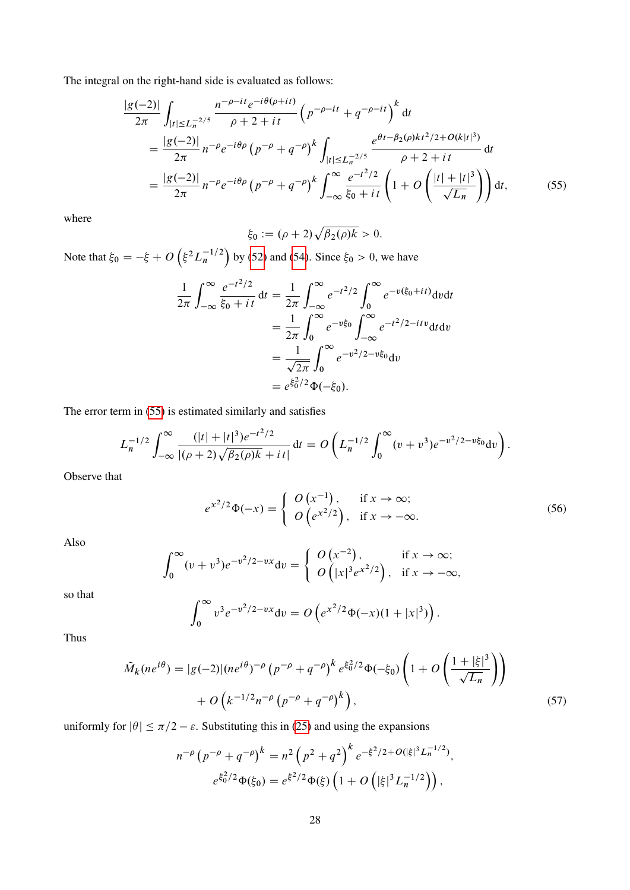The integral on the right-hand side is evaluated as follows:

$$
\frac{|g(-2)|}{2\pi} \int_{|t| \le L_n^{-2/5}} \frac{n^{-\rho - it} e^{-i\theta(\rho + it)}}{\rho + 2 + it} \left( p^{-\rho - it} + q^{-\rho - it} \right)^k dt
$$
  
\n
$$
= \frac{|g(-2)|}{2\pi} n^{-\rho} e^{-i\theta\rho} \left( p^{-\rho} + q^{-\rho} \right)^k \int_{|t| \le L_n^{-2/5}} \frac{e^{\theta t - \beta_2(\rho)kt^2/2 + O(k|t|^3)}}{\rho + 2 + it} dt
$$
  
\n
$$
= \frac{|g(-2)|}{2\pi} n^{-\rho} e^{-i\theta\rho} \left( p^{-\rho} + q^{-\rho} \right)^k \int_{-\infty}^{\infty} \frac{e^{-t^2/2}}{\xi_0 + it} \left( 1 + O\left(\frac{|t| + |t|^3}{\sqrt{L_n}}\right) \right) dt,
$$
(55)

where

<span id="page-27-0"></span>
$$
\xi_0 := (\rho+2)\sqrt{\beta_2(\rho)k} > 0.
$$

Note that  $\xi_0 = -\xi + O\left(\xi^2 L_n^{-1/2}\right)$  by [\(52\)](#page-26-1) and [\(54\)](#page-26-2). Since  $\xi_0 > 0$ , we have

$$
\frac{1}{2\pi} \int_{-\infty}^{\infty} \frac{e^{-t^2/2}}{\xi_0 + it} dt = \frac{1}{2\pi} \int_{-\infty}^{\infty} e^{-t^2/2} \int_{0}^{\infty} e^{-v(\xi_0 + it)} dv dt
$$

$$
= \frac{1}{2\pi} \int_{0}^{\infty} e^{-v\xi_0} \int_{-\infty}^{\infty} e^{-t^2/2 - itv} dt dv
$$

$$
= \frac{1}{\sqrt{2\pi}} \int_{0}^{\infty} e^{-v^2/2 - v\xi_0} dv
$$

$$
= e^{\xi_0^2/2} \Phi(-\xi_0).
$$

The error term in [\(55\)](#page-27-0) is estimated similarly and satisfies

$$
L_n^{-1/2} \int_{-\infty}^{\infty} \frac{(|t|+|t|^3) e^{-t^2/2}}{|(\rho+2)\sqrt{\beta_2(\rho)k}+it|} dt = O\left(L_n^{-1/2} \int_0^{\infty} (v+v^3) e^{-v^2/2-v\xi_0} dv\right).
$$

Observe that

<span id="page-27-1"></span>
$$
e^{x^2/2}\Phi(-x) = \begin{cases} O\left(x^{-1}\right), & \text{if } x \to \infty; \\ O\left(e^{x^2/2}\right), & \text{if } x \to -\infty. \end{cases}
$$
 (56)

Also

$$
\int_0^\infty (v+v^3)e^{-v^2/2-vx}dv = \begin{cases} O(x^{-2}), & \text{if } x \to \infty; \\ O(|x|^3e^{x^2/2}), & \text{if } x \to -\infty, \end{cases}
$$

so that

<span id="page-27-2"></span>
$$
\int_0^\infty v^3 e^{-v^2/2 - vx} dv = O\left(e^{x^2/2} \Phi(-x)(1+|x|^3)\right).
$$

Thus

$$
\tilde{M}_k(ne^{i\theta}) = |g(-2)|(ne^{i\theta})^{-\rho} (p^{-\rho} + q^{-\rho})^k e^{\xi_0^2/2} \Phi(-\xi_0) \left(1 + O\left(\frac{1 + |\xi|^3}{\sqrt{L_n}}\right)\right) + O\left(k^{-1/2}n^{-\rho} (p^{-\rho} + q^{-\rho})^k\right),\tag{57}
$$

uniformly for  $|\theta| \le \pi/2 - \varepsilon$ . Substituting this in [\(25\)](#page-15-3) and using the expansions

$$
n^{-\rho} \left( p^{-\rho} + q^{-\rho} \right)^k = n^2 \left( p^2 + q^2 \right)^k e^{-\xi^2/2 + O(|\xi|^3 L_n^{-1/2})},
$$
  

$$
e^{\xi_0^2/2} \Phi(\xi_0) = e^{\xi^2/2} \Phi(\xi) \left( 1 + O\left( |\xi|^3 L_n^{-1/2} \right) \right),
$$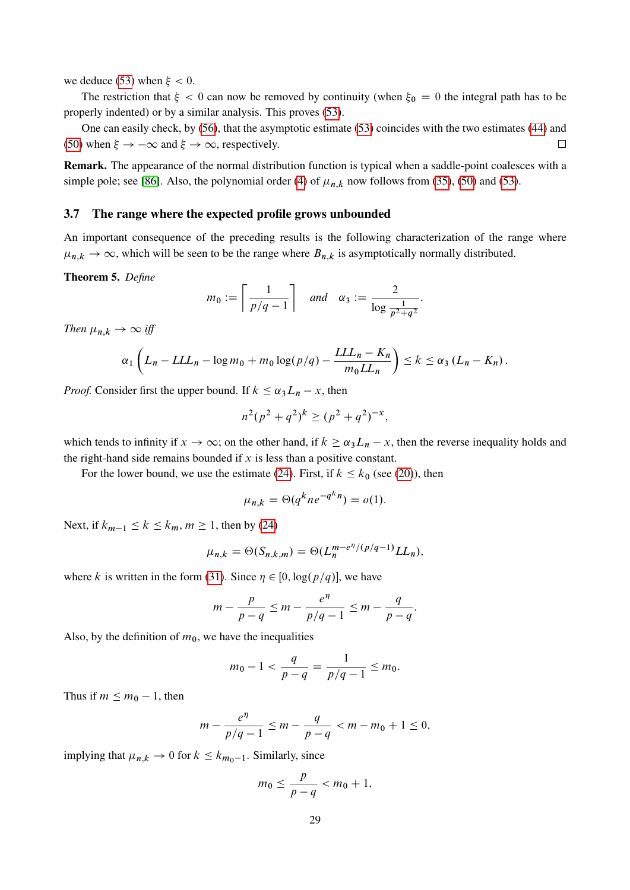we deduce [\(53\)](#page-26-3) when  $\xi < 0$ .

The restriction that  $\xi < 0$  can now be removed by continuity (when  $\xi_0 = 0$  the integral path has to be properly indented) or by a similar analysis. This proves [\(53\)](#page-26-3).

One can easily check, by [\(56\)](#page-27-1), that the asymptotic estimate [\(53\)](#page-26-3) coincides with the two estimates [\(44\)](#page-20-0) and [\(50\)](#page-24-1) when  $\xi \to -\infty$  and  $\xi \to \infty$ , respectively.  $\Box$ 

Remark. The appearance of the normal distribution function is typical when a saddle-point coalesces with a simple pole; see [\[86\]](#page-59-11). Also, the polynomial order [\(4\)](#page-6-1) of  $\mu_{n,k}$  now follows from [\(35\)](#page-18-4), [\(50\)](#page-24-1) and [\(53\)](#page-26-3).

## 3.7 The range where the expected profile grows unbounded

An important consequence of the preceding results is the following characterization of the range where  $\mu_{n,k} \to \infty$ , which will be seen to be the range where  $B_{n,k}$  is asymptotically normally distributed.

#### <span id="page-28-0"></span>Theorem 5. *Define*

$$
m_0 := \left\lceil \frac{1}{p/q - 1} \right\rceil \quad \text{and} \quad \alpha_3 := \frac{2}{\log \frac{1}{p^2 + q^2}}.
$$

*Then*  $\mu_{n,k} \rightarrow \infty$  *iff* 

$$
\alpha_1 \left( L_n - L L L_n - \log m_0 + m_0 \log (p/q) - \frac{L L L_n - K_n}{m_0 L L_n} \right) \leq k \leq \alpha_3 \left( L_n - K_n \right).
$$

*Proof.* Consider first the upper bound. If  $k \leq \alpha_3 L_n - x$ , then

$$
n^2(p^2+q^2)^k \ge (p^2+q^2)^{-x},
$$

which tends to infinity if  $x \to \infty$ ; on the other hand, if  $k \ge \alpha_3 L_n - x$ , then the reverse inequality holds and the right-hand side remains bounded if  $x$  is less than a positive constant.

For the lower bound, we use the estimate [\(24\)](#page-15-5). First, if  $k \leq k_0$  (see [\(20\)](#page-15-6)), then

$$
\mu_{n,k} = \Theta(q^k n e^{-q^k n}) = o(1).
$$

Next, if  $k_{m-1} \le k \le k_m$ ,  $m \ge 1$ , then by [\(24\)](#page-15-5)

$$
\mu_{n,k} = \Theta(S_{n,k,m}) = \Theta(L_n^{m-e^{\eta}/(p/q-1)} LL_n),
$$

where k is written in the form [\(31\)](#page-16-6). Since  $\eta \in [0, \log(p/q)]$ , we have

$$
m - \frac{p}{p - q} \le m - \frac{e^{\eta}}{p/q - 1} \le m - \frac{q}{p - q}.
$$

Also, by the definition of  $m_0$ , we have the inequalities

$$
m_0 - 1 < \frac{q}{p - q} = \frac{1}{p/q - 1} \le m_0.
$$

Thus if  $m \leq m_0 - 1$ , then

$$
m - \frac{e^{\eta}}{p/q - 1} \le m - \frac{q}{p - q} < m - m_0 + 1 \le 0,
$$

implying that  $\mu_{n,k} \to 0$  for  $k \leq k_{m_0-1}$ . Similarly, since

$$
m_0 \leq \frac{p}{p-q} < m_0 + 1,
$$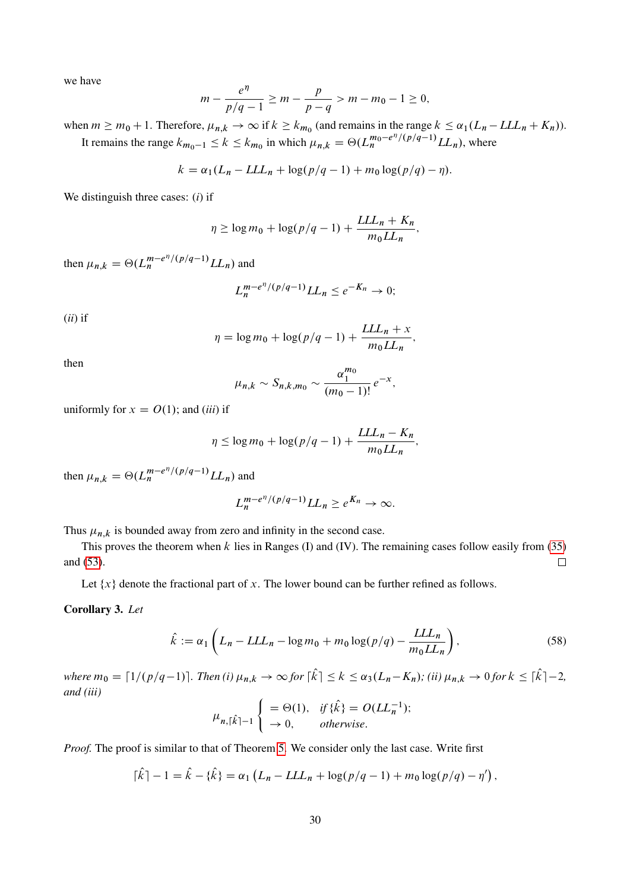we have

$$
m - \frac{e^{\eta}}{p/q - 1} \ge m - \frac{p}{p - q} > m - m_0 - 1 \ge 0,
$$

when  $m \ge m_0 + 1$ . Therefore,  $\mu_{n,k} \to \infty$  if  $k \ge k_{m_0}$  (and remains in the range  $k \le \alpha_1(L_n - LL_n + K_n)$ ). It remains the range  $k_{m_0-1} \le k \le k_{m_0}$  in which  $\mu_{n,k} = \Theta(L_n^{m_0 - e^{\eta}/(p/q-1)} L L_n)$ , where

$$
k = \alpha_1(L_n - LL_n + \log(p/q - 1) + m_0 \log(p/q) - \eta).
$$

We distinguish three cases: (*i*) if

$$
\eta \ge \log m_0 + \log (p/q - 1) + \frac{LLL_n + K_n}{m_0LL_n},
$$

then  $\mu_{n,k} = \Theta(L_n^{m-e^{\eta}/(p/q-1)} L L_n)$  and

$$
L_n^{m-e^{\eta}/(p/q-1)}LL_n \le e^{-K_n} \to 0;
$$

(*ii*) if

$$
\eta = \log m_0 + \log(p/q - 1) + \frac{LLL_n + x}{m_0LL_n},
$$

then

$$
\mu_{n,k} \sim S_{n,k,m_0} \sim \frac{\alpha_1^{m_0}}{(m_0-1)!} e^{-x},
$$

uniformly for  $x = O(1)$ ; and *(iii)* if

$$
\eta \leq \log m_0 + \log (p/q - 1) + \frac{LLL_n - K_n}{m_0LL_n},
$$

then  $\mu_{n,k} = \Theta(L_n^{m-e^{\eta}/(p/q-1)} L L_n)$  and

<span id="page-29-0"></span>
$$
L_n^{m-e^{\eta}/(p/q-1)}LL_n \geq e^{K_n} \to \infty.
$$

Thus  $\mu_{n,k}$  is bounded away from zero and infinity in the second case.

This proves the theorem when  $k$  lies in Ranges (I) and (IV). The remaining cases follow easily from [\(35\)](#page-18-4) and [\(53\)](#page-26-3).  $\Box$ 

Let  $\{x\}$  denote the fractional part of x. The lower bound can be further refined as follows.

## <span id="page-29-1"></span>Corollary 3. *Let*

$$
\hat{k} := \alpha_1 \left( L_n - LLL_n - \log m_0 + m_0 \log (p/q) - \frac{LLn}{m_0 LL_n} \right),\tag{58}
$$

*where*  $m_0 = \left[1/(p/q-1)\right]$ . Then (i)  $\mu_{n,k} \to \infty$  for  $\left[\hat{k}\right] \leq k \leq \alpha_3(L_n - K_n)$ *; (ii)*  $\mu_{n,k} \to 0$  for  $k \leq \left[\hat{k}\right] - 2$ , *and (iii)*

$$
\mu_{n,\lceil \hat{k} \rceil - 1} \begin{cases} = \Theta(1), & \text{if } \{\hat{k}\} = O(LL_n^{-1});\\ \to 0, & \text{otherwise.} \end{cases}
$$

*Proof.* The proof is similar to that of Theorem [5.](#page-28-0) We consider only the last case. Write first

$$
[\hat{k}]-1=\hat{k}-\{\hat{k}\}=\alpha_1(L_n-LLL_n+\log(p/q-1)+m_0\log(p/q)-\eta'),
$$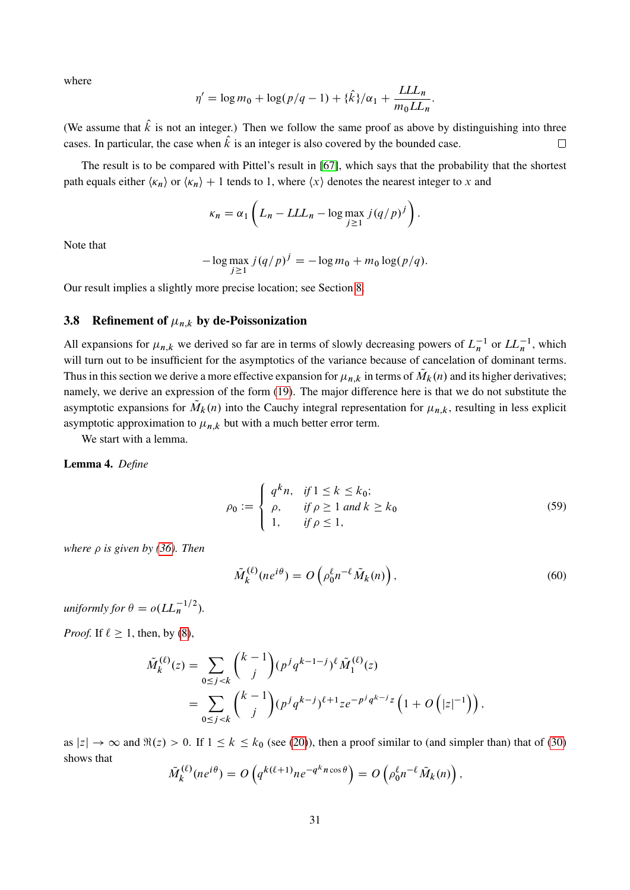where

$$
\eta' = \log m_0 + \log (p/q - 1) + {\hat{k}}/\alpha_1 + \frac{LLL_n}{m_0LL_n}.
$$

(We assume that  $\hat{k}$  is not an integer.) Then we follow the same proof as above by distinguishing into three cases. In particular, the case when  $\hat{k}$  is an integer is also covered by the bounded case.  $\Box$ 

The result is to be compared with Pittel's result in [\[67\]](#page-58-4), which says that the probability that the shortest path equals either  $\langle \kappa_n \rangle$  or  $\langle \kappa_n \rangle + 1$  tends to 1, where  $\langle x \rangle$  denotes the nearest integer to x and

$$
\kappa_n = \alpha_1 \left( L_n - LLL_n - \log \max_{j \ge 1} j(q/p)^j \right).
$$

Note that

$$
-\log \max_{j\geq 1} j(q/p)^j = -\log m_0 + m_0 \log (p/q).
$$

Our result implies a slightly more precise location; see Section [8.](#page-46-0)

## <span id="page-30-0"></span>3.8 Refinement of  $\mu_{n,k}$  by de-Poissonization

All expansions for  $\mu_{n,k}$  we derived so far are in terms of slowly decreasing powers of  $L_n^{-1}$  or  $LL_n^{-1}$ , which will turn out to be insufficient for the asymptotics of the variance because of cancelation of dominant terms. Thus in this section we derive a more effective expansion for  $\mu_{n,k}$  in terms of  $\tilde{M}_k(n)$  and its higher derivatives; namely, we derive an expression of the form [\(19\)](#page-14-6). The major difference here is that we do not substitute the asymptotic expansions for  $\tilde{M}_k(n)$  into the Cauchy integral representation for  $\mu_{n,k}$ , resulting in less explicit asymptotic approximation to  $\mu_{n,k}$  but with a much better error term.

We start with a lemma.

Lemma 4. *Define*

<span id="page-30-2"></span>
$$
\rho_0 := \begin{cases} q^k n, & \text{if } 1 \le k \le k_0; \\ \rho, & \text{if } \rho \ge 1 \text{ and } k \ge k_0 \\ 1, & \text{if } \rho \le 1, \end{cases}
$$
\n
$$
(59)
$$

*where*  $\rho$  *is given by [\(36\)](#page-18-3). Then* 

<span id="page-30-1"></span>
$$
\tilde{M}_k^{(\ell)}(ne^{i\theta}) = O\left(\rho_0^{\ell}n^{-\ell}\tilde{M}_k(n)\right),\tag{60}
$$

*uniformly for*  $\theta = o(LL_n^{-1/2})$ .

*Proof.* If  $\ell \geq 1$ , then, by [\(8\)](#page-11-1),

$$
\tilde{M}_{k}^{(\ell)}(z) = \sum_{0 \le j < k} {k-1 \choose j} (p^j q^{k-1-j})^{\ell} \tilde{M}_{1}^{(\ell)}(z) \n= \sum_{0 \le j < k} {k-1 \choose j} (p^j q^{k-j})^{\ell+1} z e^{-p^j q^{k-j} z} \left( 1 + O\left(|z|^{-1}\right) \right),
$$

as  $|z| \to \infty$  and  $\Re(z) > 0$ . If  $1 \le k \le k_0$  (see [\(20\)](#page-15-6)), then a proof similar to (and simpler than) that of [\(30\)](#page-16-3) shows that

$$
\tilde{M}_k^{(\ell)}(ne^{i\theta}) = O\left(q^{k(\ell+1)}ne^{-q^kn\cos\theta}\right) = O\left(\rho_0^{\ell}n^{-\ell}\tilde{M}_k(n)\right),\,
$$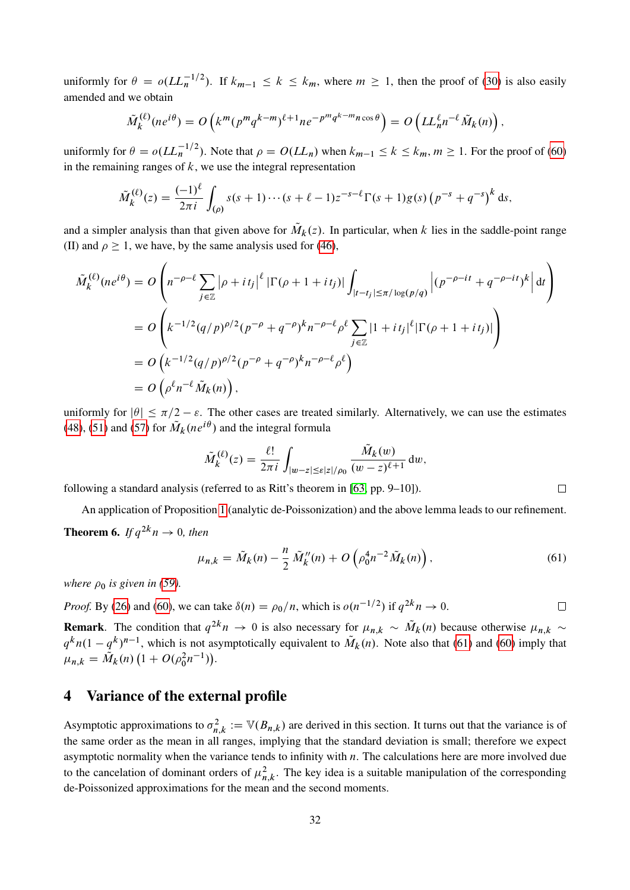uniformly for  $\theta = o(LL_n^{-1/2})$ . If  $k_{m-1} \le k \le k_m$ , where  $m \ge 1$ , then the proof of [\(30\)](#page-16-3) is also easily amended and we obtain

$$
\tilde{M}_k^{(\ell)}(ne^{i\theta}) = O\left(k^m(p^mq^{k-m})^{\ell+1}ne^{-p^mq^{k-m}n\cos\theta}\right) = O\left(LL_n^{\ell}n^{-\ell}\tilde{M}_k(n)\right),
$$

uniformly for  $\theta = o(LL_n^{-1/2})$ . Note that  $\rho = O(LL_n)$  when  $k_{m-1} \le k \le k_m$ ,  $m \ge 1$ . For the proof of [\(60\)](#page-30-1) in the remaining ranges of  $k$ , we use the integral representation

$$
\tilde{M}_k^{(\ell)}(z) = \frac{(-1)^{\ell}}{2\pi i} \int_{(\rho)} s(s+1)\cdots(s+\ell-1)z^{-s-\ell}\Gamma(s+1)g(s)\left(p^{-s}+q^{-s}\right)^k ds,
$$

and a simpler analysis than that given above for  $\tilde{M}_k(z)$ . In particular, when k lies in the saddle-point range (II) and  $\rho \ge 1$ , we have, by the same analysis used for [\(46\)](#page-22-0),

$$
\tilde{M}_{k}^{(\ell)}(ne^{i\theta}) = O\left(n^{-\rho-\ell} \sum_{j\in\mathbb{Z}} |\rho + it_{j}|^{\ell} |\Gamma(\rho + 1 + it_{j})| \int_{|t - t_{j}| \le \pi/\log(p/q)} \left| (p^{-\rho - it} + q^{-\rho - it})^{k} \right| dt \right)
$$
\n
$$
= O\left(k^{-1/2} (q/p)^{\rho/2} (p^{-\rho} + q^{-\rho})^{k} n^{-\rho - \ell} \rho^{\ell} \sum_{j\in\mathbb{Z}} |1 + it_{j}|^{\ell} |\Gamma(\rho + 1 + it_{j})| \right)
$$
\n
$$
= O\left(k^{-1/2} (q/p)^{\rho/2} (p^{-\rho} + q^{-\rho})^{k} n^{-\rho - \ell} \rho^{\ell} \right)
$$
\n
$$
= O\left(\rho^{\ell} n^{-\ell} \tilde{M}_{k}(n)\right),
$$

uniformly for  $|\theta| \le \pi/2 - \varepsilon$ . The other cases are treated similarly. Alternatively, we can use the estimates [\(48\)](#page-24-3), [\(51\)](#page-25-0) and [\(57\)](#page-27-2) for  $\tilde{M}_k(ne^{i\theta})$  and the integral formula

$$
\tilde{M}_k^{(\ell)}(z) = \frac{\ell!}{2\pi i} \int_{|w-z| \le \varepsilon |z|/\rho_0} \frac{\tilde{M}_k(w)}{(w-z)^{\ell+1}} dw,
$$

following a standard analysis (referred to as Ritt's theorem in [\[63,](#page-58-17) pp. 9–10]).

An application of Proposition [1](#page-14-5) (analytic de-Poissonization) and the above lemma leads to our refinement. **Theorem 6.** If  $q^{2k}n \rightarrow 0$ , then

$$
\mu_{n,k} = \tilde{M}_k(n) - \frac{n}{2} \tilde{M}_k''(n) + O\left(\rho_0^4 n^{-2} \tilde{M}_k(n)\right),\tag{61}
$$

<span id="page-31-1"></span> $\Box$ 

*where*  $\rho_0$  *is given in [\(59\)](#page-30-2).* 

*Proof.* By [\(26\)](#page-16-0) and [\(60\)](#page-30-1), we can take  $\delta(n) = \rho_0/n$ , which is  $o(n^{-1/2})$  if  $q^{2k}n \to 0$ .  $\Box$ 

**Remark**. The condition that  $q^{2k}n \to 0$  is also necessary for  $\mu_{n,k} \sim \tilde{M}_k(n)$  because otherwise  $\mu_{n,k} \sim$  $q^k n(1-q^k)^{n-1}$ , which is not asymptotically equivalent to  $\tilde{M}_k(n)$ . Note also that [\(61\)](#page-31-1) and [\(60\)](#page-30-1) imply that  $\mu_{n,k} = \overline{\tilde{M}}_k(n) \left( 1 + O(\rho_0^2 n^{-1}) \right).$ 

## <span id="page-31-0"></span>4 Variance of the external profile

Asymptotic approximations to  $\sigma_n^2$  $n_{n,k}^2 := \mathbb{V}(B_{n,k})$  are derived in this section. It turns out that the variance is of the same order as the mean in all ranges, implying that the standard deviation is small; therefore we expect asymptotic normality when the variance tends to infinity with  $n$ . The calculations here are more involved due to the cancelation of dominant orders of  $\mu_n^2$  $n_{n,k}^2$ . The key idea is a suitable manipulation of the corresponding de-Poissonized approximations for the mean and the second moments.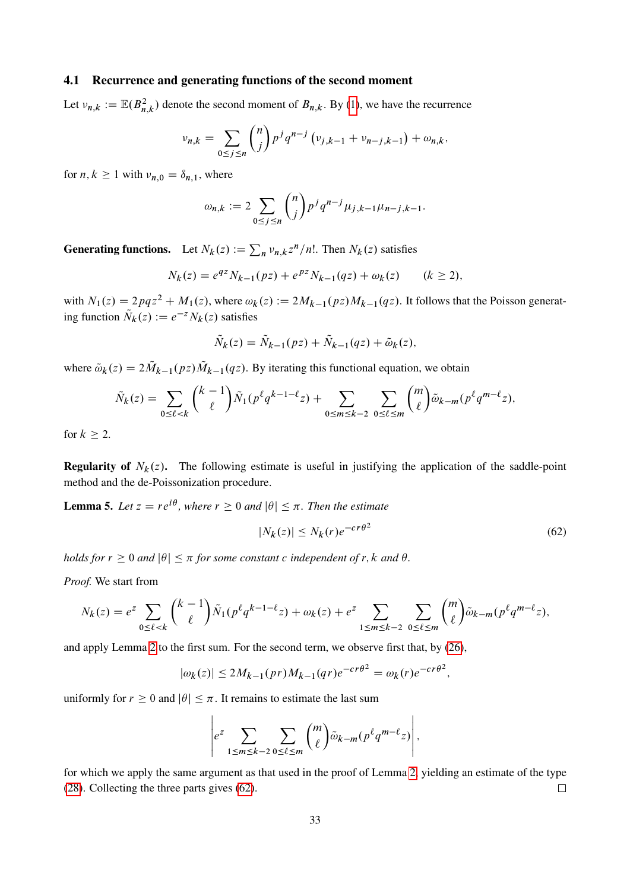### 4.1 Recurrence and generating functions of the second moment

Let  $v_{n,k} := \mathbb{E}(B_{n,k}^2)$  denote the second moment of  $B_{n,k}$ . By [\(1\)](#page-3-0), we have the recurrence

$$
\nu_{n,k} = \sum_{0 \le j \le n} {n \choose j} p^j q^{n-j} \left( \nu_{j,k-1} + \nu_{n-j,k-1} \right) + \omega_{n,k},
$$

for  $n, k \ge 1$  with  $\nu_{n,0} = \delta_{n,1}$ , where

$$
\omega_{n,k} := 2 \sum_{0 \le j \le n} {n \choose j} p^j q^{n-j} \mu_{j,k-1} \mu_{n-j,k-1}.
$$

**Generating functions.** Let  $N_k(z) := \sum_n v_{n,k} z^n / n!$ . Then  $N_k(z)$  satisfies

$$
N_k(z) = e^{qz} N_{k-1}(pz) + e^{pz} N_{k-1}(qz) + \omega_k(z) \qquad (k \ge 2),
$$

with  $N_1(z) = 2pqz^2 + M_1(z)$ , where  $\omega_k(z) := 2M_{k-1}(pz)M_{k-1}(qz)$ . It follows that the Poisson generating function  $\tilde{N}_k(z) := e^{-z} N_k(z)$  satisfies

$$
\tilde{N}_k(z) = \tilde{N}_{k-1}(pz) + \tilde{N}_{k-1}(qz) + \tilde{\omega}_k(z),
$$

where  $\tilde{\omega}_k(z) = 2\tilde{M}_{k-1}(pz)\tilde{M}_{k-1}(qz)$ . By iterating this functional equation, we obtain

$$
\tilde{N}_k(z) = \sum_{0 \le \ell < k} \binom{k-1}{\ell} \tilde{N}_1(p^\ell q^{k-1-\ell} z) + \sum_{0 \le m \le k-2} \sum_{0 \le \ell \le m} \binom{m}{\ell} \tilde{\omega}_{k-m}(p^\ell q^{m-\ell} z),
$$

for  $k > 2$ .

**Regularity of**  $N_k(z)$ . The following estimate is useful in justifying the application of the saddle-point method and the de-Poissonization procedure.

**Lemma 5.** Let  $z = re^{i\theta}$ , where  $r \geq 0$  and  $|\theta| \leq \pi$ . Then the estimate

<span id="page-32-0"></span>
$$
|N_k(z)| \le N_k(r)e^{-cr\theta^2}
$$
\n(62)

*holds for*  $r \geq 0$  *and*  $|\theta| \leq \pi$  *for some constant c independent of r, k and*  $\theta$ *.* 

*Proof.* We start from

$$
N_k(z) = e^z \sum_{0 \le \ell < k} \binom{k-1}{\ell} \tilde{N}_1(p^\ell q^{k-1-\ell} z) + \omega_k(z) + e^z \sum_{1 \le m \le k-2} \sum_{0 \le \ell \le m} \binom{m}{\ell} \tilde{\omega}_{k-m}(p^\ell q^{m-\ell} z),
$$

and apply Lemma [2](#page-16-7) to the first sum. For the second term, we observe first that, by [\(26\)](#page-16-0),

$$
|\omega_k(z)| \le 2M_{k-1}(pr)M_{k-1}(qr)e^{-cr\theta^2} = \omega_k(r)e^{-cr\theta^2},
$$

uniformly for  $r \geq 0$  and  $|\theta| \leq \pi$ . It remains to estimate the last sum

$$
\left| e^z \sum_{1 \le m \le k-2} \sum_{0 \le \ell \le m} \binom{m}{\ell} \tilde{\omega}_{k-m} (p^{\ell} q^{m-\ell} z) \right|,
$$

for which we apply the same argument as that used in the proof of Lemma [2,](#page-16-7) yielding an estimate of the type [\(28\)](#page-16-2). Collecting the three parts gives [\(62\)](#page-32-0).  $\Box$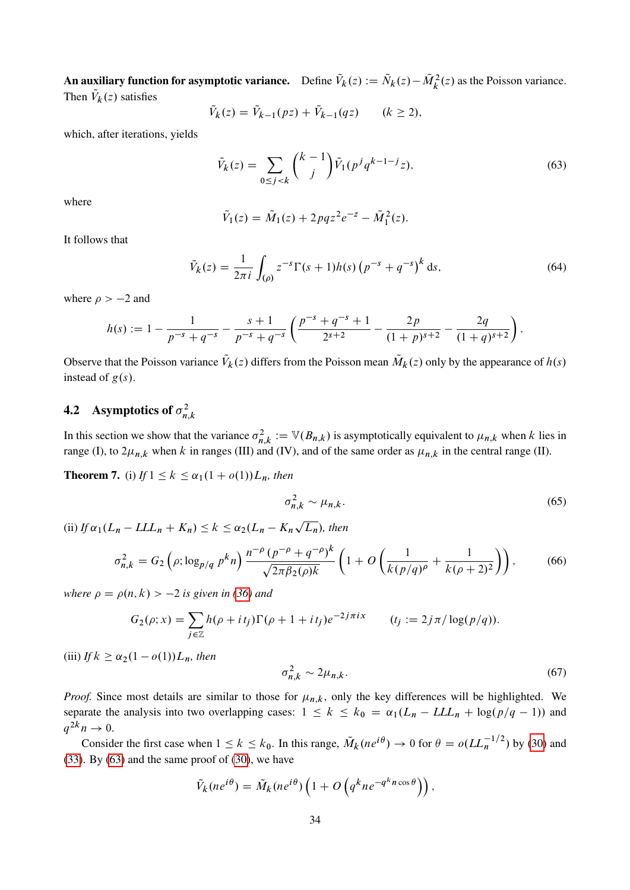An auxiliary function for asymptotic variance. Define  $\tilde{V}_k(z) := \tilde{N}_k(z) - \tilde{M}_k^2(z)$  as the Poisson variance. Then  $V_k(z)$  satisfies

$$
\tilde{V}_k(z) = \tilde{V}_{k-1}(pz) + \tilde{V}_{k-1}(qz) \qquad (k \ge 2),
$$

which, after iterations, yields

<span id="page-33-1"></span>
$$
\tilde{V}_k(z) = \sum_{0 \le j < k} \binom{k-1}{j} \tilde{V}_1(p^j q^{k-1-j} z),\tag{63}
$$

where

<span id="page-33-5"></span>
$$
\tilde{V}_1(z) = \tilde{M}_1(z) + 2pqz^2e^{-z} - \tilde{M}_1^2(z).
$$

It follows that

$$
\tilde{V}_k(z) = \frac{1}{2\pi i} \int_{(\rho)} z^{-s} \Gamma(s+1) h(s) \left( p^{-s} + q^{-s} \right)^k ds,
$$
\n(64)

where  $\rho > -2$  and

$$
h(s) := 1 - \frac{1}{p^{-s} + q^{-s}} - \frac{s+1}{p^{-s} + q^{-s}} \left( \frac{p^{-s} + q^{-s} + 1}{2^{s+2}} - \frac{2p}{(1+p)^{s+2}} - \frac{2q}{(1+q)^{s+2}} \right).
$$

Observe that the Poisson variance  $\tilde{V}_k(z)$  differs from the Poisson mean  $\tilde{M}_k(z)$  only by the appearance of  $h(s)$ instead of  $g(s)$ .

#### **4.2** Asymptotics of  $\sigma_n^2$ n;k

In this section we show that the variance  $\sigma_n^2$  $n_{n,k}^2 := \mathbb{V}(B_{n,k})$  is asymptotically equivalent to  $\mu_{n,k}$  when k lies in range (I), to  $2\mu_{n,k}$  when k in ranges (III) and (IV), and of the same order as  $\mu_{n,k}$  in the central range (II).

<span id="page-33-0"></span>**Theorem 7.** (i) *If*  $1 \le k \le \alpha_1(1 + o(1))L_n$ *, then* 

<span id="page-33-3"></span><span id="page-33-2"></span>
$$
\sigma_{n,k}^2 \sim \mu_{n,k}.\tag{65}
$$

(ii)  $If \alpha_1(L_n - LLL_n + K_n) \leq k \leq \alpha_2(L_n - K_n)$  $\overline{L_n}$ *)*, then

$$
\sigma_{n,k}^2 = G_2 \left( \rho; \log_{p/q} p^k n \right) \frac{n^{-\rho} (p^{-\rho} + q^{-\rho})^k}{\sqrt{2\pi \beta_2(\rho) k}} \left( 1 + O\left( \frac{1}{k(p/q)^{\rho}} + \frac{1}{k(\rho + 2)^2} \right) \right), \tag{66}
$$

*where*  $\rho = \rho(n, k) > -2$  *is given in [\(36\)](#page-18-3)* and

$$
G_2(\rho; x) = \sum_{j \in \mathbb{Z}} h(\rho + it_j) \Gamma(\rho + 1 + it_j) e^{-2j\pi i x} \qquad (t_j := 2j\pi/\log(p/q)).
$$

(iii) *If*  $k \geq \alpha_2(1 - o(1))L_n$ *, then* 

<span id="page-33-4"></span>
$$
\sigma_{n,k}^2 \sim 2\mu_{n,k}.\tag{67}
$$

*Proof.* Since most details are similar to those for  $\mu_{n,k}$ , only the key differences will be highlighted. We separate the analysis into two overlapping cases:  $1 \le k \le k_0 = \alpha_1(L_n - LL_n + \log(p/q - 1))$  and  $q^{2k}n \to 0.$ 

Consider the first case when  $1 \le k \le k_0$ . In this range,  $\tilde{M}_k(ne^{i\theta}) \to 0$  for  $\theta = o(LL_n^{-1/2})$  by [\(30\)](#page-16-3) and  $(33)$ . By  $(63)$  and the same proof of  $(30)$ , we have

$$
\tilde{V}_k(ne^{i\theta}) = \tilde{M}_k(ne^{i\theta})\left(1 + O\left(q^k n e^{-q^k n \cos \theta}\right)\right),\,
$$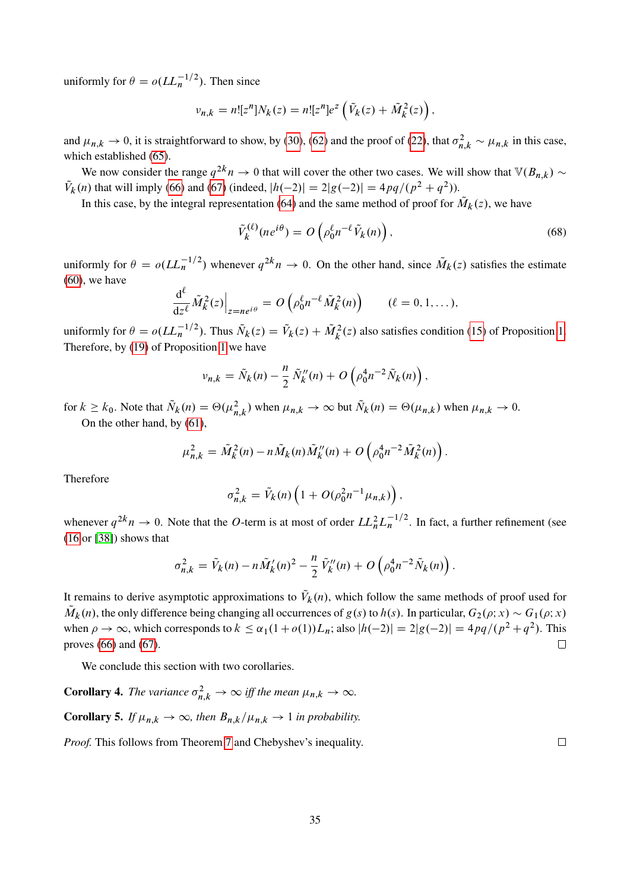uniformly for  $\theta = o(LL_n^{-1/2})$ . Then since

$$
v_{n,k} = n! [z^n] N_k(z) = n! [z^n] e^z \left( \tilde{V}_k(z) + \tilde{M}_k^2(z) \right),
$$

and  $\mu_{n,k} \to 0$ , it is straightforward to show, by [\(30\)](#page-16-3), [\(62\)](#page-32-0) and the proof of [\(22\)](#page-15-2), that  $\sigma_{n,k}^2 \sim \mu_{n,k}$  in this case, which established [\(65\)](#page-33-2).

We now consider the range  $q^{2k}n \to 0$  that will cover the other two cases. We will show that  $\mathbb{V}(B_{n,k}) \sim$  $\tilde{V}_k(n)$  that will imply [\(66\)](#page-33-3) and [\(67\)](#page-33-4) (indeed,  $|h(-2)| = 2|g(-2)| = 4pq/(p^2 + q^2)$ ).

In this case, by the integral representation [\(64\)](#page-33-5) and the same method of proof for  $\tilde{M}_k(z)$ , we have

<span id="page-34-0"></span>
$$
\tilde{V}_k^{(\ell)}(ne^{i\theta}) = O\left(\rho_0^{\ell}n^{-\ell}\tilde{V}_k(n)\right),\tag{68}
$$

uniformly for  $\theta = o(LL_n^{-1/2})$  whenever  $q^{2k}n \to 0$ . On the other hand, since  $\tilde{M}_k(z)$  satisfies the estimate  $(60)$ , we have

$$
\frac{\mathrm{d}^{\ell}}{\mathrm{d}z^{\ell}}\tilde{M}_k^2(z)\Big|_{z=ne^{i\theta}}=O\left(\rho_0^{\ell}n^{-\ell}\tilde{M}_k^2(n)\right)\qquad(\ell=0,1,\ldots),
$$

uniformly for  $\theta = o(LL_n^{-1/2})$ . Thus  $\tilde{N}_k(z) = \tilde{V}_k(z) + \tilde{M}_k^2(z)$  also satisfies condition [\(15\)](#page-14-2) of Proposition [1.](#page-14-5) Therefore, by [\(19\)](#page-14-6) of Proposition [1](#page-14-5) we have

$$
v_{n,k} = \tilde{N}_k(n) - \frac{n}{2} \tilde{N}_k''(n) + O\left(\rho_0^4 n^{-2} \tilde{N}_k(n)\right),
$$

for  $k \ge k_0$ . Note that  $\tilde{N}_k(n) = \Theta(\mu_{n,k}^2)$  when  $\mu_{n,k} \to \infty$  but  $\tilde{N}_k(n) = \Theta(\mu_{n,k})$  when  $\mu_{n,k} \to 0$ . On the other hand, by [\(61\)](#page-31-1),

$$
\mu_{n,k}^2 = \tilde{M}_k^2(n) - n\tilde{M}_k(n)\tilde{M}_k''(n) + O\left(\rho_0^4 n^{-2} \tilde{M}_k^2(n)\right).
$$

Therefore

$$
\sigma_{n,k}^2 = \tilde{V}_k(n) \left( 1 + O(\rho_0^2 n^{-1} \mu_{n,k}) \right),
$$

whenever  $q^{2k}n \to 0$ . Note that the O-term is at most of order  $LL_n^2 L_n^{-1/2}$ . In fact, a further refinement (see [\(16](#page-14-3) or [\[38\]](#page-57-10)) shows that

$$
\sigma_{n,k}^2 = \tilde{V}_k(n) - n\tilde{M}_k'(n)^2 - \frac{n}{2}\tilde{V}_k''(n) + O\left(\rho_0^4 n^{-2} \tilde{N}_k(n)\right).
$$

It remains to derive asymptotic approximations to  $\tilde{V}_k(n)$ , which follow the same methods of proof used for  $\tilde{M}_k(n)$ , the only difference being changing all occurrences of  $g(s)$  to  $h(s)$ . In particular,  $G_2(\rho; x) \sim G_1(\rho; x)$ when  $\rho \to \infty$ , which corresponds to  $k \leq \alpha_1(1 + o(1))L_n$ ; also  $|h(-2)| = 2|g(-2)| = 4pq/(p^2 + q^2)$ . This proves [\(66\)](#page-33-3) and [\(67\)](#page-33-4).  $\Box$ 

We conclude this section with two corollaries.

**Corollary 4.** The variance  $\sigma_{n,k}^2 \to \infty$  iff the mean  $\mu_{n,k} \to \infty$ .

**Corollary 5.** *If*  $\mu_{n,k} \to \infty$ , then  $B_{n,k}/\mu_{n,k} \to 1$  *in probability.* 

*Proof.* This follows from Theorem [7](#page-33-0) and Chebyshev's inequality.

35

 $\Box$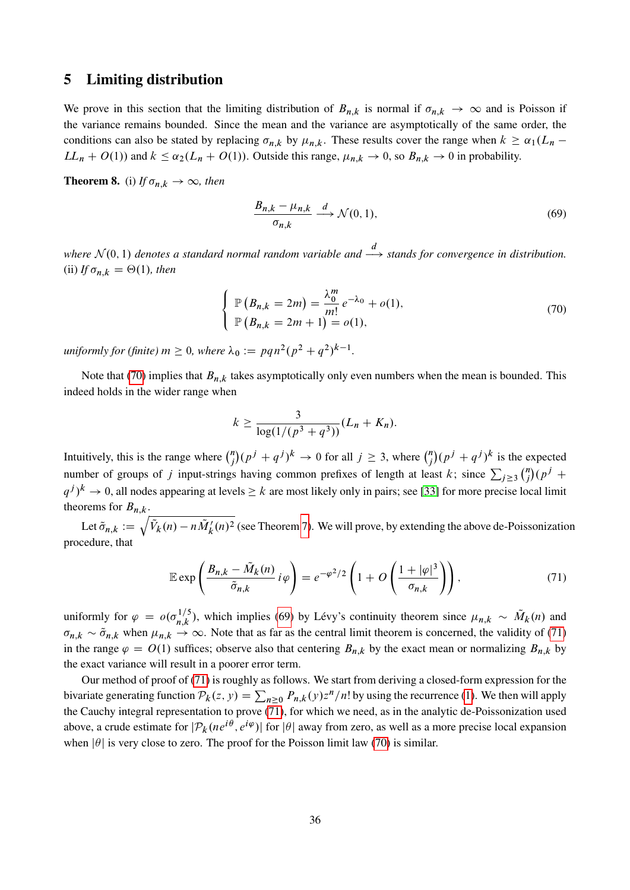## <span id="page-35-0"></span>5 Limiting distribution

We prove in this section that the limiting distribution of  $B_{n,k}$  is normal if  $\sigma_{n,k} \to \infty$  and is Poisson if the variance remains bounded. Since the mean and the variance are asymptotically of the same order, the conditions can also be stated by replacing  $\sigma_{n,k}$  by  $\mu_{n,k}$ . These results cover the range when  $k \ge \alpha_1(L_n LL_n + O(1)$  and  $k \leq \alpha_2(L_n + O(1))$ . Outside this range,  $\mu_{n,k} \to 0$ , so  $B_{n,k} \to 0$  in probability.

<span id="page-35-1"></span>**Theorem 8.** (i) If  $\sigma_{n,k} \to \infty$ , then

<span id="page-35-3"></span><span id="page-35-2"></span>
$$
\frac{B_{n,k} - \mu_{n,k}}{\sigma_{n,k}} \xrightarrow{d} \mathcal{N}(0,1),\tag{69}
$$

where  $\mathcal{N}(0, 1)$  denotes a standard normal random variable and  $\stackrel{d}{\longrightarrow}$  stands for convergence in distribution. (ii) *If*  $\sigma_{n,k} = \Theta(1)$ *, then* 

$$
\begin{cases} \mathbb{P}\left(B_{n,k} = 2m\right) = \frac{\lambda_0^m}{m!} e^{-\lambda_0} + o(1), \\ \mathbb{P}\left(B_{n,k} = 2m+1\right) = o(1), \end{cases} \tag{70}
$$

 $\mu$ *niformly for (finite)*  $m \ge 0$ , where  $\lambda_0 := p q n^2 (p^2 + q^2)^{k-1}$ .

Note that [\(70\)](#page-35-2) implies that  $B_{n,k}$  takes asymptotically only even numbers when the mean is bounded. This indeed holds in the wider range when

<span id="page-35-4"></span>
$$
k \ge \frac{3}{\log(1/(p^3+q^3))}(L_n+K_n).
$$

Intuitively, this is the range where  $\binom{n}{i}$  $j^{(n)}(p^j + q^j)^k \to 0$  for all  $j \ge 3$ , where  $\binom{n}{j}$  $\binom{n}{j} (p^j + q^j)^k$  is the expected number of groups of j input-strings having common prefixes of length at least k; since  $\sum_{j\geq 3} {n \choose j}$  $\binom{n}{j} (p^j +$  $(q^{j})^{k} \to 0$ , all nodes appearing at levels  $\geq k$  are most likely only in pairs; see [\[33\]](#page-56-15) for more precise local limit theorems for  $B_{n,k}$ .

Let  $\tilde{\sigma}_{n,k} := \sqrt{\tilde{V}_k(n) - n\tilde{M}'_k(n)^2}$  (see Theorem [7\)](#page-33-0). We will prove, by extending the above de-Poissonization procedure, that

$$
\mathbb{E} \exp\left(\frac{B_{n,k} - \tilde{M}_k(n)}{\tilde{\sigma}_{n,k}} i \varphi\right) = e^{-\varphi^2/2} \left(1 + O\left(\frac{1 + |\varphi|^3}{\sigma_{n,k}}\right)\right),\tag{71}
$$

uniformly for  $\varphi = o(\sigma_{n,k}^{1/5})$ , which implies [\(69\)](#page-35-3) by Lévy's continuity theorem since  $\mu_{n,k} \sim \tilde{M}_k(n)$  and  $\sigma_{n,k} \sim \tilde{\sigma}_{n,k}$  when  $\mu_{n,k} \to \infty$ . Note that as far as the central limit theorem is concerned, the validity of [\(71\)](#page-35-4) in the range  $\varphi = O(1)$  suffices; observe also that centering  $B_{n,k}$  by the exact mean or normalizing  $B_{n,k}$  by the exact variance will result in a poorer error term.

Our method of proof of [\(71\)](#page-35-4) is roughly as follows. We start from deriving a closed-form expression for the bivariate generating function  $P_k(z, y) = \sum_{n \geq 0} P_{n,k}(y) z^n/n!$  by using the recurrence [\(1\)](#page-3-0). We then will apply the Cauchy integral representation to prove [\(71\)](#page-35-4), for which we need, as in the analytic de-Poissonization used above, a crude estimate for  $|\mathcal{P}_k(n e^{i\theta}, e^{i\varphi})|$  for  $|\theta|$  away from zero, as well as a more precise local expansion when  $|\theta|$  is very close to zero. The proof for the Poisson limit law [\(70\)](#page-35-2) is similar.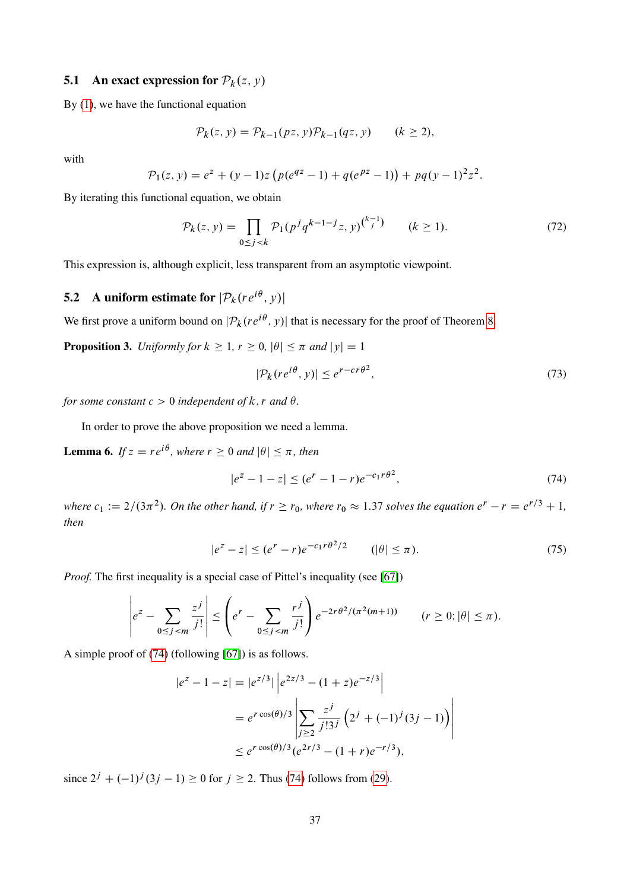## **5.1** An exact expression for  $\mathcal{P}_k(z, y)$

By [\(1\)](#page-3-0), we have the functional equation

$$
\mathcal{P}_k(z, y) = \mathcal{P}_{k-1}(pz, y)\mathcal{P}_{k-1}(qz, y) \qquad (k \ge 2),
$$

with

$$
\mathcal{P}_1(z, y) = e^z + (y - 1)z \left( p(e^{qz} - 1) + q(e^{pz} - 1) \right) + pq(y - 1)^2 z^2.
$$

By iterating this functional equation, we obtain

$$
\mathcal{P}_k(z, y) = \prod_{0 \le j < k} \mathcal{P}_1(p^j q^{k-1-j} z, y)^{\binom{k-1}{j}} \qquad (k \ge 1). \tag{72}
$$

This expression is, although explicit, less transparent from an asymptotic viewpoint.

# **5.2** A uniform estimate for  $|\mathcal{P}_k(re^{i\theta}, y)|$

<span id="page-36-2"></span>We first prove a uniform bound on  $|\mathcal{P}_k(re^{i\theta}, y)|$  that is necessary for the proof of Theorem [8.](#page-35-1)

**Proposition 3.** *Uniformly for*  $k \ge 1$ ,  $r \ge 0$ ,  $|\theta| \le \pi$  *and*  $|y| = 1$ 

<span id="page-36-4"></span><span id="page-36-3"></span><span id="page-36-0"></span>
$$
|\mathcal{P}_k(re^{i\theta}, y)| \le e^{r - cr\theta^2},\tag{73}
$$

*for some constant*  $c > 0$  *independent* of  $k, r$  *and*  $\theta$ *.* 

In order to prove the above proposition we need a lemma.

**Lemma 6.** If  $z = re^{i\theta}$ , where  $r \ge 0$  and  $|\theta| \le \pi$ , then

<span id="page-36-1"></span>
$$
|e^z - 1 - z| \le (e^r - 1 - r)e^{-c_1 r \theta^2},\tag{74}
$$

where  $c_1 := 2/(3\pi^2)$ . On the other hand, if  $r \ge r_0$ , where  $r_0 \approx 1.37$  solves the equation  $e^r - r = e^{r/3} + 1$ , *then*

$$
|e^z - z| \le (e^r - r)e^{-c_1 r \theta^2/2} \qquad (|\theta| \le \pi). \tag{75}
$$

*Proof.* The first inequality is a special case of Pittel's inequality (see [\[67\]](#page-58-4))

$$
\left| e^{z} - \sum_{0 \le j < m} \frac{z^{j}}{j!} \right| \le \left( e^{r} - \sum_{0 \le j < m} \frac{r^{j}}{j!} \right) e^{-2r\theta^{2}/(\pi^{2}(m+1))} \qquad (r \ge 0; |\theta| \le \pi).
$$

A simple proof of [\(74\)](#page-36-0) (following [\[67\]](#page-58-4)) is as follows.

$$
|e^{z} - 1 - z| = |e^{z/3}| \left| e^{2z/3} - (1 + z)e^{-z/3} \right|
$$
  
=  $e^{r \cos(\theta)/3} \left| \sum_{j \ge 2} \frac{z^{j}}{j!3^{j}} \left( 2^{j} + (-1)^{j} (3j - 1) \right) \right|$   
\$\le e^{r \cos(\theta)/3} (e^{2r/3} - (1 + r)e^{-r/3}),

since  $2^{j} + (-1)^{j} (3j - 1) \ge 0$  for  $j \ge 2$ . Thus [\(74\)](#page-36-0) follows from [\(29\)](#page-16-4).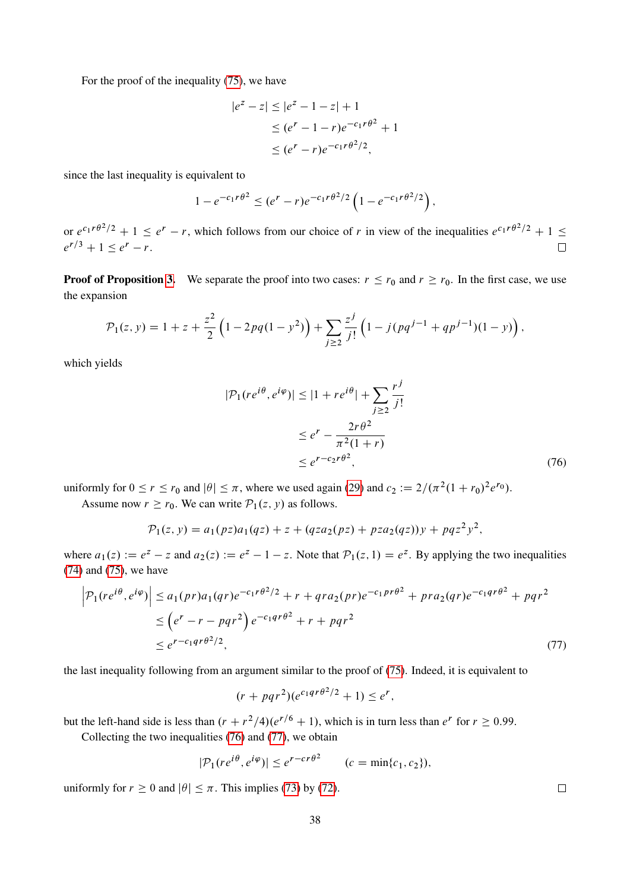For the proof of the inequality [\(75\)](#page-36-1), we have

$$
|e^{z} - z| \le |e^{z} - 1 - z| + 1
$$
  
\n
$$
\le (e^{r} - 1 - r)e^{-c_1 r \theta^2} + 1
$$
  
\n
$$
\le (e^{r} - r)e^{-c_1 r \theta^2/2},
$$

since the last inequality is equivalent to

$$
1 - e^{-c_1 r \theta^2} \le (e^r - r) e^{-c_1 r \theta^2/2} \left( 1 - e^{-c_1 r \theta^2/2} \right),
$$

or  $e^{c_1 r \theta^2/2} + 1 \le e^r - r$ , which follows from our choice of r in view of the inequalities  $e^{c_1 r \theta^2/2} + 1 \le$  $e^{r/3} + 1 \le e^r - r.$  $\Box$ 

**Proof of Proposition [3.](#page-36-2)** We separate the proof into two cases:  $r \le r_0$  and  $r \ge r_0$ . In the first case, we use the expansion

$$
\mathcal{P}_1(z, y) = 1 + z + \frac{z^2}{2} \left( 1 - 2pq(1 - y^2) \right) + \sum_{j \ge 2} \frac{z^j}{j!} \left( 1 - j(pq^{j-1} + qp^{j-1})(1 - y) \right),
$$

which yields

<span id="page-37-0"></span>
$$
|\mathcal{P}_1(re^{i\theta}, e^{i\varphi})| \le |1 + re^{i\theta}| + \sum_{j \ge 2} \frac{r^j}{j!}
$$
  

$$
\le e^r - \frac{2r\theta^2}{\pi^2(1+r)}
$$
  

$$
\le e^{r - c_2 r \theta^2}, \tag{76}
$$

uniformly for  $0 \le r \le r_0$  and  $|\theta| \le \pi$ , where we used again [\(29\)](#page-16-4) and  $c_2 := 2/(\pi^2(1+r_0)^2e^{r_0})$ .

Assume now  $r \ge r_0$ . We can write  $P_1(z, y)$  as follows.

$$
\mathcal{P}_1(z, y) = a_1(pz)a_1(qz) + z + (qza_2(pz) + pza_2(qz))y + pqz^2y^2,
$$

where  $a_1(z) := e^z - z$  and  $a_2(z) := e^z - 1 - z$ . Note that  $\mathcal{P}_1(z, 1) = e^z$ . By applying the two inequalities [\(74\)](#page-36-0) and [\(75\)](#page-36-1), we have

$$
\left| \mathcal{P}_1(re^{i\theta}, e^{i\varphi}) \right| \le a_1(pr)a_1(qr)e^{-c_1r\theta^2/2} + r + qra_2(pr)e^{-c_1pr\theta^2} + pr a_2(qr)e^{-c_1qr\theta^2} + pqr^2
$$
  
\n
$$
\le (e^r - r - pqr^2)e^{-c_1qr\theta^2} + r + pqr^2
$$
  
\n
$$
\le e^{r-c_1qr\theta^2/2},
$$
\n(77)

the last inequality following from an argument similar to the proof of [\(75\)](#page-36-1). Indeed, it is equivalent to

$$
(r + pqr^2)(e^{c_1qr\theta^2/2} + 1) \leq e^r,
$$

but the left-hand side is less than  $(r + r^2/4)(e^{r/6} + 1)$ , which is in turn less than  $e^r$  for  $r \ge 0.99$ .

Collecting the two inequalities [\(76\)](#page-37-0) and [\(77\)](#page-37-1), we obtain

$$
|\mathcal{P}_1(re^{i\theta},e^{i\varphi})| \leq e^{r-cr\theta^2} \qquad (c=\min\{c_1,c_2\}),
$$

uniformly for  $r \ge 0$  and  $|\theta| \le \pi$ . This implies [\(73\)](#page-36-3) by [\(72\)](#page-36-4).

38

<span id="page-37-1"></span> $\Box$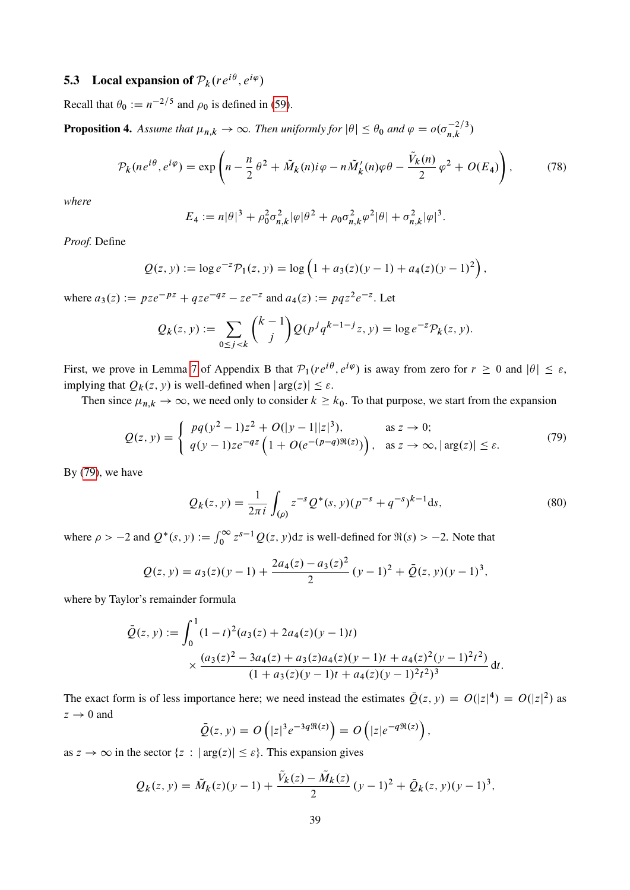## **5.3** Local expansion of  $\mathcal{P}_k(re^{i\theta},e^{i\varphi})$

Recall that  $\theta_0 := n^{-2/5}$  and  $\rho_0$  is defined in [\(59\)](#page-30-2).

<span id="page-38-2"></span>**Proposition 4.** Assume that  $\mu_{n,k} \to \infty$ . Then uniformly for  $|\theta| \leq \theta_0$  and  $\varphi = o(\sigma_{n,k}^{-2/3})$ 

$$
\mathcal{P}_k(ne^{i\theta},e^{i\varphi}) = \exp\left(n - \frac{n}{2}\theta^2 + \tilde{M}_k(n)i\varphi - n\tilde{M}_k'(n)\varphi\theta - \frac{\tilde{V}_k(n)}{2}\varphi^2 + O(E_4)\right),\tag{78}
$$

*where*

<span id="page-38-1"></span>
$$
E_4 := n|\theta|^3 + \rho_0^2 \sigma_{n,k}^2 |\varphi|\theta^2 + \rho_0 \sigma_{n,k}^2 \varphi^2 |\theta| + \sigma_{n,k}^2 |\varphi|^3.
$$

*Proof.* Define

$$
Q(z, y) := \log e^{-z} \mathcal{P}_1(z, y) = \log \left( 1 + a_3(z)(y - 1) + a_4(z)(y - 1)^2 \right),
$$

where  $a_3(z) := pze^{-pz} + qze^{-qz} - ze^{-z}$  and  $a_4(z) := pqz^2e^{-z}$ . Let

$$
Q_k(z, y) := \sum_{0 \le j < k} \binom{k-1}{j} Q(p^j q^{k-1-j} z, y) = \log e^{-z} \mathcal{P}_k(z, y).
$$

First, we prove in Lemma [7](#page-53-0) of Appendix B that  $P_1(re^{i\theta}, e^{i\varphi})$  is away from zero for  $r \ge 0$  and  $|\theta| \le \varepsilon$ , implying that  $Q_k(z, y)$  is well-defined when  $|\arg(z)| \leq \varepsilon$ .

Then since  $\mu_{n,k} \to \infty$ , we need only to consider  $k \geq k_0$ . To that purpose, we start from the expansion

$$
Q(z, y) = \begin{cases} pq(y^2 - 1)z^2 + O(|y - 1||z|^3), & \text{as } z \to 0; \\ q(y - 1)ze^{-qz} \left(1 + O(e^{-(p-q)\Re(z)})\right), & \text{as } z \to \infty, |\arg(z)| \le \varepsilon. \end{cases}
$$
(79)

By [\(79\)](#page-38-0), we have

<span id="page-38-3"></span><span id="page-38-0"></span>
$$
Q_k(z, y) = \frac{1}{2\pi i} \int_{(\rho)} z^{-s} Q^*(s, y) (p^{-s} + q^{-s})^{k-1} ds,
$$
\n(80)

where  $\rho > -2$  and  $Q^*(s, y) := \int_0^\infty z^{s-1} Q(z, y) dz$  is well-defined for  $\Re(s) > -2$ . Note that

$$
Q(z, y) = a_3(z)(y - 1) + \frac{2a_4(z) - a_3(z)^2}{2} (y - 1)^2 + \overline{Q}(z, y)(y - 1)^3,
$$

where by Taylor's remainder formula

$$
\bar{Q}(z, y) := \int_0^1 (1 - t)^2 (a_3(z) + 2a_4(z)(y - 1)t)
$$
  
 
$$
\times \frac{(a_3(z)^2 - 3a_4(z) + a_3(z)a_4(z)(y - 1)t + a_4(z)^2(y - 1)^2 t^2)}{(1 + a_3(z)(y - 1)t + a_4(z)(y - 1)^2 t^2)^3} dt.
$$

The exact form is of less importance here; we need instead the estimates  $\overline{Q}(z, y) = O(|z|^4) = O(|z|^2)$  as  $z \rightarrow 0$  and

$$
\overline{Q}(z, y) = O\left(|z|^3 e^{-3q \Re(z)}\right) = O\left(|z| e^{-q \Re(z)}\right),\,
$$

as  $z \to \infty$  in the sector  $\{z : |arg(z)| \leq \varepsilon\}$ . This expansion gives

$$
Q_k(z, y) = \tilde{M}_k(z)(y - 1) + \frac{\tilde{V}_k(z) - \tilde{M}_k(z)}{2} (y - 1)^2 + \bar{Q}_k(z, y)(y - 1)^3,
$$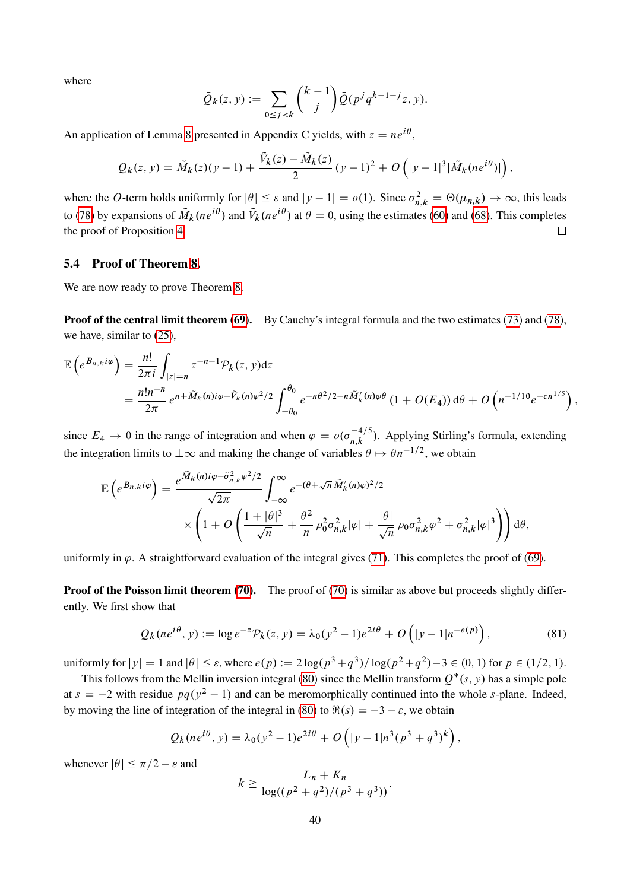where

$$
\bar{Q}_k(z, y) := \sum_{0 \le j < k} \binom{k-1}{j} \bar{Q}(p^j q^{k-1-j} z, y).
$$

An application of Lemma [8](#page-54-0) presented in Appendix C yields, with  $z = ne^{i\theta}$ ,

$$
Q_k(z, y) = \tilde{M}_k(z)(y - 1) + \frac{\tilde{V}_k(z) - \tilde{M}_k(z)}{2} (y - 1)^2 + O(|y - 1|^3 | \tilde{M}_k(ne^{i\theta})|),
$$

where the O-term holds uniformly for  $|\theta| \leq \varepsilon$  and  $|y - 1| = o(1)$ . Since  $\sigma_{n,k}^2 = \Theta(\mu_{n,k}) \to \infty$ , this leads to [\(78\)](#page-38-1) by expansions of  $\tilde{M}_k(ne^{i\theta})$  and  $\tilde{V}_k(ne^{i\theta})$  at  $\theta = 0$ , using the estimates [\(60\)](#page-30-1) and [\(68\)](#page-34-0). This completes the proof of Proposition [4.](#page-38-2)  $\Box$ 

## 5.4 Proof of Theorem [8.](#page-35-1)

We are now ready to prove Theorem [8.](#page-35-1)

Proof of the central limit theorem [\(69\)](#page-35-3). By Cauchy's integral formula and the two estimates [\(73\)](#page-36-3) and [\(78\)](#page-38-1), we have, similar to [\(25\)](#page-15-3),

$$
\mathbb{E}\left(e^{B_{n,k}i\varphi}\right) = \frac{n!}{2\pi i} \int_{|z|=n} z^{-n-1} \mathcal{P}_k(z, y) dz
$$
  
= 
$$
\frac{n! n^{-n}}{2\pi} e^{n + \tilde{M}_k(n)i\varphi - \tilde{V}_k(n)\varphi^2/2} \int_{-\theta_0}^{\theta_0} e^{-n\theta^2/2 - n\tilde{M}'_k(n)\varphi\theta} (1 + O(E_4)) d\theta + O\left(n^{-1/10} e^{-cn^{1/5}}\right),
$$

since  $E_4 \to 0$  in the range of integration and when  $\varphi = o(\sigma_{n,k}^{-4/5})$ . Applying Stirling's formula, extending the integration limits to  $\pm \infty$  and making the change of variables  $\theta \mapsto \theta n^{-1/2}$ , we obtain

$$
\mathbb{E}\left(e^{B_{n,k}i\varphi}\right) = \frac{e^{\tilde{M}_k(n)i\varphi - \tilde{\sigma}_{n,k}^2\varphi^2/2}}{\sqrt{2\pi}} \int_{-\infty}^{\infty} e^{-(\theta + \sqrt{n}\tilde{M}_k'(n)\varphi)^2/2} \times \left(1 + O\left(\frac{1+|\theta|^3}{\sqrt{n}} + \frac{\theta^2}{n}\rho_0^2\sigma_{n,k}^2|\varphi| + \frac{|\theta|}{\sqrt{n}}\rho_0\sigma_{n,k}^2\varphi^2 + \sigma_{n,k}^2|\varphi|^3\right)\right)d\theta,
$$

uniformly in  $\varphi$ . A straightforward evaluation of the integral gives [\(71\)](#page-35-4). This completes the proof of [\(69\)](#page-35-3).

**Proof of the Poisson limit theorem [\(70\)](#page-35-2).** The proof of (70) is similar as above but proceeds slightly differently. We first show that

$$
Q_k(ne^{i\theta}, y) := \log e^{-z} \mathcal{P}_k(z, y) = \lambda_0(y^2 - 1)e^{2i\theta} + O\left(|y - 1|n^{-e(p)}\right),\tag{81}
$$

uniformly for  $|y| = 1$  and  $|\theta| \le \varepsilon$ , where  $e(p) := 2\log(p^3 + q^3)/\log(p^2 + q^2) - 3 \in (0, 1)$  for  $p \in (1/2, 1)$ .

This follows from the Mellin inversion integral [\(80\)](#page-38-3) since the Mellin transform  $Q^*(s, y)$  has a simple pole at  $s = -2$  with residue  $pq(y^2 - 1)$  and can be meromorphically continued into the whole s-plane. Indeed, by moving the line of integration of the integral in [\(80\)](#page-38-3) to  $\Re(s) = -3 - \varepsilon$ , we obtain

$$
Q_k(ne^{i\theta}, y) = \lambda_0(y^2 - 1)e^{2i\theta} + O(|y - 1|n^3(p^3 + q^3)^k),
$$

whenever  $|\theta| \leq \pi/2 - \varepsilon$  and

<span id="page-39-0"></span>
$$
k \geq \frac{L_n + K_n}{\log((p^2 + q^2)/(p^3 + q^3))}.
$$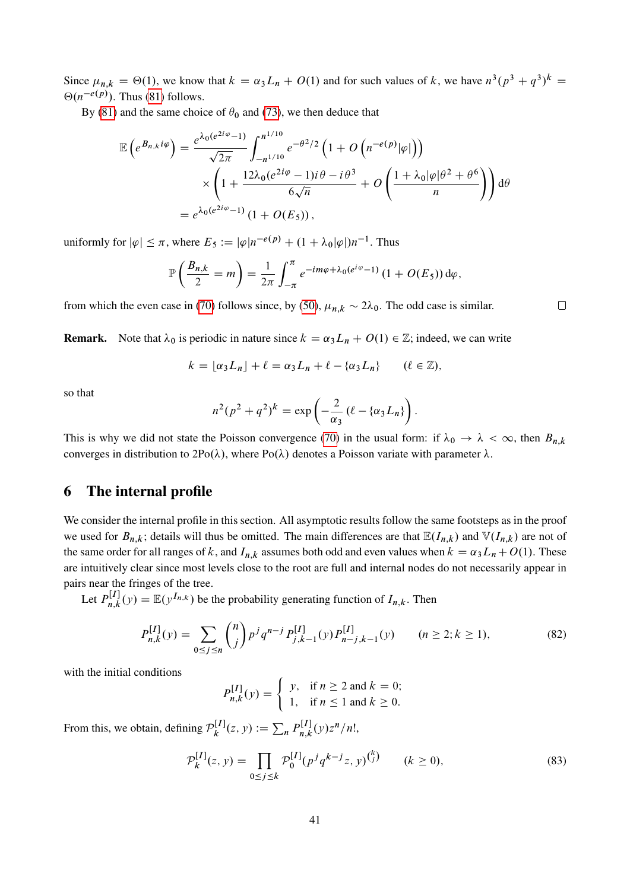Since  $\mu_{n,k} = \Theta(1)$ , we know that  $k = \alpha_3 L_n + O(1)$  and for such values of k, we have  $n^3(p^3 + q^3)^k =$  $\Theta(n^{-e(p)})$ . Thus [\(81\)](#page-39-0) follows.

By [\(81\)](#page-39-0) and the same choice of  $\theta_0$  and [\(73\)](#page-36-3), we then deduce that

$$
\mathbb{E}\left(e^{B_{n,k}i\varphi}\right) = \frac{e^{\lambda_0(e^{2i\varphi}-1)}}{\sqrt{2\pi}} \int_{-n^{1/10}}^{n^{1/10}} e^{-\theta^2/2} \left(1 + O\left(n^{-e(p)}|\varphi|\right)\right)
$$

$$
\times \left(1 + \frac{12\lambda_0(e^{2i\varphi}-1)i\theta - i\theta^3}{6\sqrt{n}} + O\left(\frac{1 + \lambda_0|\varphi|\theta^2 + \theta^6}{n}\right)\right) d\theta
$$

$$
= e^{\lambda_0(e^{2i\varphi}-1)} \left(1 + O(E_5)\right),
$$

uniformly for  $|\varphi| \leq \pi$ , where  $E_5 := |\varphi|n^{-e(p)} + (1 + \lambda_0|\varphi|)n^{-1}$ . Thus

$$
\mathbb{P}\left(\frac{B_{n,k}}{2}=m\right)=\frac{1}{2\pi}\int_{-\pi}^{\pi}e^{-im\varphi+\lambda_0(e^{i\varphi}-1)}\left(1+O(E_5)\right)d\varphi,
$$

from which the even case in [\(70\)](#page-35-2) follows since, by [\(50\)](#page-24-1),  $\mu_{n,k} \sim 2\lambda_0$ . The odd case is similar.

**Remark.** Note that  $\lambda_0$  is periodic in nature since  $k = \alpha_3 L_n + O(1) \in \mathbb{Z}$ ; indeed, we can write

$$
k = \lfloor \alpha_3 L_n \rfloor + \ell = \alpha_3 L_n + \ell - \{\alpha_3 L_n\} \qquad (\ell \in \mathbb{Z}),
$$

so that

$$
n^2(p^2+q^2)^k = \exp\left(-\frac{2}{\alpha_3}(\ell-\{\alpha_3L_n\}\right).
$$

This is why we did not state the Poisson convergence [\(70\)](#page-35-2) in the usual form: if  $\lambda_0 \to \lambda < \infty$ , then  $B_{n,k}$ converges in distribution to  $2Po(\lambda)$ , where  $Po(\lambda)$  denotes a Poisson variate with parameter  $\lambda$ .

## <span id="page-40-0"></span>6 The internal profile

We consider the internal profile in this section. All asymptotic results follow the same footsteps as in the proof we used for  $B_{n,k}$ ; details will thus be omitted. The main differences are that  $\mathbb{E}(I_{n,k})$  and  $\mathbb{V}(I_{n,k})$  are not of the same order for all ranges of k, and  $I_{n,k}$  assumes both odd and even values when  $k = \alpha_3 L_n + O(1)$ . These are intuitively clear since most levels close to the root are full and internal nodes do not necessarily appear in pairs near the fringes of the tree.

Let  $P_{n,k}^{[I]}$  $n_{n,k}^{[I]}(y) = \mathbb{E}(y^{I_{n,k}})$  be the probability generating function of  $I_{n,k}$ . Then

$$
P_{n,k}^{[I]}(y) = \sum_{0 \le j \le n} \binom{n}{j} p^j q^{n-j} P_{j,k-1}^{[I]}(y) P_{n-j,k-1}^{[I]}(y) \qquad (n \ge 2; k \ge 1),
$$
 (82)

with the initial conditions

<span id="page-40-2"></span>
$$
P_{n,k}^{[I]}(y) = \begin{cases} y, & \text{if } n \ge 2 \text{ and } k = 0; \\ 1, & \text{if } n \le 1 \text{ and } k \ge 0. \end{cases}
$$

From this, we obtain, defining  $\mathcal{P}_k^{[I]}$  $k^{[I]}(z, y) := \sum_{n} P_{n,k}^{[I]}$  $\int_{n,k}^{\lfloor I \rfloor} (y) z^n/n!$ 

$$
\mathcal{P}_k^{[I]}(z, y) = \prod_{0 \le j \le k} \mathcal{P}_0^{[I]}(p^j q^{k-j} z, y)^{\binom{k}{j}} \qquad (k \ge 0),\tag{83}
$$

<span id="page-40-1"></span> $\Box$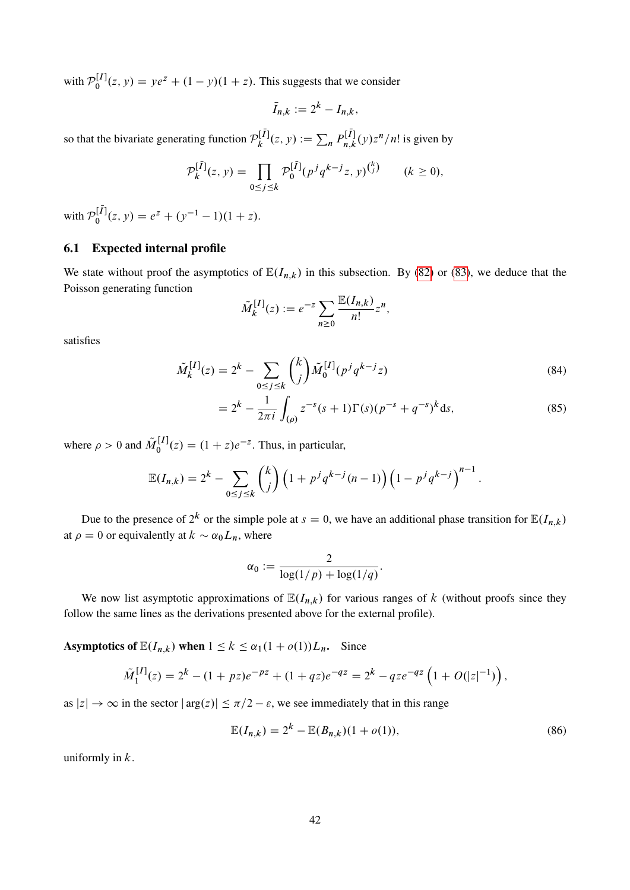with  $P_0^{[I]}$  $0_0^{\lfloor I \rfloor}(z, y) = ye^z + (1 - y)(1 + z)$ . This suggests that we consider

$$
\bar{I}_{n,k} := 2^k - I_{n,k},
$$

so that the bivariate generating function  $\mathcal{P}_k^{[\bar{I}]}$  $a_k^{[\bar{I}]}(z, y) := \sum_n P_{n,k}^{[\bar{I}]}$  $\int_{n,k}^{l} (y) z^n/n!$  is given by

$$
\mathcal{P}_k^{[\bar{I}]}(z, y) = \prod_{0 \le j \le k} \mathcal{P}_0^{[\bar{I}]}(p^j q^{k-j} z, y)^{\binom{k}{j}} \qquad (k \ge 0),
$$

with  $P_0^{[\bar{I}]}$  $b_0^{[I]}(z, y) = e^z + (y^{-1} - 1)(1 + z).$ 

## <span id="page-41-2"></span>6.1 Expected internal profile

We state without proof the asymptotics of  $\mathbb{E}(I_{n,k})$  in this subsection. By [\(82\)](#page-40-1) or [\(83\)](#page-40-2), we deduce that the Poisson generating function

$$
\tilde{M}_k^{[I]}(z) := e^{-z} \sum_{n \geq 0} \frac{\mathbb{E}(I_{n,k})}{n!} z^n,
$$

satisfies

$$
\tilde{M}_k^{[I]}(z) = 2^k - \sum_{0 \le j \le k} \binom{k}{j} \tilde{M}_0^{[I]}(p^j q^{k-j} z) \tag{84}
$$

$$
=2^{k}-\frac{1}{2\pi i}\int_{(\rho)}z^{-s}(s+1)\Gamma(s)(p^{-s}+q^{-s})^{k}ds,
$$
\n(85)

<span id="page-41-3"></span>:

<span id="page-41-1"></span><span id="page-41-0"></span>:

where  $\rho > 0$  and  $\tilde{M}_0^{[I]}$  $S_0^{[I]}(z) = (1 + z)e^{-z}$ . Thus, in particular,

$$
\mathbb{E}(I_{n,k}) = 2^k - \sum_{0 \le j \le k} {k \choose j} \left( 1 + p^j q^{k-j} (n-1) \right) \left( 1 - p^j q^{k-j} \right)^{n-1}
$$

Due to the presence of  $2^k$  or the simple pole at  $s = 0$ , we have an additional phase transition for  $\mathbb{E}(I_{n,k})$ at  $\rho = 0$  or equivalently at  $k \sim \alpha_0 L_n$ , where

$$
\alpha_0 := \frac{2}{\log(1/p) + \log(1/q)}
$$

We now list asymptotic approximations of  $\mathbb{E}(I_{n,k})$  for various ranges of k (without proofs since they follow the same lines as the derivations presented above for the external profile).

Asymptotics of  $\mathbb{E}(I_{n,k})$  when  $1 \leq k \leq \alpha_1(1 + o(1))L_n$ . Since

$$
\tilde{M}_1^{[I]}(z) = 2^k - (1 + pz)e^{-pz} + (1 + qz)e^{-qz} = 2^k - qze^{-qz} \left(1 + O(|z|^{-1})\right),
$$

as  $|z| \to \infty$  in the sector  $|\arg(z)| \le \pi/2 - \varepsilon$ , we see immediately that in this range

$$
\mathbb{E}(I_{n,k}) = 2^k - \mathbb{E}(B_{n,k})(1 + o(1)),\tag{86}
$$

uniformly in  $k$ .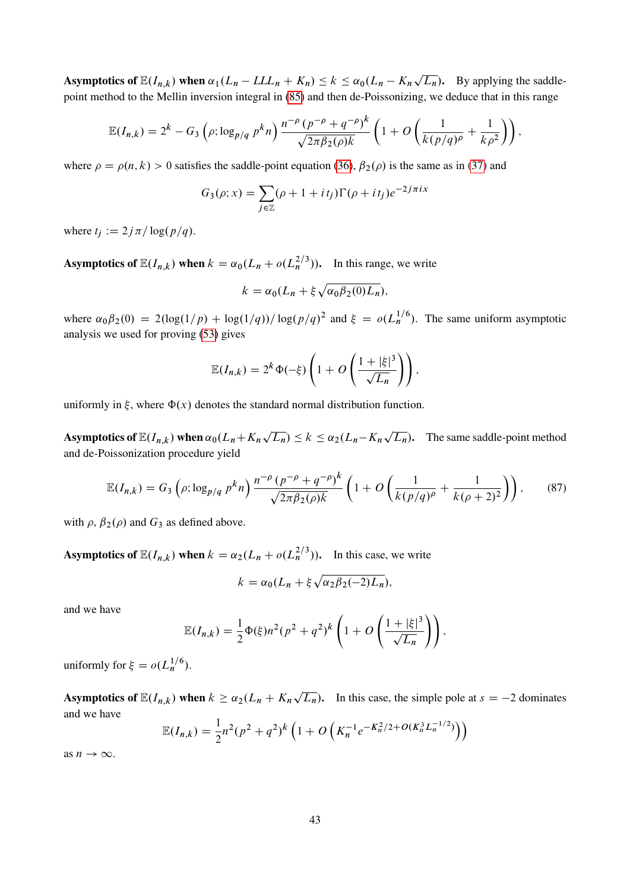Asymptotics of  $\mathbb{E}(I_{n,k})$  when  $\alpha_1(L_n - L L L_n + K_n) \leq k \leq \alpha_0(L_n - K_n)$  $(L_n)$ . By applying the saddlepoint method to the Mellin inversion integral in [\(85\)](#page-41-0) and then de-Poissonizing, we deduce that in this range

$$
\mathbb{E}(I_{n,k}) = 2^k - G_3 \left( \rho; \log_{p/q} p^k n \right) \frac{n^{-\rho} (p^{-\rho} + q^{-\rho})^k}{\sqrt{2\pi \beta_2(\rho) k}} \left( 1 + O\left( \frac{1}{k(p/q)^{\rho}} + \frac{1}{k\rho^2} \right) \right),
$$

where  $\rho = \rho(n, k) > 0$  satisfies the saddle-point equation [\(36\)](#page-18-3),  $\beta_2(\rho)$  is the same as in [\(37\)](#page-18-5) and

$$
G_3(\rho; x) = \sum_{j \in \mathbb{Z}} (\rho + 1 + it_j) \Gamma(\rho + it_j) e^{-2j\pi ix}
$$

where  $t_i := 2j\pi/\log(p/q)$ .

**Asymptotics of**  $\mathbb{E}(I_{n,k})$  when  $k = \alpha_0 (L_n + o(L_n^{2/3}))$ . In this range, we write

$$
k = \alpha_0 (L_n + \xi \sqrt{\alpha_0 \beta_2(0) L_n}),
$$

where  $\alpha_0\beta_2(0) = 2(\log(1/p) + \log(1/q))/\log(p/q)^2$  and  $\xi = o(L_n^{1/6})$ . The same uniform asymptotic analysis we used for proving [\(53\)](#page-26-3) gives

$$
\mathbb{E}(I_{n,k}) = 2^k \Phi(-\xi) \left( 1 + O\left(\frac{1 + |\xi|^3}{\sqrt{L_n}}\right) \right),
$$

uniformly in  $\xi$ , where  $\Phi(x)$  denotes the standard normal distribution function.

Asymptotics of  $\mathbb{E}(I_{n,k})$  when  $\alpha_0(L_n+K_n)$ p  $\overline{L_n}$ )  $\leq k \leq \alpha_2(L_n-K_n)$ p  $(L_n)$ . The same saddle-point method and de-Poissonization procedure yield

$$
\mathbb{E}(I_{n,k}) = G_3\left(\rho; \log_{p/q} p^k n\right) \frac{n^{-\rho} (p^{-\rho} + q^{-\rho})^k}{\sqrt{2\pi \beta_2(\rho) k}} \left(1 + O\left(\frac{1}{k(p/q)^{\rho}} + \frac{1}{k(\rho+2)^2}\right)\right),\tag{87}
$$

with  $\rho$ ,  $\beta_2(\rho)$  and  $G_3$  as defined above.

**Asymptotics of**  $\mathbb{E}(I_{n,k})$  when  $k = \alpha_2(L_n + o(L_n^{2/3}))$ . In this case, we write

<span id="page-42-0"></span>
$$
k = \alpha_0 (L_n + \xi \sqrt{\alpha_2 \beta_2(-2)L_n}),
$$

and we have

$$
\mathbb{E}(I_{n,k}) = \frac{1}{2}\Phi(\xi)n^{2}(p^{2}+q^{2})^{k}\left(1+O\left(\frac{1+|\xi|^{3}}{\sqrt{L_{n}}}\right)\right),
$$

uniformly for  $\xi = o(L_n^{1/6})$ .

**Asymptotics of**  $\mathbb{E}(I_{n,k})$  when  $k \ge \alpha_2(L_n + K_n\sqrt{L_n})$ . In this case, the simple pole at  $s = -2$  dominates and we have

$$
\mathbb{E}(I_{n,k}) = \frac{1}{2}n^2(p^2+q^2)^k \left(1 + O\left(K_n^{-1}e^{-K_n^2/2 + O(K_n^3 L_n^{-1/2})}\right)\right)
$$

as  $n \to \infty$ .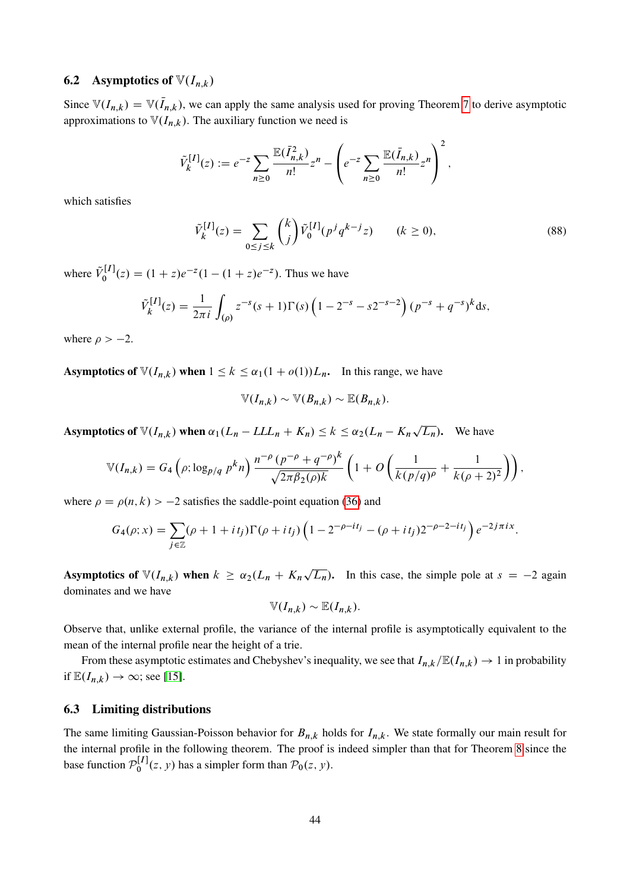## 6.2 Asymptotics of  $\mathbb{V}(I_{n,k})$

Since  $\mathbb{V}(I_{n,k}) = \mathbb{V}(\bar{I}_{n,k})$ , we can apply the same analysis used for proving Theorem [7](#page-33-0) to derive asymptotic approximations to  $\mathbb{V}(I_{n,k})$ . The auxiliary function we need is

$$
\tilde{V}_{k}^{[I]}(z) := e^{-z} \sum_{n \geq 0} \frac{\mathbb{E}(\bar{I}_{n,k}^{2})}{n!} z^{n} - \left( e^{-z} \sum_{n \geq 0} \frac{\mathbb{E}(\bar{I}_{n,k})}{n!} z^{n} \right)^{2},
$$

which satisfies

<span id="page-43-1"></span>
$$
\tilde{V}_k^{[I]}(z) = \sum_{0 \le j \le k} \binom{k}{j} \tilde{V}_0^{[I]}(p^j q^{k-j} z) \qquad (k \ge 0),
$$
\n(88)

where  $\tilde{V}_0^{[I]}$  $b_0^{[I]}(z) = (1 + z)e^{-z}(1 - (1 + z)e^{-z})$ . Thus we have

$$
\tilde{V}_k^{[I]}(z) = \frac{1}{2\pi i} \int_{(\rho)} z^{-s} (s+1) \Gamma(s) \left(1 - 2^{-s} - s 2^{-s-2}\right) (p^{-s} + q^{-s})^k ds,
$$

where  $\rho > -2$ .

**Asymptotics of**  $\mathbb{V}(I_{n,k})$  when  $1 \leq k \leq \alpha_1(1 + o(1))L_n$ . In this range, we have

$$
\mathbb{V}(I_{n,k}) \sim \mathbb{V}(B_{n,k}) \sim \mathbb{E}(B_{n,k}).
$$

Asymptotics of  $\mathbb{V}(I_{n,k})$  when  $\alpha_1(L_n - L L L_n + K_n) \leq k \leq \alpha_2(L_n - K_n)$  $(L_n)$ . We have

$$
\mathbb{V}(I_{n,k}) = G_4\left(\rho; \log_{p/q} p^k n\right) \frac{n^{-\rho} (p^{-\rho} + q^{-\rho})^k}{\sqrt{2\pi \beta_2(\rho) k}} \left(1 + O\left(\frac{1}{k(p/q)^{\rho}} + \frac{1}{k(\rho+2)^2}\right)\right),
$$

where  $\rho = \rho(n, k) > -2$  satisfies the saddle-point equation [\(36\)](#page-18-3) and

$$
G_4(\rho; x) = \sum_{j \in \mathbb{Z}} (\rho + 1 + it_j) \Gamma(\rho + it_j) \left( 1 - 2^{-\rho - it_j} - (\rho + it_j) 2^{-\rho - 2 - it_j} \right) e^{-2j\pi ix}.
$$

Asymptotics of  $\mathbb{V}(I_{n,k})$  when  $k \geq \alpha_2(L_n + K_n)$  $\overline{L_n}$ ). In this case, the simple pole at  $s = -2$  again dominates and we have

$$
\mathbb{V}(I_{n,k}) \sim \mathbb{E}(I_{n,k}).
$$

Observe that, unlike external profile, the variance of the internal profile is asymptotically equivalent to the mean of the internal profile near the height of a trie.

From these asymptotic estimates and Chebyshev's inequality, we see that  $I_{n,k}/\mathbb{E}(I_{n,k})\to 1$  in probability if  $\mathbb{E}(I_{n,k}) \to \infty$ ; see [\[15\]](#page-55-4).

### 6.3 Limiting distributions

<span id="page-43-0"></span>The same limiting Gaussian-Poisson behavior for  $B_{n,k}$  holds for  $I_{n,k}$ . We state formally our main result for the internal profile in the following theorem. The proof is indeed simpler than that for Theorem [8](#page-35-1) since the base function  $\mathcal{P}_0^{[I]}$  $\int_0^1 f(x, y)$  has a simpler form than  $\mathcal{P}_0(z, y)$ .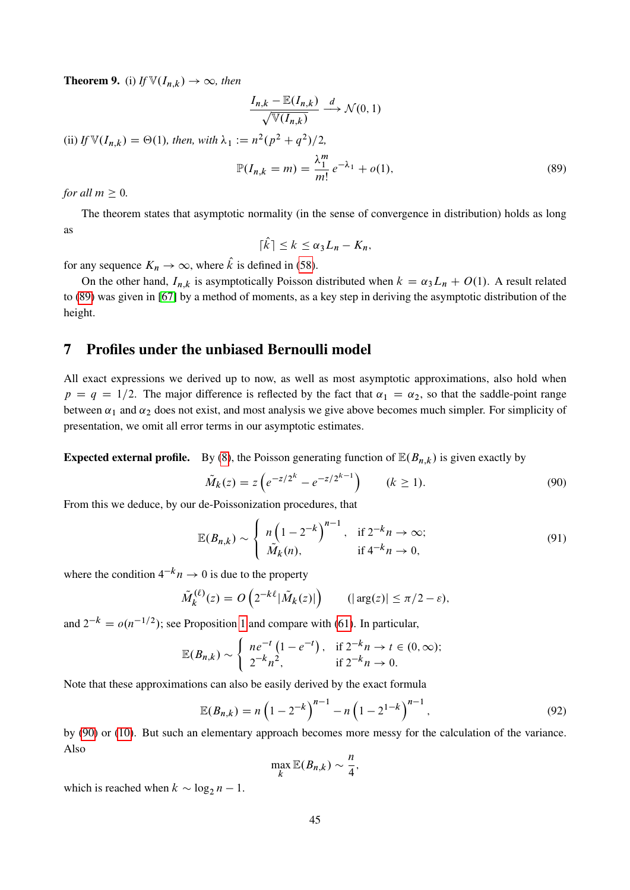**Theorem 9.** (i) *If*  $\mathbb{V}(I_{n,k}) \to \infty$ , then

$$
\frac{I_{n,k} - \mathbb{E}(I_{n,k})}{\sqrt{\mathbb{V}(I_{n,k})}} \xrightarrow{d} \mathcal{N}(0,1)
$$

(ii) If  $\mathbb{V}(I_{n,k}) = \Theta(1)$ , then, with  $\lambda_1 := n^2(p^2 + q^2)/2$ ,

$$
\mathbb{P}(I_{n,k} = m) = \frac{\lambda_1^m}{m!} e^{-\lambda_1} + o(1),
$$
\n(89)

*for all*  $m > 0$ *.* 

The theorem states that asymptotic normality (in the sense of convergence in distribution) holds as long as

<span id="page-44-1"></span>
$$
\lceil \hat{k} \rceil \leq k \leq \alpha_3 L_n - K_n,
$$

for any sequence  $K_n \to \infty$ , where  $\hat{k}$  is defined in [\(58\)](#page-29-0).

On the other hand,  $I_{n,k}$  is asymptotically Poisson distributed when  $k = \alpha_3 L_n + O(1)$ . A result related to [\(89\)](#page-44-1) was given in [\[67\]](#page-58-4) by a method of moments, as a key step in deriving the asymptotic distribution of the height.

## <span id="page-44-0"></span>7 Profiles under the unbiased Bernoulli model

All exact expressions we derived up to now, as well as most asymptotic approximations, also hold when  $p = q = 1/2$ . The major difference is reflected by the fact that  $\alpha_1 = \alpha_2$ , so that the saddle-point range between  $\alpha_1$  and  $\alpha_2$  does not exist, and most analysis we give above becomes much simpler. For simplicity of presentation, we omit all error terms in our asymptotic estimates.

**Expected external profile.** By [\(8\)](#page-11-1), the Poisson generating function of  $\mathbb{E}(B_{n,k})$  is given exactly by

<span id="page-44-4"></span><span id="page-44-2"></span>
$$
\tilde{M}_k(z) = z \left( e^{-z/2^k} - e^{-z/2^{k-1}} \right) \qquad (k \ge 1).
$$
\n(90)

From this we deduce, by our de-Poissonization procedures, that

$$
\mathbb{E}(B_{n,k}) \sim \begin{cases} n\left(1 - 2^{-k}\right)^{n-1}, & \text{if } 2^{-k}n \to \infty; \\ \tilde{M}_k(n), & \text{if } 4^{-k}n \to 0, \end{cases} \tag{91}
$$

where the condition  $4^{-k}n \to 0$  is due to the property

$$
\tilde{M}_k^{(\ell)}(z) = O\left(2^{-k\ell}|\tilde{M}_k(z)|\right) \qquad (|\arg(z)| \le \pi/2 - \varepsilon),
$$

and  $2^{-k} = o(n^{-1/2})$ ; see Proposition [1](#page-14-5) and compare with [\(61\)](#page-31-1). In particular,

$$
\mathbb{E}(B_{n,k}) \sim \begin{cases} n e^{-t} (1 - e^{-t}), & \text{if } 2^{-k} n \to t \in (0, \infty); \\ 2^{-k} n^2, & \text{if } 2^{-k} n \to 0. \end{cases}
$$

Note that these approximations can also be easily derived by the exact formula

$$
\mathbb{E}(B_{n,k}) = n\left(1 - 2^{-k}\right)^{n-1} - n\left(1 - 2^{1-k}\right)^{n-1},\tag{92}
$$

by [\(90\)](#page-44-2) or [\(10\)](#page-12-0). But such an elementary approach becomes more messy for the calculation of the variance. Also

<span id="page-44-3"></span>
$$
\max_{k} \mathbb{E}(B_{n,k}) \sim \frac{n}{4},
$$

which is reached when  $k \sim \log_2 n - 1$ .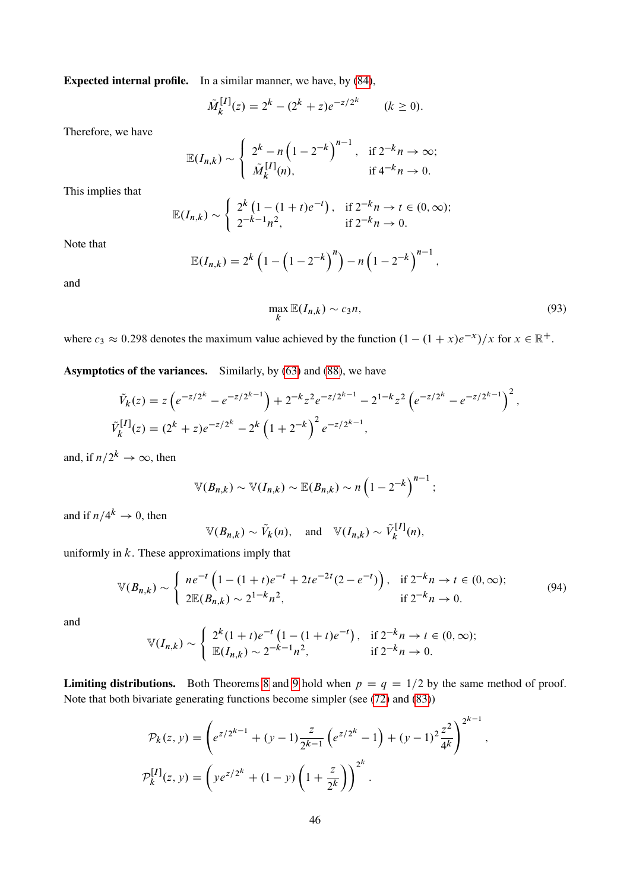Expected internal profile. In a similar manner, we have, by [\(84\)](#page-41-1),

$$
\tilde{M}_k^{[I]}(z) = 2^k - (2^k + z)e^{-z/2^k} \qquad (k \ge 0).
$$

Therefore, we have

$$
\mathbb{E}(I_{n,k}) \sim \begin{cases} 2^k - n\left(1 - 2^{-k}\right)^{n-1}, & \text{if } 2^{-k}n \to \infty; \\ \tilde{M}_k^{[I]}(n), & \text{if } 4^{-k}n \to 0. \end{cases}
$$

This implies that

$$
\mathbb{E}(I_{n,k}) \sim \begin{cases} 2^{k} \left(1 - (1+t)e^{-t}\right), & \text{if } 2^{-k}n \to t \in (0,\infty); \\ 2^{-k-1}n^{2}, & \text{if } 2^{-k}n \to 0. \end{cases}
$$

Note that

$$
\mathbb{E}(I_{n,k}) = 2^{k} \left( 1 - \left( 1 - 2^{-k} \right)^{n} \right) - n \left( 1 - 2^{-k} \right)^{n-1},
$$

and

<span id="page-45-0"></span>
$$
\max_{k} \mathbb{E}(I_{n,k}) \sim c_3 n,\tag{93}
$$

where  $c_3 \approx 0.298$  denotes the maximum value achieved by the function  $(1 - (1 + x)e^{-x})/x$  for  $x \in \mathbb{R}^+$ .

Asymptotics of the variances. Similarly, by [\(63\)](#page-33-1) and [\(88\)](#page-43-1), we have

$$
\tilde{V}_k(z) = z \left( e^{-z/2^k} - e^{-z/2^{k-1}} \right) + 2^{-k} z^2 e^{-z/2^{k-1}} - 2^{1-k} z^2 \left( e^{-z/2^k} - e^{-z/2^{k-1}} \right)^2,
$$
\n
$$
\tilde{V}_k^{[I]}(z) = (2^k + z) e^{-z/2^k} - 2^k \left( 1 + 2^{-k} \right)^2 e^{-z/2^{k-1}},
$$

and, if  $n/2^k \to \infty$ , then

$$
\mathbb{V}(B_{n,k}) \sim \mathbb{V}(I_{n,k}) \sim \mathbb{E}(B_{n,k}) \sim n\left(1-2^{-k}\right)^{n-1};
$$

and if  $n/4^k \rightarrow 0$ , then

<span id="page-45-1"></span>
$$
\mathbb{V}(B_{n,k}) \sim \tilde{V}_k(n)
$$
, and  $\mathbb{V}(I_{n,k}) \sim \tilde{V}_k^{[I]}(n)$ ,

uniformly in  $k$ . These approximations imply that

$$
\mathbb{V}(B_{n,k}) \sim \begin{cases} n e^{-t} \left( 1 - (1+t)e^{-t} + 2te^{-2t}(2 - e^{-t}) \right), & \text{if } 2^{-k}n \to t \in (0, \infty); \\ 2 \mathbb{E}(B_{n,k}) \sim 2^{1-k} n^2, & \text{if } 2^{-k}n \to 0. \end{cases}
$$
(94)

and

$$
\mathbb{V}(I_{n,k}) \sim \begin{cases} 2^{k}(1+t)e^{-t}(1-(1+t)e^{-t}), & \text{if } 2^{-k}n \to t \in (0,\infty); \\ \mathbb{E}(I_{n,k}) \sim 2^{-k-1}n^{2}, & \text{if } 2^{-k}n \to 0. \end{cases}
$$

**Limiting distributions.** Both Theorems [8](#page-35-1) and [9](#page-43-0) hold when  $p = q = 1/2$  by the same method of proof. Note that both bivariate generating functions become simpler (see [\(72\)](#page-36-4) and [\(83\)](#page-40-2))

$$
\mathcal{P}_k(z, y) = \left(e^{z/2^{k-1}} + (y-1)\frac{z}{2^{k-1}}\left(e^{z/2^k} - 1\right) + (y-1)^2 \frac{z^2}{4^k}\right)^{2^{k-1}},
$$
  

$$
\mathcal{P}_k^{[I]}(z, y) = \left(ye^{z/2^k} + (1-y)\left(1 + \frac{z}{2^k}\right)\right)^{2^k}.
$$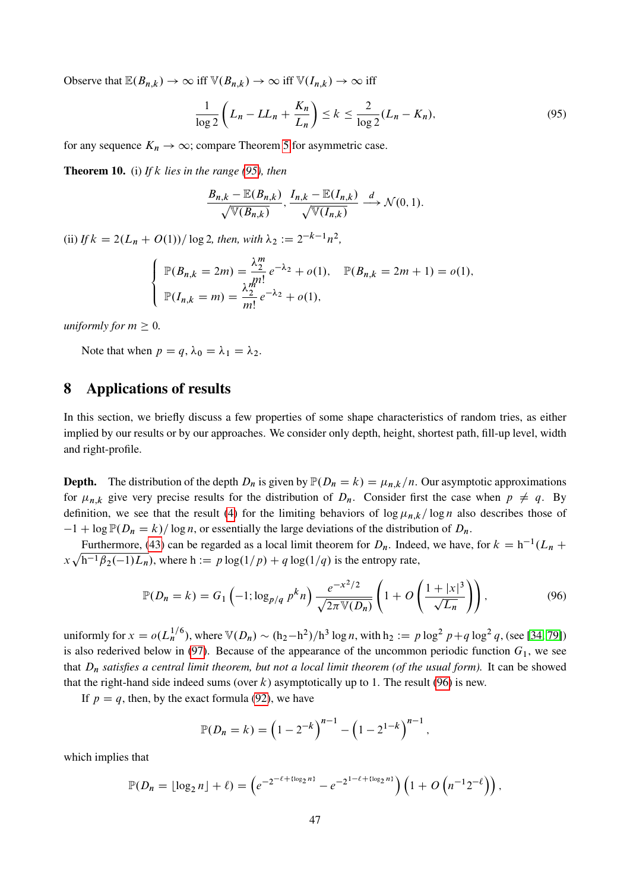Observe that  $\mathbb{E}(B_{n,k}) \to \infty$  iff  $\mathbb{V}(B_{n,k}) \to \infty$  iff  $\mathbb{V}(I_{n,k}) \to \infty$  iff

$$
\frac{1}{\log 2} \left( L_n - LL_n + \frac{K_n}{L_n} \right) \le k \le \frac{2}{\log 2} (L_n - K_n),\tag{95}
$$

for any sequence  $K_n \to \infty$ ; compare Theorem [5](#page-28-0) for asymmetric case.

Theorem 10. (i) *If* k *lies in the range [\(95\)](#page-46-1), then*

<span id="page-46-1"></span>
$$
\frac{B_{n,k}-\mathbb{E}(B_{n,k})}{\sqrt{\mathbb{V}(B_{n,k})}}, \frac{I_{n,k}-\mathbb{E}(I_{n,k})}{\sqrt{\mathbb{V}(I_{n,k})}} \xrightarrow{d} \mathcal{N}(0,1).
$$

(ii) If  $k = 2(L_n + O(1))/\log 2$ , then, with  $\lambda_2 := 2^{-k-1}n^2$ ,

$$
\begin{cases}\n\mathbb{P}(B_{n,k} = 2m) = \frac{\lambda_2^m}{n!} e^{-\lambda_2} + o(1), & \mathbb{P}(B_{n,k} = 2m + 1) = o(1), \\
\mathbb{P}(I_{n,k} = m) = \frac{\lambda_2^m}{m!} e^{-\lambda_2} + o(1),\n\end{cases}
$$

*uniformly for*  $m \geq 0$ *.* 

Note that when  $p = q$ ,  $\lambda_0 = \lambda_1 = \lambda_2$ .

# <span id="page-46-0"></span>8 Applications of results

In this section, we briefly discuss a few properties of some shape characteristics of random tries, as either implied by our results or by our approaches. We consider only depth, height, shortest path, fill-up level, width and right-profile.

**Depth.** The distribution of the depth  $D_n$  is given by  $P(D_n = k) = \mu_{n,k}/n$ . Our asymptotic approximations for  $\mu_{n,k}$  give very precise results for the distribution of  $D_n$ . Consider first the case when  $p \neq q$ . By definition, we see that the result [\(4\)](#page-6-1) for the limiting behaviors of  $\log \mu_{n,k}/\log n$  also describes those of  $-1 + \log P(D_n = k)/\log n$ , or essentially the large deviations of the distribution of  $D_n$ .

Furthermore, [\(43\)](#page-20-1) can be regarded as a local limit theorem for  $D_n$ . Indeed, we have, for  $k = h^{-1}(L_n +$  $x\sqrt{h^{-1}\beta_2(-1)L_n}$ , where  $h := p \log(1/p) + q \log(1/q)$  is the entropy rate,

<span id="page-46-2"></span>
$$
\mathbb{P}(D_n = k) = G_1 \left( -1; \log_{p/q} p^k n \right) \frac{e^{-x^2/2}}{\sqrt{2\pi \mathbb{V}(D_n)}} \left( 1 + O\left( \frac{1+|x|^3}{\sqrt{L_n}} \right) \right),\tag{96}
$$

uniformly for  $x = o(L_n^{1/6})$ , where  $\mathbb{V}(D_n) \sim (h_2 - h^2)/h^3 \log n$ , with  $h_2 := p \log^2 p + q \log^2 q$ , (see [\[34,](#page-56-3) [79\]](#page-59-6)) is also rederived below in [\(97\)](#page-47-0). Because of the appearance of the uncommon periodic function  $G_1$ , we see that  $D_n$  *satisfies a central limit theorem, but not a local limit theorem (of the usual form).* It can be showed that the right-hand side indeed sums (over k) asymptotically up to 1. The result [\(96\)](#page-46-2) is new.

If  $p = q$ , then, by the exact formula [\(92\)](#page-44-3), we have

$$
\mathbb{P}(D_n = k) = \left(1 - 2^{-k}\right)^{n-1} - \left(1 - 2^{1-k}\right)^{n-1},
$$

which implies that

$$
\mathbb{P}(D_n = \lfloor \log_2 n \rfloor + \ell) = \left(e^{-2^{-\ell + \{\log_2 n\}}} - e^{-2^{1-\ell + \{\log_2 n\}}}\right) \left(1 + O\left(n^{-1}2^{-\ell}\right)\right),
$$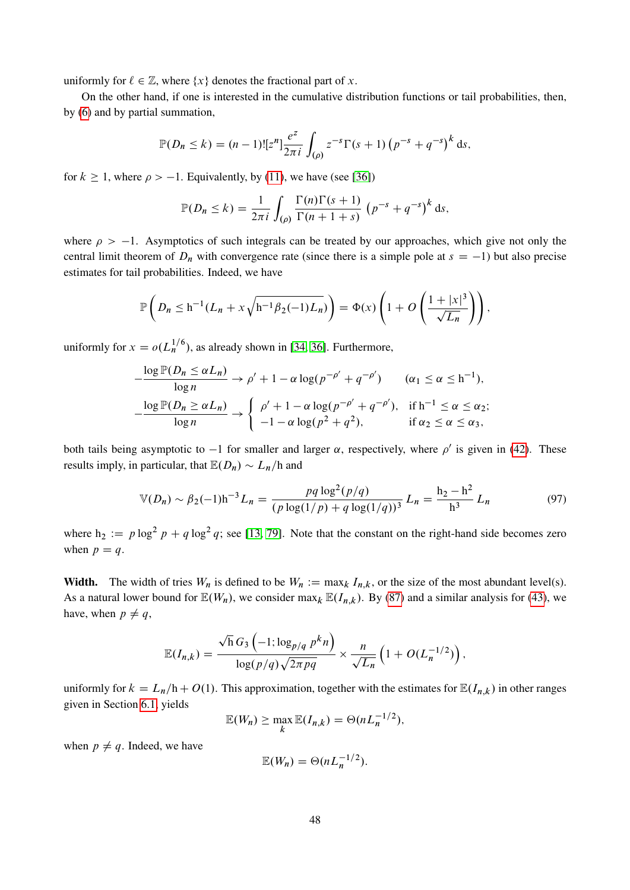uniformly for  $\ell \in \mathbb{Z}$ , where  $\{x\}$  denotes the fractional part of x.

On the other hand, if one is interested in the cumulative distribution functions or tail probabilities, then, by [\(6\)](#page-11-0) and by partial summation,

$$
\mathbb{P}(D_n \le k) = (n-1)![z^n]\frac{e^z}{2\pi i} \int_{(\rho)} z^{-s} \Gamma(s+1) \left(p^{-s} + q^{-s}\right)^k ds,
$$

for  $k \ge 1$ , where  $\rho > -1$ . Equivalently, by [\(11\)](#page-12-1), we have (see [\[36\]](#page-57-3))

$$
\mathbb{P}(D_n \le k) = \frac{1}{2\pi i} \int_{(\rho)} \frac{\Gamma(n)\Gamma(s+1)}{\Gamma(n+1+s)} \left(p^{-s} + q^{-s}\right)^k ds,
$$

where  $\rho > -1$ . Asymptotics of such integrals can be treated by our approaches, which give not only the central limit theorem of  $D_n$  with convergence rate (since there is a simple pole at  $s = -1$ ) but also precise estimates for tail probabilities. Indeed, we have

$$
\mathbb{P}\left(D_n \leq h^{-1}(L_n + x\sqrt{h^{-1}\beta_2(-1)L_n})\right) = \Phi(x)\left(1 + O\left(\frac{1+|x|^3}{\sqrt{L_n}}\right)\right),
$$

uniformly for  $x = o(L_n^{1/6})$ , as already shown in [\[34,](#page-56-3) [36\]](#page-57-3). Furthermore,

$$
-\frac{\log \mathbb{P}(D_n \leq \alpha L_n)}{\log n} \to \rho' + 1 - \alpha \log(p^{-\rho'} + q^{-\rho'}) \qquad (\alpha_1 \leq \alpha \leq h^{-1}),
$$
  

$$
-\frac{\log \mathbb{P}(D_n \geq \alpha L_n)}{\log n} \to \begin{cases} \rho' + 1 - \alpha \log(p^{-\rho'} + q^{-\rho'}), & \text{if } h^{-1} \leq \alpha \leq \alpha_2; \\ -1 - \alpha \log(p^2 + q^2), & \text{if } \alpha_2 \leq \alpha \leq \alpha_3, \end{cases}
$$

both tails being asymptotic to  $-1$  for smaller and larger  $\alpha$ , respectively, where  $\rho'$  is given in [\(42\)](#page-20-2). These results imply, in particular, that  $\mathbb{E}(D_n) \sim L_n/h$  and

<span id="page-47-0"></span>
$$
\mathbb{V}(D_n) \sim \beta_2(-1)\mathsf{h}^{-3}L_n = \frac{pq \log^2(p/q)}{(p \log(1/p) + q \log(1/q))^3} L_n = \frac{\mathsf{h}_2 - \mathsf{h}^2}{\mathsf{h}^3} L_n \tag{97}
$$

where  $h_2 := p \log^2 p + q \log^2 q$ ; see [\[13,](#page-55-6) [79\]](#page-59-6). Note that the constant on the right-hand side becomes zero when  $p = q$ .

**Width.** The width of tries  $W_n$  is defined to be  $W_n := \max_k I_{n,k}$ , or the size of the most abundant level(s). As a natural lower bound for  $\mathbb{E}(W_n)$ , we consider max<sub>k</sub>  $\mathbb{E}(I_{n,k})$ . By [\(87\)](#page-42-0) and a similar analysis for [\(43\)](#page-20-1), we have, when  $p \neq q$ ,

$$
\mathbb{E}(I_{n,k}) = \frac{\sqrt{\mathsf{h}}\,G_3\left(-1;\log_{p/q} p^k n\right)}{\log(p/q)\sqrt{2\pi p q}} \times \frac{n}{\sqrt{L_n}}\left(1+O(L_n^{-1/2})\right),
$$

uniformly for  $k = L_n/h + O(1)$ . This approximation, together with the estimates for  $\mathbb{E}(I_{n,k})$  in other ranges given in Section [6.1,](#page-41-2) yields

$$
\mathbb{E}(W_n) \geq \max_k \mathbb{E}(I_{n,k}) = \Theta(nL_n^{-1/2}),
$$

when  $p \neq q$ . Indeed, we have

$$
\mathbb{E}(W_n) = \Theta(nL_n^{-1/2}).
$$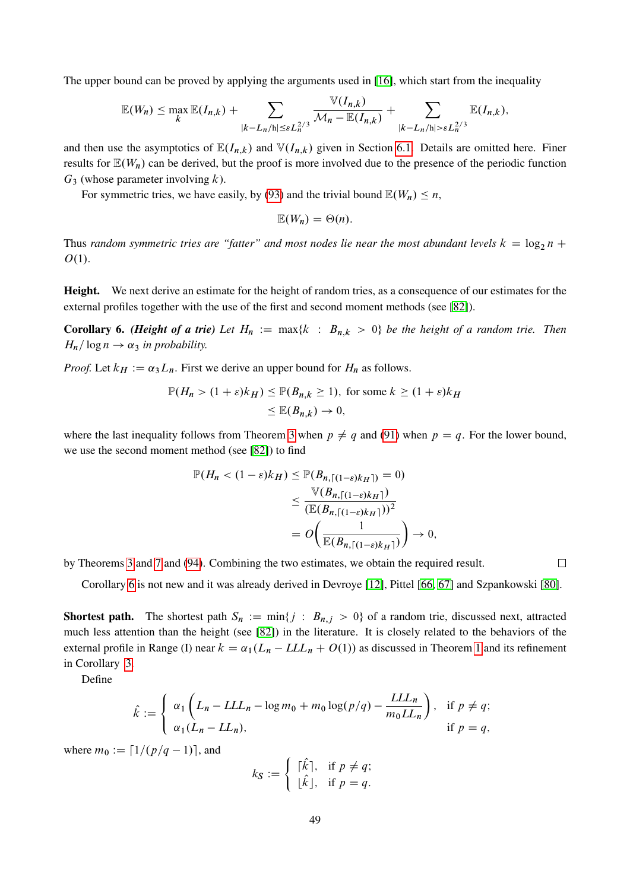The upper bound can be proved by applying the arguments used in [\[16\]](#page-55-16), which start from the inequality

$$
\mathbb{E}(W_n) \leq \max_k \mathbb{E}(I_{n,k}) + \sum_{|k-L_n/h| \leq \varepsilon L_n^{2/3}} \frac{\mathbb{V}(I_{n,k})}{\mathcal{M}_n - \mathbb{E}(I_{n,k})} + \sum_{|k-L_n/h| > \varepsilon L_n^{2/3}} \mathbb{E}(I_{n,k}),
$$

 $V_{\rm{max}}$ 

and then use the asymptotics of  $\mathbb{E}(I_{n,k})$  and  $\mathbb{V}(I_{n,k})$  given in Section [6.1.](#page-41-2) Details are omitted here. Finer results for  $\mathbb{E}(W_n)$  can be derived, but the proof is more involved due to the presence of the periodic function  $G_3$  (whose parameter involving k).

For symmetric tries, we have easily, by [\(93\)](#page-45-0) and the trivial bound  $\mathbb{E}(W_n) \leq n$ ,

$$
\mathbb{E}(W_n)=\Theta(n).
$$

Thus *random symmetric tries are "fatter" and most nodes lie near the most abundant levels*  $k = \log_2 n +$  $O(1)$ .

Height. We next derive an estimate for the height of random tries, as a consequence of our estimates for the external profiles together with the use of the first and second moment methods (see [\[82\]](#page-59-0)).

<span id="page-48-0"></span>**Corollary 6.** *(Height of a trie)* Let  $H_n := \max\{k : B_{n,k} > 0\}$  be the height of a random trie. Then  $H_n$  log  $n \rightarrow \alpha_3$  *in probability.* 

*Proof.* Let  $k_H := \alpha_3 L_n$ . First we derive an upper bound for  $H_n$  as follows.

$$
\mathbb{P}(H_n > (1+\varepsilon)k_H) \le \mathbb{P}(B_{n,k} \ge 1), \text{ for some } k \ge (1+\varepsilon)k_H
$$
\n
$$
\le \mathbb{E}(B_{n,k}) \to 0,
$$

where the last inequality follows from Theorem [3](#page-24-0) when  $p \neq q$  and [\(91\)](#page-44-4) when  $p = q$ . For the lower bound, we use the second moment method (see [\[82\]](#page-59-0)) to find

$$
\mathbb{P}(H_n < (1 - \varepsilon)k_H) \le \mathbb{P}(B_{n,\lceil(1-\varepsilon)k_H\rceil}) = 0)
$$
\n
$$
\le \frac{\mathbb{V}(B_{n,\lceil(1-\varepsilon)k_H\rceil})}{(\mathbb{E}(B_{n,\lceil(1-\varepsilon)k_H\rceil}))^2}
$$
\n
$$
= O\left(\frac{1}{\mathbb{E}(B_{n,\lceil(1-\varepsilon)k_H\rceil})}\right) \to 0,
$$

by Theorems [3](#page-24-0) and [7](#page-33-0) and [\(94\)](#page-45-1). Combining the two estimates, we obtain the required result.

Corollary [6](#page-48-0) is not new and it was already derived in Devroye [\[12\]](#page-55-3), Pittel [\[66,](#page-58-10) [67\]](#page-58-4) and Szpankowski [\[80\]](#page-59-8).

**Shortest path.** The shortest path  $S_n := \min\{j : B_{n,j} > 0\}$  of a random trie, discussed next, attracted much less attention than the height (see [\[82\]](#page-59-0)) in the literature. It is closely related to the behaviors of the external profile in Range (I) near  $k = \alpha_1 (L_n - L L L_n + O(1))$  as discussed in Theorem [1](#page-15-0) and its refinement in Corollary [3.](#page-29-1)

Define

$$
\hat{k} := \begin{cases} \alpha_1 \left( L_n - LL_n - \log m_0 + m_0 \log (p/q) - \frac{LL_n}{m_0 LL_n} \right), & \text{if } p \neq q; \\ \alpha_1 (L_n - LL_n), & \text{if } p = q, \end{cases}
$$

<span id="page-48-1"></span>where  $m_0 := [1/(p/q-1)]$ , and

$$
k_{\mathcal{S}} := \left\{ \begin{array}{ll} [\hat{k}], & \text{if } p \neq q; \\ [\hat{k}], & \text{if } p = q. \end{array} \right.
$$

 $\Box$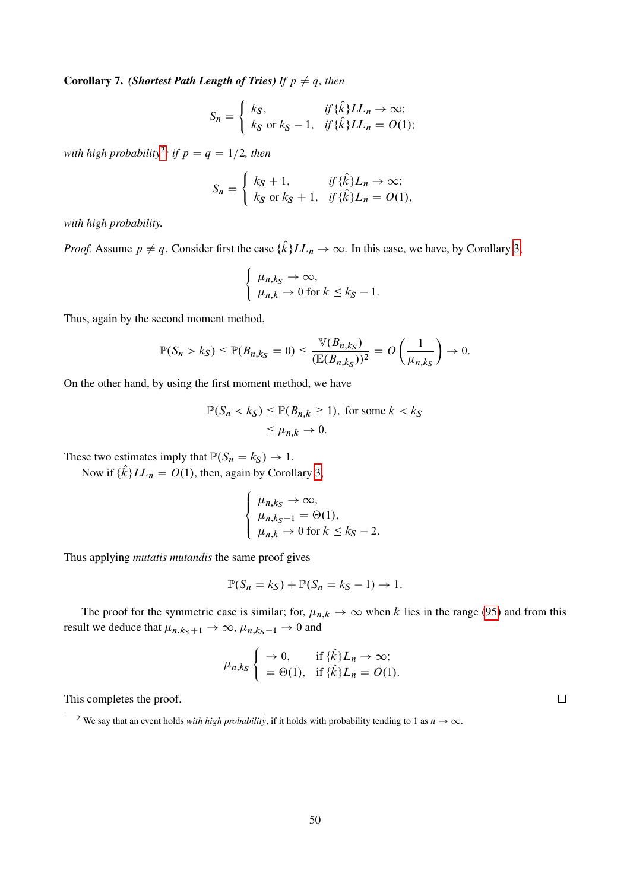**Corollary 7.** *(Shortest Path Length of Tries) If*  $p \neq q$ *, then* 

$$
S_n = \begin{cases} k_S, & \text{if } \{\hat{k}\}LL_n \to \infty; \\ k_S \text{ or } k_S - 1, & \text{if } \{\hat{k}\}LL_n = O(1); \end{cases}
$$

*with high probability*<sup>[2](#page-49-0)</sup>; *if*  $p = q = 1/2$ , then

$$
S_n = \begin{cases} k_S + 1, & \text{if } \{\hat{k}\}L_n \to \infty; \\ k_S \text{ or } k_S + 1, & \text{if } \{\hat{k}\}L_n = O(1), \end{cases}
$$

*with high probability.*

*Proof.* Assume  $p \neq q$ . Consider first the case  $\{\hat{k}\}LL_n \to \infty$ . In this case, we have, by Corollary [3,](#page-29-1)

$$
\begin{cases} \mu_{n,k_S} \to \infty, \\ \mu_{n,k} \to 0 \text{ for } k \leq k_S - 1. \end{cases}
$$

Thus, again by the second moment method,

$$
\mathbb{P}(S_n > k_S) \leq \mathbb{P}(B_{n,k_S} = 0) \leq \frac{\mathbb{V}(B_{n,k_S})}{(\mathbb{E}(B_{n,k_S}))^2} = O\left(\frac{1}{\mu_{n,k_S}}\right) \to 0.
$$

On the other hand, by using the first moment method, we have

$$
\mathbb{P}(S_n < k_S) \le \mathbb{P}(B_{n,k} \ge 1), \text{ for some } k < k_S
$$
\n
$$
\le \mu_{n,k} \to 0.
$$

These two estimates imply that  $\mathbb{P}(S_n = k_S) \to 1$ .

Now if  $\{\hat{k}\}LL_n = O(1)$ , then, again by Corollary [3,](#page-29-1)

$$
\begin{cases} \mu_{n,k_S} \to \infty, \\ \mu_{n,k_S-1} = \Theta(1), \\ \mu_{n,k} \to 0 \text{ for } k \le k_S - 2. \end{cases}
$$

Thus applying *mutatis mutandis* the same proof gives

$$
\mathbb{P}(S_n = k_S) + \mathbb{P}(S_n = k_S - 1) \to 1.
$$

The proof for the symmetric case is similar; for,  $\mu_{n,k} \to \infty$  when k lies in the range [\(95\)](#page-46-1) and from this result we deduce that  $\mu_{n,k_S+1} \to \infty$ ,  $\mu_{n,k_S-1} \to 0$  and

$$
\mu_{n,k_S} \left\{ \begin{array}{ll} \to 0, & \text{if } \{\hat{k}\}L_n \to \infty; \\ = \Theta(1), & \text{if } \{\hat{k}\}L_n = O(1). \end{array} \right.
$$

This completes the proof.

 $\Box$ 

<span id="page-49-0"></span><sup>&</sup>lt;sup>2</sup> We say that an event holds *with high probability*, if it holds with probability tending to 1 as  $n \to \infty$ .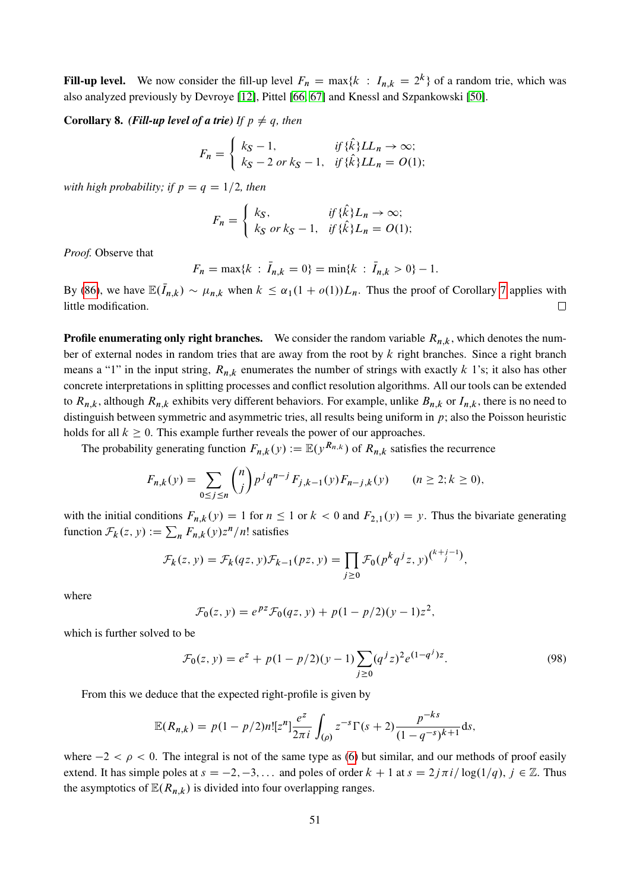**Fill-up level.** We now consider the fill-up level  $F_n = \max\{k : I_{n,k} = 2^k\}$  of a random trie, which was also analyzed previously by Devroye [\[12\]](#page-55-3), Pittel [\[66,](#page-58-10) [67\]](#page-58-4) and Knessl and Szpankowski [\[50\]](#page-57-8).

**Corollary 8.** *(Fill-up level of a trie) If*  $p \neq q$ *, then* 

$$
F_n = \begin{cases} k_S - 1, & \text{if } \{\hat{k}\}LL_n \to \infty; \\ k_S - 2 \text{ or } k_S - 1, & \text{if } \{\hat{k}\}LL_n = O(1); \end{cases}
$$

*with high probability; if*  $p = q = 1/2$ , then

$$
F_n = \begin{cases} k_S, & \text{if } \{\hat{k}\}L_n \to \infty; \\ k_S \text{ or } k_S - 1, & \text{if } \{\hat{k}\}L_n = O(1); \end{cases}
$$

*Proof.* Observe that

$$
F_n = \max\{k \,:\, \bar{I}_{n,k} = 0\} = \min\{k \,:\, \bar{I}_{n,k} > 0\} - 1.
$$

By [\(86\)](#page-41-3), we have  $\mathbb{E}(\bar{I}_{n,k}) \sim \mu_{n,k}$  when  $k \leq \alpha_1(1 + o(1))L_n$ . Thus the proof of Corollary [7](#page-48-1) applies with little modification.  $\Box$ 

**Profile enumerating only right branches.** We consider the random variable  $R_{n,k}$ , which denotes the number of external nodes in random tries that are away from the root by  $k$  right branches. Since a right branch means a "1" in the input string,  $R_{n,k}$  enumerates the number of strings with exactly k 1's; it also has other concrete interpretations in splitting processes and conflict resolution algorithms. All our tools can be extended to  $R_{n,k}$ , although  $R_{n,k}$  exhibits very different behaviors. For example, unlike  $B_{n,k}$  or  $I_{n,k}$ , there is no need to distinguish between symmetric and asymmetric tries, all results being uniform in  $p$ ; also the Poisson heuristic holds for all  $k \geq 0$ . This example further reveals the power of our approaches.

The probability generating function  $F_{n,k}(y) := \mathbb{E}(y^{R_{n,k}})$  of  $R_{n,k}$  satisfies the recurrence

$$
F_{n,k}(y) = \sum_{0 \le j \le n} \binom{n}{j} p^j q^{n-j} F_{j,k-1}(y) F_{n-j,k}(y) \qquad (n \ge 2; k \ge 0),
$$

with the initial conditions  $F_{n,k}(y) = 1$  for  $n \le 1$  or  $k < 0$  and  $F_{2,1}(y) = y$ . Thus the bivariate generating function  $\mathcal{F}_k(z, y) := \sum_n F_{n,k}(y) z^n/n!$  satisfies

$$
\mathcal{F}_k(z, y) = \mathcal{F}_k(qz, y)\mathcal{F}_{k-1}(pz, y) = \prod_{j \ge 0} \mathcal{F}_0(p^k q^j z, y)^{\binom{k+j-1}{j}},
$$

where

<span id="page-50-0"></span>
$$
\mathcal{F}_0(z, y) = e^{pz} \mathcal{F}_0(qz, y) + p(1 - p/2)(y - 1)z^2,
$$

which is further solved to be

$$
\mathcal{F}_0(z, y) = e^z + p(1 - p/2)(y - 1) \sum_{j \ge 0} (q^j z)^2 e^{(1 - q^j)z}.
$$
\n(98)

From this we deduce that the expected right-profile is given by

$$
\mathbb{E}(R_{n,k}) = p(1-p/2)n! [z^n] \frac{e^z}{2\pi i} \int_{(\rho)} z^{-s} \Gamma(s+2) \frac{p^{-ks}}{(1-q^{-s})^{k+1}} ds,
$$

where  $-2 < \rho < 0$ . The integral is not of the same type as [\(6\)](#page-11-0) but similar, and our methods of proof easily extend. It has simple poles at  $s = -2, -3, \ldots$  and poles of order  $k + 1$  at  $s = 2j\pi i/\log(1/q), j \in \mathbb{Z}$ . Thus the asymptotics of  $\mathbb{E}(R_{n,k})$  is divided into four overlapping ranges.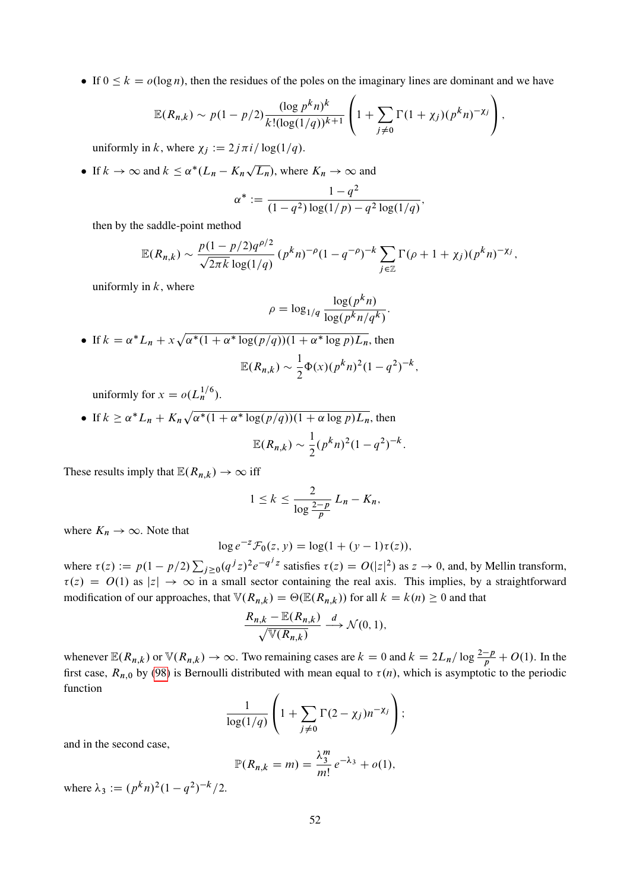If  $0 \le k = o(\log n)$ , then the residues of the poles on the imaginary lines are dominant and we have

$$
\mathbb{E}(R_{n,k}) \sim p(1-p/2) \frac{(\log p^k n)^k}{k! (\log(1/q))^{k+1}} \left(1 + \sum_{j \neq 0} \Gamma(1+\chi_j) (p^k n)^{-\chi_j}\right),
$$

uniformly in k, where  $\chi_i := 2j\pi i/\log(1/q)$ .

• If  $k \to \infty$  and  $k \le \alpha^*(L_n - K_n)$ p  $\overline{L_n}$ ), where  $K_n \to \infty$  and

$$
\alpha^* := \frac{1 - q^2}{(1 - q^2) \log(1/p) - q^2 \log(1/q)},
$$

then by the saddle-point method

$$
\mathbb{E}(R_{n,k}) \sim \frac{p(1-p/2)q^{\rho/2}}{\sqrt{2\pi k} \log(1/q)} (p^k n)^{-\rho} (1-q^{-\rho})^{-k} \sum_{j\in\mathbb{Z}} \Gamma(\rho+1+\chi_j)(p^k n)^{-\chi_j},
$$

uniformly in  $k$ , where

$$
\rho = \log_{1/q} \frac{\log(p^k n)}{\log(p^k n/q^k)}.
$$
\n• If  $k = \alpha^* L_n + x \sqrt{\alpha^*(1 + \alpha^* \log(p/q))(1 + \alpha^* \log p) L_n}$ , then  
\n
$$
\mathbb{E}(R_{n,k}) \sim \frac{1}{2} \Phi(x) (p^k n)^2 (1 - q^2)^{-k},
$$

uniformly for  $x = o(L_n^{1/6})$ .

If  $k \ge \alpha^* L_n + K_n \sqrt{\alpha^*(1 + \alpha^* \log(p/q))(1 + \alpha \log p) L_n}$ , then  $\mathbb{E}(R_{n,k}) \sim \frac{1}{2}$  $\frac{1}{2}(p^kn)^2(1-q^2)^{-k}.$ 

These results imply that  $\mathbb{E}(R_{n,k}) \to \infty$  iff

$$
1 \leq k \leq \frac{2}{\log \frac{2-p}{p}} L_n - K_n,
$$

where  $K_n \to \infty$ . Note that

$$
\log e^{-z} \mathcal{F}_0(z, y) = \log(1 + (y - 1)\tau(z)),
$$

where  $\tau(z) := p(1 - p/2) \sum_{j \ge 0} (q^j z)^2 e^{-q^j z}$  satisfies  $\tau(z) = O(|z|^2)$  as  $z \to 0$ , and, by Mellin transform,  $\tau(z) = O(1)$  as  $|z| \to \infty$  in a small sector containing the real axis. This implies, by a straightforward modification of our approaches, that  $\mathbb{V}(R_{n,k}) = \Theta(\mathbb{E}(R_{n,k}))$  for all  $k = k(n) \geq 0$  and that

$$
\frac{R_{n,k} - \mathbb{E}(R_{n,k})}{\sqrt{\mathbb{V}(R_{n,k})}} \xrightarrow{d} \mathcal{N}(0,1),
$$

whenever  $\mathbb{E}(R_{n,k})$  or  $\mathbb{V}(R_{n,k}) \to \infty$ . Two remaining cases are  $k = 0$  and  $k = 2L_n/\log \frac{2-p}{p} + O(1)$ . In the first case,  $R_{n,0}$  by [\(98\)](#page-50-0) is Bernoulli distributed with mean equal to  $\tau(n)$ , which is asymptotic to the periodic function

$$
\frac{1}{\log(1/q)}\left(1+\sum_{j\neq 0}\Gamma(2-\chi_j)n^{-\chi_j}\right);
$$

and in the second case,

$$
\mathbb{P}(R_{n,k}=m)=\frac{\lambda_3^m}{m!}e^{-\lambda_3}+o(1),
$$

where  $\lambda_3 := (p^k n)^2 (1 - q^2)^{-k} / 2$ .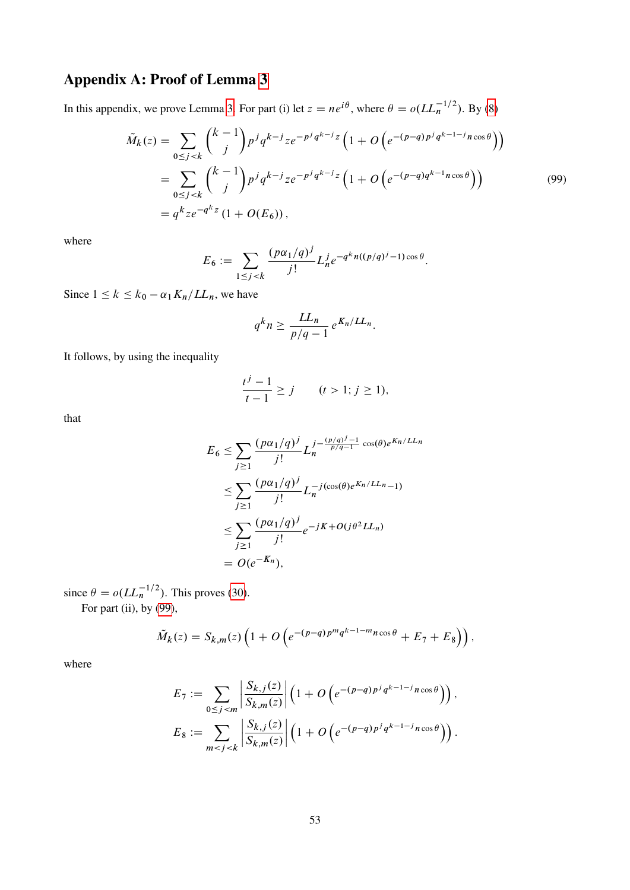# Appendix A: Proof of Lemma [3](#page-16-5)

In this appendix, we prove Lemma [3.](#page-16-5) For part (i) let  $z = ne^{i\theta}$ , where  $\theta = o(LL_n^{-1/2})$ . By [\(8\)](#page-11-1)

$$
\tilde{M}_k(z) = \sum_{0 \le j < k} \binom{k-1}{j} p^j q^{k-j} z e^{-p^j q^{k-j} z} \left( 1 + O\left( e^{-(p-q)p^j q^{k-1-j} n \cos \theta} \right) \right)
$$
\n
$$
= \sum_{0 \le j < k} \binom{k-1}{j} p^j q^{k-j} z e^{-p^j q^{k-j} z} \left( 1 + O\left( e^{-(p-q)q^{k-1} n \cos \theta} \right) \right)
$$
\n
$$
= q^k z e^{-q^{k} z} \left( 1 + O(E_6) \right),
$$
\n(99)

where

$$
E_6 := \sum_{1 \le j < k} \frac{(p\alpha_1/q)^j}{j!} L_n^j e^{-q^k n((p/q)^j - 1)\cos\theta}.
$$

Since  $1 \le k \le k_0 - \alpha_1 K_n/L_n$ , we have

<span id="page-52-0"></span>
$$
q^k n \geq \frac{LL_n}{p/q-1} e^{K_n/LL_n}.
$$

It follows, by using the inequality

$$
\frac{t^j - 1}{t - 1} \ge j \qquad (t > 1; j \ge 1),
$$

that

$$
E_6 \le \sum_{j\ge 1} \frac{(p\alpha_1/q)^j}{j!} L_n^{j - \frac{(p/q)^j - 1}{p/q - 1} \cos(\theta) e^{K_n/L L_n}} \le \sum_{j\ge 1} \frac{(p\alpha_1/q)^j}{j!} L_n^{-j(\cos(\theta) e^{K_n/L L_n} - 1)} \le \sum_{j\ge 1} \frac{(p\alpha_1/q)^j}{j!} e^{-jK + O(j\theta^2 LL_n)} = O(e^{-K_n}),
$$

since  $\theta = o(LL_n^{-1/2})$ . This proves [\(30\)](#page-16-3).

For part (ii), by  $(99)$ ,

$$
\tilde{M}_k(z) = S_{k,m}(z) \left( 1 + O\left( e^{-(p-q)p^m q^{k-1-m} n \cos \theta} + E_7 + E_8 \right) \right),
$$

where

$$
E_7 := \sum_{0 \le j < m} \left| \frac{S_{k,j}(z)}{S_{k,m}(z)} \right| \left( 1 + O\left( e^{-(p-q)p^j q^{k-1-j} n \cos \theta} \right) \right),
$$
\n
$$
E_8 := \sum_{m < j < k} \left| \frac{S_{k,j}(z)}{S_{k,m}(z)} \right| \left( 1 + O\left( e^{-(p-q)p^j q^{k-1-j} n \cos \theta} \right) \right).
$$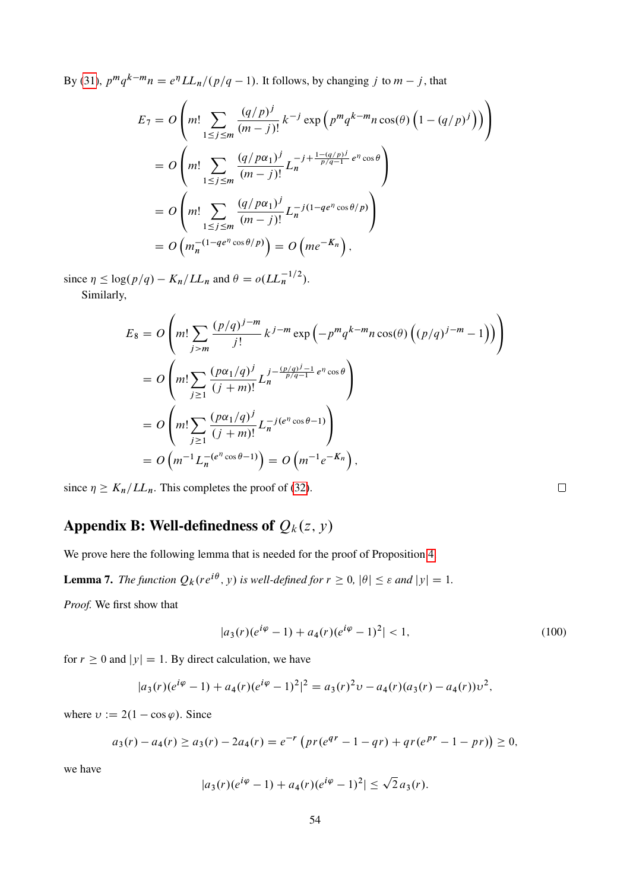By [\(31\)](#page-16-6),  $p^m q^{k-m} n = e^{\eta} L L_n / (p/q - 1)$ . It follows, by changing j to  $m - j$ , that

$$
E_7 = O\left(m! \sum_{1 \le j \le m} \frac{(q/p)^j}{(m-j)!} k^{-j} \exp\left(p^m q^{k-m} n \cos(\theta) \left(1 - (q/p)^j\right)\right)\right)
$$
  
= 
$$
O\left(m! \sum_{1 \le j \le m} \frac{(q/p\alpha_1)^j}{(m-j)!} L_n^{-j + \frac{1 - (q/p)^j}{p/q - 1} e^{\eta} \cos \theta}\right)
$$
  
= 
$$
O\left(m! \sum_{1 \le j \le m} \frac{(q/p\alpha_1)^j}{(m-j)!} L_n^{-j(1 - q e^{\eta} \cos \theta/p)}\right)
$$
  
= 
$$
O\left(m_n^{-(1 - q e^{\eta} \cos \theta/p)}\right) = O\left(m e^{-K_n}\right),
$$

since  $\eta \leq \log(p/q) - K_n / L L_n$  and  $\theta = o (L L_n^{-1/2}).$ Similarly,

$$
E_8 = O\left(m! \sum_{j>m} \frac{(p/q)^{j-m}}{j!} k^{j-m} \exp\left(-p^m q^{k-m} n \cos(\theta) \left((p/q)^{j-m} - 1\right)\right)\right)
$$
  
= 
$$
O\left(m! \sum_{j\geq 1} \frac{(p\alpha_1/q)^j}{(j+m)!} L_n^{j - \frac{(p/q)^j - 1}{p/q - 1} e^{n} \cos \theta}\right)
$$
  
= 
$$
O\left(m! \sum_{j\geq 1} \frac{(p\alpha_1/q)^j}{(j+m)!} L_n^{-j(e^n \cos \theta - 1)}\right)
$$
  
= 
$$
O\left(m^{-1} L_n^{-(e^n \cos \theta - 1)}\right) = O\left(m^{-1} e^{-K_n}\right),
$$

since  $\eta \geq K_n/L_n$ . This completes the proof of [\(32\)](#page-16-8).

# Appendix B: Well-definedness of  $Q_k(z, y)$

<span id="page-53-0"></span>We prove here the following lemma that is needed for the proof of Proposition [4.](#page-38-2)

**Lemma 7.** The function  $Q_k(re^{i\theta}, y)$  is well-defined for  $r \geq 0$ ,  $|\theta| \leq \varepsilon$  and  $|y| = 1$ .

*Proof.* We first show that

$$
|a_3(r)(e^{i\varphi}-1) + a_4(r)(e^{i\varphi}-1)^2| < 1,\tag{100}
$$

for  $r \ge 0$  and  $|y| = 1$ . By direct calculation, we have

$$
|a_3(r)(e^{i\varphi}-1)+a_4(r)(e^{i\varphi}-1)^2|^2=a_3(r)^2v-a_4(r)(a_3(r)-a_4(r))v^2,
$$

where  $v := 2(1 - \cos \varphi)$ . Since

$$
a_3(r) - a_4(r) \ge a_3(r) - 2a_4(r) = e^{-r} \left( pr(e^{qr} - 1 - qr) + qr(e^{pr} - 1 - pr) \right) \ge 0,
$$

we have

$$
|a_3(r)(e^{i\varphi}-1)+a_4(r)(e^{i\varphi}-1)^2|\leq \sqrt{2}a_3(r).
$$

<span id="page-53-1"></span> $\Box$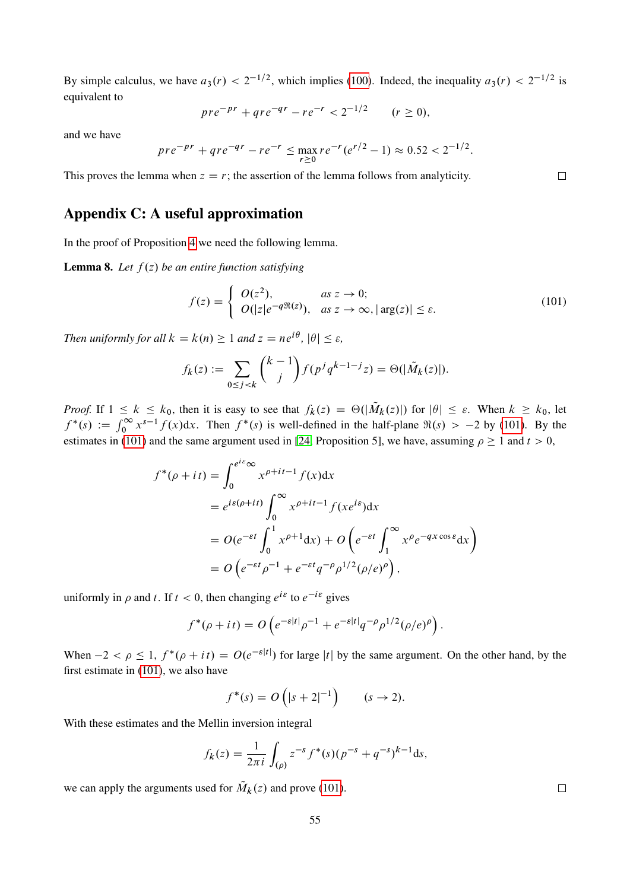By simple calculus, we have  $a_3(r) < 2^{-1/2}$ , which implies [\(100\)](#page-53-1). Indeed, the inequality  $a_3(r) < 2^{-1/2}$  is equivalent to

$$
pre^{-pr} + qre^{-qr} - re^{-r} < 2^{-1/2} \qquad (r \ge 0),
$$

and we have

$$
pre^{-pr} + qre^{-qr} - re^{-r} \le \max_{r \ge 0} re^{-r}(e^{r/2} - 1) \approx 0.52 < 2^{-1/2}.
$$

This proves the lemma when  $z = r$ ; the assertion of the lemma follows from analyticity.

## Appendix C: A useful approximation

<span id="page-54-0"></span>In the proof of Proposition [4](#page-38-2) we need the following lemma.

**Lemma 8.** Let  $f(z)$  be an entire function satisfying

$$
f(z) = \begin{cases} O(z^2), & \text{as } z \to 0; \\ O(|z|e^{-q\Re(z)}), & \text{as } z \to \infty, |\arg(z)| \le \varepsilon. \end{cases}
$$
 (101)

*Then uniformly for all*  $k = k(n) \geq 1$  *and*  $z = ne^{i\theta}$ ,  $|\theta| \leq \varepsilon$ ,

$$
f_k(z) := \sum_{0 \le j < k} \binom{k-1}{j} f(p^j q^{k-1-j} z) = \Theta(|\tilde{M}_k(z)|).
$$

*Proof.* If  $1 \le k \le k_0$ , then it is easy to see that  $f_k(z) = \Theta(|\tilde{M}_k(z)|)$  for  $|\theta| \le \varepsilon$ . When  $k \ge k_0$ , let  $f^*(s) := \int_0^\infty x^{s-1} f(x) dx$ . Then  $f^*(s)$  is well-defined in the half-plane  $\Re(s) > -2$  by [\(101\)](#page-54-1). By the estimates in [\(101\)](#page-54-1) and the same argument used in [\[24,](#page-56-8) Proposition 5], we have, assuming  $\rho \ge 1$  and  $t > 0$ ,

$$
f^*(\rho + it) = \int_0^{e^{i\epsilon}\infty} x^{\rho + it - 1} f(x) dx
$$
  
=  $e^{i\epsilon(\rho + it)} \int_0^{\infty} x^{\rho + it - 1} f(xe^{i\epsilon}) dx$   
=  $O(e^{-\epsilon t} \int_0^1 x^{\rho + 1} dx) + O\left(e^{-\epsilon t} \int_1^{\infty} x^{\rho} e^{-qx \cos \epsilon} dx\right)$   
=  $O\left(e^{-\epsilon t} \rho^{-1} + e^{-\epsilon t} q^{-\rho} \rho^{1/2}(\rho/e)^{\rho}\right),$ 

uniformly in  $\rho$  and t. If  $t < 0$ , then changing  $e^{i\varepsilon}$  to  $e^{-i\varepsilon}$  gives

$$
f^*(\rho + it) = O\left(e^{-\varepsilon|t|}\rho^{-1} + e^{-\varepsilon|t|}q^{-\rho}\rho^{1/2}(\rho/e)^{\rho}\right).
$$

When  $-2 < \rho \le 1$ ,  $f^*(\rho + it) = O(e^{-\varepsilon|t|})$  for large |t| by the same argument. On the other hand, by the first estimate in [\(101\)](#page-54-1), we also have

$$
f^*(s) = O(|s + 2|^{-1})
$$
  $(s \to 2).$ 

With these estimates and the Mellin inversion integral

$$
f_k(z) = \frac{1}{2\pi i} \int_{(\rho)} z^{-s} f^*(s) (p^{-s} + q^{-s})^{k-1} ds,
$$

we can apply the arguments used for  $\tilde{M}_k(z)$  and prove [\(101\)](#page-54-1).

 $\Box$ 

<span id="page-54-1"></span> $\Box$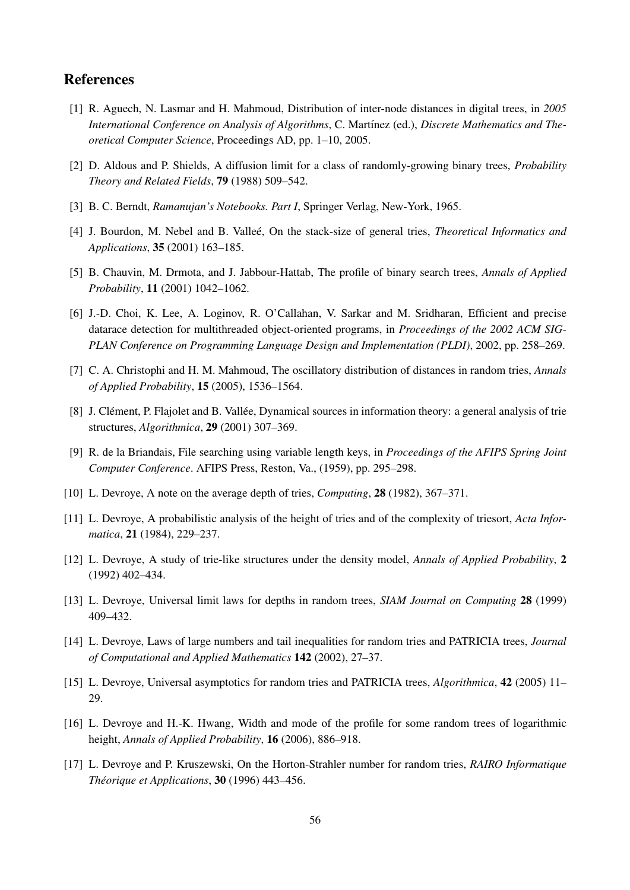# **References**

- <span id="page-55-11"></span>[1] R. Aguech, N. Lasmar and H. Mahmoud, Distribution of inter-node distances in digital trees, in *2005* International Conference on Analysis of Algorithms, C. Martínez (ed.), Discrete Mathematics and The*oretical Computer Science*, Proceedings AD, pp. 1–10, 2005.
- <span id="page-55-15"></span>[2] D. Aldous and P. Shields, A diffusion limit for a class of randomly-growing binary trees, *Probability Theory and Related Fields*, 79 (1988) 509–542.
- <span id="page-55-13"></span>[3] B. C. Berndt, *Ramanujan's Notebooks. Part I*, Springer Verlag, New-York, 1965.
- <span id="page-55-9"></span>[4] J. Bourdon, M. Nebel and B. Vallee, On the stack-size of general tries, ´ *Theoretical Informatics and Applications*, 35 (2001) 163–185.
- <span id="page-55-14"></span>[5] B. Chauvin, M. Drmota, and J. Jabbour-Hattab, The profile of binary search trees, *Annals of Applied Probability*, 11 (2001) 1042–1062.
- <span id="page-55-1"></span>[6] J.-D. Choi, K. Lee, A. Loginov, R. O'Callahan, V. Sarkar and M. Sridharan, Efficient and precise datarace detection for multithreaded object-oriented programs, in *Proceedings of the 2002 ACM SIG-PLAN Conference on Programming Language Design and Implementation (PLDI)*, 2002, pp. 258–269.
- <span id="page-55-12"></span>[7] C. A. Christophi and H. M. Mahmoud, The oscillatory distribution of distances in random tries, *Annals of Applied Probability*, 15 (2005), 1536–1564.
- <span id="page-55-2"></span>[8] J. Clément, P. Flajolet and B. Vallée, Dynamical sources in information theory: a general analysis of trie structures, *Algorithmica*, 29 (2001) 307–369.
- <span id="page-55-0"></span>[9] R. de la Briandais, File searching using variable length keys, in *Proceedings of the AFIPS Spring Joint Computer Conference*. AFIPS Press, Reston, Va., (1959), pp. 295–298.
- <span id="page-55-5"></span>[10] L. Devroye, A note on the average depth of tries, *Computing*, 28 (1982), 367–371.
- <span id="page-55-7"></span>[11] L. Devroye, A probabilistic analysis of the height of tries and of the complexity of triesort, *Acta Informatica*, 21 (1984), 229–237.
- <span id="page-55-3"></span>[12] L. Devroye, A study of trie-like structures under the density model, *Annals of Applied Probability*, 2 (1992) 402–434.
- <span id="page-55-6"></span>[13] L. Devroye, Universal limit laws for depths in random trees, *SIAM Journal on Computing* 28 (1999) 409–432.
- <span id="page-55-8"></span>[14] L. Devroye, Laws of large numbers and tail inequalities for random tries and PATRICIA trees, *Journal of Computational and Applied Mathematics* 142 (2002), 27–37.
- <span id="page-55-4"></span>[15] L. Devroye, Universal asymptotics for random tries and PATRICIA trees, *Algorithmica*, 42 (2005) 11– 29.
- <span id="page-55-16"></span>[16] L. Devroye and H.-K. Hwang, Width and mode of the profile for some random trees of logarithmic height, *Annals of Applied Probability*, 16 (2006), 886–918.
- <span id="page-55-10"></span>[17] L. Devroye and P. Kruszewski, On the Horton-Strahler number for random tries, *RAIRO Informatique Theorique et Applications ´* , 30 (1996) 443–456.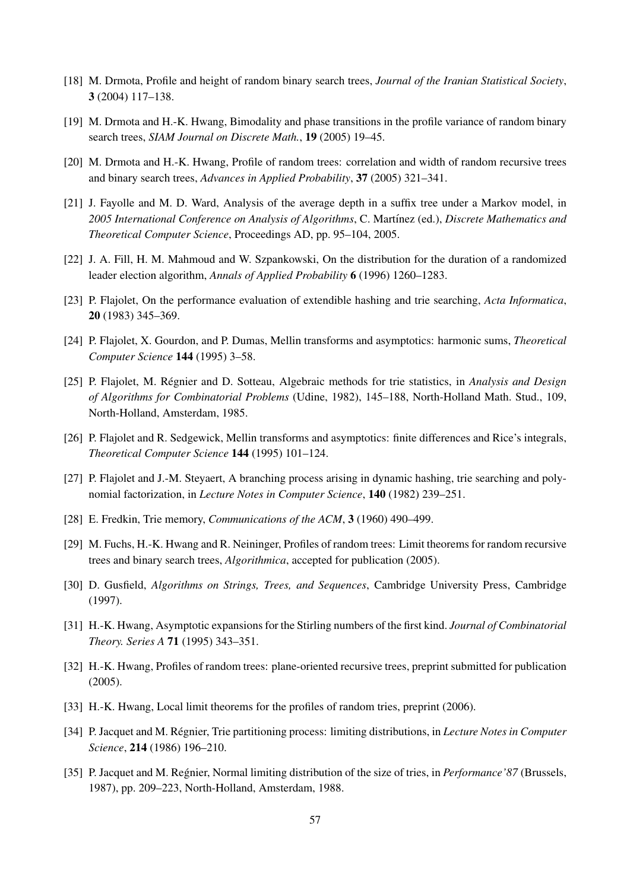- [18] M. Drmota, Profile and height of random binary search trees, *Journal of the Iranian Statistical Society*, 3 (2004) 117–138.
- <span id="page-56-9"></span>[19] M. Drmota and H.-K. Hwang, Bimodality and phase transitions in the profile variance of random binary search trees, *SIAM Journal on Discrete Math.*, 19 (2005) 19–45.
- <span id="page-56-10"></span>[20] M. Drmota and H.-K. Hwang, Profile of random trees: correlation and width of random recursive trees and binary search trees, *Advances in Applied Probability*, 37 (2005) 321–341.
- <span id="page-56-2"></span>[21] J. Fayolle and M. D. Ward, Analysis of the average depth in a suffix tree under a Markov model, in *2005 International Conference on Analysis of Algorithms*, C. Mart´ınez (ed.), *Discrete Mathematics and Theoretical Computer Science*, Proceedings AD, pp. 95–104, 2005.
- <span id="page-56-7"></span>[22] J. A. Fill, H. M. Mahmoud and W. Szpankowski, On the distribution for the duration of a randomized leader election algorithm, *Annals of Applied Probability* 6 (1996) 1260–1283.
- <span id="page-56-5"></span>[23] P. Flajolet, On the performance evaluation of extendible hashing and trie searching, *Acta Informatica*, 20 (1983) 345–369.
- <span id="page-56-8"></span>[24] P. Flajolet, X. Gourdon, and P. Dumas, Mellin transforms and asymptotics: harmonic sums, *Theoretical Computer Science* 144 (1995) 3–58.
- [25] P. Flajolet, M. Régnier and D. Sotteau, Algebraic methods for trie statistics, in *Analysis and Design of Algorithms for Combinatorial Problems* (Udine, 1982), 145–188, North-Holland Math. Stud., 109, North-Holland, Amsterdam, 1985.
- <span id="page-56-13"></span>[26] P. Flajolet and R. Sedgewick, Mellin transforms and asymptotics: finite differences and Rice's integrals, *Theoretical Computer Science* 144 (1995) 101–124.
- <span id="page-56-6"></span>[27] P. Flajolet and J.-M. Steyaert, A branching process arising in dynamic hashing, trie searching and polynomial factorization, in *Lecture Notes in Computer Science*, 140 (1982) 239–251.
- <span id="page-56-0"></span>[28] E. Fredkin, Trie memory, *Communications of the ACM*, 3 (1960) 490–499.
- <span id="page-56-11"></span>[29] M. Fuchs, H.-K. Hwang and R. Neininger, Profiles of random trees: Limit theorems for random recursive trees and binary search trees, *Algorithmica*, accepted for publication (2005).
- <span id="page-56-1"></span>[30] D. Gusfield, *Algorithms on Strings, Trees, and Sequences*, Cambridge University Press, Cambridge (1997).
- <span id="page-56-14"></span>[31] H.-K. Hwang, Asymptotic expansions for the Stirling numbers of the first kind. *Journal of Combinatorial Theory. Series A* 71 (1995) 343–351.
- <span id="page-56-12"></span>[32] H.-K. Hwang, Profiles of random trees: plane-oriented recursive trees, preprint submitted for publication (2005).
- <span id="page-56-15"></span>[33] H.-K. Hwang, Local limit theorems for the profiles of random tries, preprint (2006).
- <span id="page-56-3"></span>[34] P. Jacquet and M. Régnier, Trie partitioning process: limiting distributions, in *Lecture Notes in Computer Science*, 214 (1986) 196–210.
- <span id="page-56-4"></span>[35] P. Jacquet and M. Regnier, Normal limiting distribution of the size of tries, in *Performance'87* (Brussels, 1987), pp. 209–223, North-Holland, Amsterdam, 1988.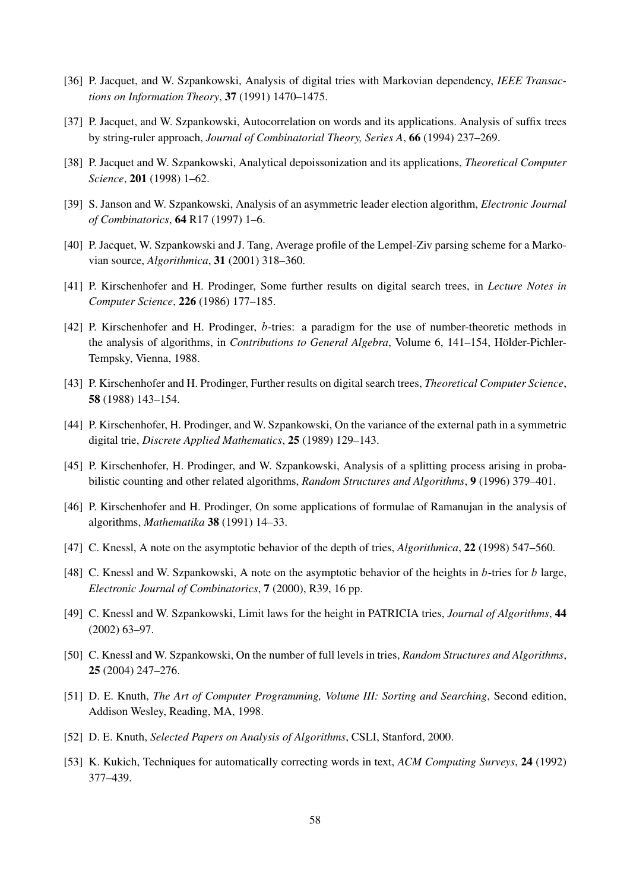- <span id="page-57-3"></span>[36] P. Jacquet, and W. Szpankowski, Analysis of digital tries with Markovian dependency, *IEEE Transactions on Information Theory*, 37 (1991) 1470–1475.
- <span id="page-57-4"></span>[37] P. Jacquet, and W. Szpankowski, Autocorrelation on words and its applications. Analysis of suffix trees by string-ruler approach, *Journal of Combinatorial Theory, Series A*, 66 (1994) 237–269.
- <span id="page-57-10"></span>[38] P. Jacquet and W. Szpankowski, Analytical depoissonization and its applications, *Theoretical Computer Science*, 201 (1998) 1–62.
- <span id="page-57-9"></span>[39] S. Janson and W. Szpankowski, Analysis of an asymmetric leader election algorithm, *Electronic Journal of Combinatorics*, 64 R17 (1997) 1–6.
- <span id="page-57-11"></span>[40] P. Jacquet, W. Szpankowski and J. Tang, Average profile of the Lempel-Ziv parsing scheme for a Markovian source, *Algorithmica*, 31 (2001) 318–360.
- [41] P. Kirschenhofer and H. Prodinger, Some further results on digital search trees, in *Lecture Notes in Computer Science*, 226 (1986) 177–185.
- [42] P. Kirschenhofer and H. Prodinger, b-tries: a paradigm for the use of number-theoretic methods in the analysis of algorithms, in *Contributions to General Algebra*, Volume 6, 141–154, Hölder-Pichler-Tempsky, Vienna, 1988.
- <span id="page-57-5"></span>[43] P. Kirschenhofer and H. Prodinger, Further results on digital search trees, *Theoretical Computer Science*, 58 (1988) 143–154.
- <span id="page-57-6"></span>[44] P. Kirschenhofer, H. Prodinger, and W. Szpankowski, On the variance of the external path in a symmetric digital trie, *Discrete Applied Mathematics*, 25 (1989) 129–143.
- <span id="page-57-2"></span>[45] P. Kirschenhofer, H. Prodinger, and W. Szpankowski, Analysis of a splitting process arising in probabilistic counting and other related algorithms, *Random Structures and Algorithms*, 9 (1996) 379–401.
- <span id="page-57-7"></span>[46] P. Kirschenhofer and H. Prodinger, On some applications of formulae of Ramanujan in the analysis of algorithms, *Mathematika* 38 (1991) 14–33.
- [47] C. Knessl, A note on the asymptotic behavior of the depth of tries, *Algorithmica*, 22 (1998) 547–560.
- [48] C. Knessl and W. Szpankowski, A note on the asymptotic behavior of the heights in b-tries for b large, *Electronic Journal of Combinatorics*, 7 (2000), R39, 16 pp.
- [49] C. Knessl and W. Szpankowski, Limit laws for the height in PATRICIA tries, *Journal of Algorithms*, 44 (2002) 63–97.
- <span id="page-57-8"></span>[50] C. Knessl and W. Szpankowski, On the number of full levels in tries, *Random Structures and Algorithms*, 25 (2004) 247–276.
- <span id="page-57-0"></span>[51] D. E. Knuth, *The Art of Computer Programming, Volume III: Sorting and Searching*, Second edition, Addison Wesley, Reading, MA, 1998.
- [52] D. E. Knuth, *Selected Papers on Analysis of Algorithms*, CSLI, Stanford, 2000.
- <span id="page-57-1"></span>[53] K. Kukich, Techniques for automatically correcting words in text, *ACM Computing Surveys*, 24 (1992) 377–439.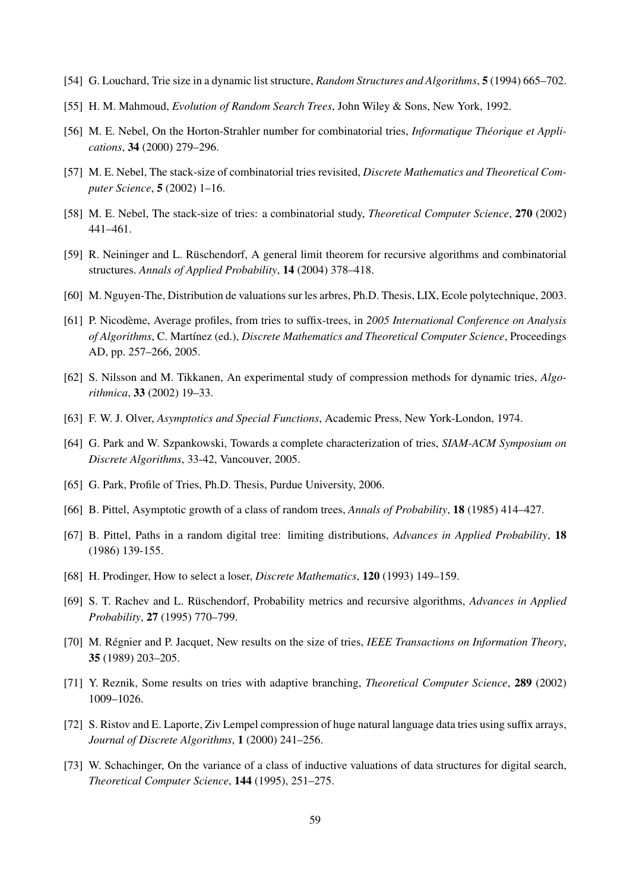- <span id="page-58-3"></span>[54] G. Louchard, Trie size in a dynamic list structure, *Random Structures and Algorithms*, 5 (1994) 665–702.
- <span id="page-58-0"></span>[55] H. M. Mahmoud, *Evolution of Random Search Trees*, John Wiley & Sons, New York, 1992.
- <span id="page-58-11"></span>[56] M. E. Nebel, On the Horton-Strahler number for combinatorial tries, *Informatique Theorique et Appli- ´ cations*, 34 (2000) 279–296.
- <span id="page-58-12"></span>[57] M. E. Nebel, The stack-size of combinatorial tries revisited, *Discrete Mathematics and Theoretical Computer Science*, 5 (2002) 1–16.
- <span id="page-58-13"></span>[58] M. E. Nebel, The stack-size of tries: a combinatorial study, *Theoretical Computer Science*, 270 (2002) 441–461.
- <span id="page-58-6"></span>[59] R. Neininger and L. Rüschendorf, A general limit theorem for recursive algorithms and combinatorial structures. *Annals of Applied Probability*, 14 (2004) 378–418.
- <span id="page-58-5"></span>[60] M. Nguyen-The, Distribution de valuations sur les arbres, Ph.D. Thesis, LIX, Ecole polytechnique, 2003.
- <span id="page-58-2"></span>[61] P. Nicodeme, Average profiles, from tries to suffix-trees, in ` *2005 International Conference on Analysis of Algorithms*, C. Mart´ınez (ed.), *Discrete Mathematics and Theoretical Computer Science*, Proceedings AD, pp. 257–266, 2005.
- <span id="page-58-1"></span>[62] S. Nilsson and M. Tikkanen, An experimental study of compression methods for dynamic tries, *Algorithmica*, 33 (2002) 19–33.
- <span id="page-58-17"></span>[63] F. W. J. Olver, *Asymptotics and Special Functions*, Academic Press, New York-London, 1974.
- <span id="page-58-15"></span>[64] G. Park and W. Szpankowski, Towards a complete characterization of tries, *SIAM-ACM Symposium on Discrete Algorithms*, 33-42, Vancouver, 2005.
- <span id="page-58-16"></span>[65] G. Park, Profile of Tries, Ph.D. Thesis, Purdue University, 2006.
- <span id="page-58-10"></span>[66] B. Pittel, Asymptotic growth of a class of random trees, *Annals of Probability*, 18 (1985) 414–427.
- <span id="page-58-4"></span>[67] B. Pittel, Paths in a random digital tree: limiting distributions, *Advances in Applied Probability*, 18 (1986) 139-155.
- <span id="page-58-14"></span>[68] H. Prodinger, How to select a loser, *Discrete Mathematics*, 120 (1993) 149–159.
- <span id="page-58-8"></span>[69] S. T. Rachev and L. Rüschendorf, Probability metrics and recursive algorithms, *Advances in Applied Probability*, 27 (1995) 770–799.
- <span id="page-58-9"></span>[70] M. Régnier and P. Jacquet, New results on the size of tries, *IEEE Transactions on Information Theory*, 35 (1989) 203–205.
- [71] Y. Reznik, Some results on tries with adaptive branching, *Theoretical Computer Science*, 289 (2002) 1009–1026.
- [72] S. Ristov and E. Laporte, Ziv Lempel compression of huge natural language data tries using suffix arrays, *Journal of Discrete Algorithms*, 1 (2000) 241–256.
- <span id="page-58-7"></span>[73] W. Schachinger, On the variance of a class of inductive valuations of data structures for digital search, *Theoretical Computer Science*, 144 (1995), 251–275.